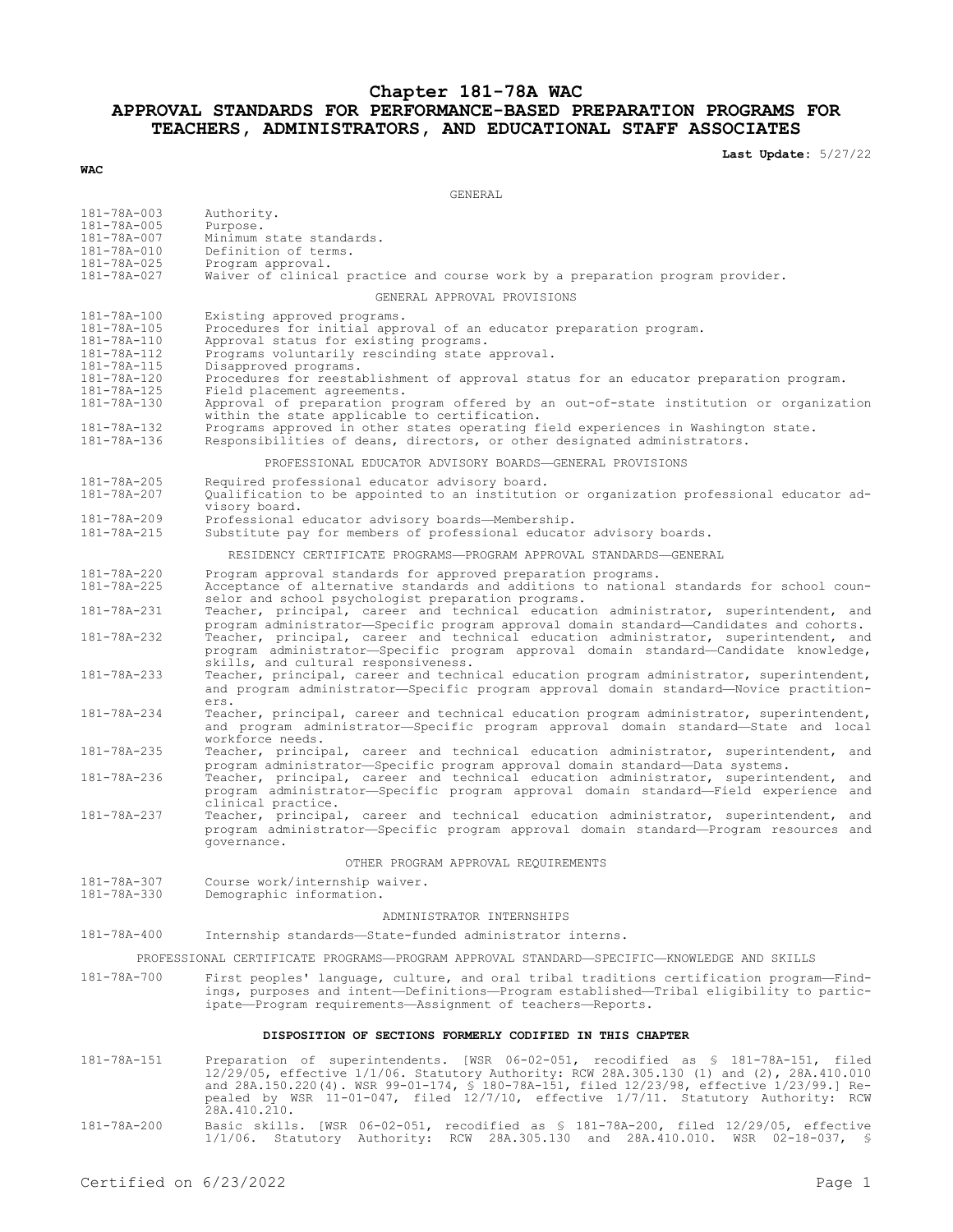## **Chapter 181-78A WAC APPROVAL STANDARDS FOR PERFORMANCE-BASED PREPARATION PROGRAMS FOR TEACHERS, ADMINISTRATORS, AND EDUCATIONAL STAFF ASSOCIATES**

**Last Update:** 5/27/22

#### **WAC**

GENERAL

| 181-78A-003<br>181-78A-005<br>181-78A-007<br>181-78A-010<br>181-78A-025<br>181-78A-027                               | Authority.<br>Purpose.<br>Minimum state standards.<br>Definition of terms.<br>Program approval.<br>Waiver of clinical practice and course work by a preparation program provider.                                                                                                                                                                                                                                                           |
|----------------------------------------------------------------------------------------------------------------------|---------------------------------------------------------------------------------------------------------------------------------------------------------------------------------------------------------------------------------------------------------------------------------------------------------------------------------------------------------------------------------------------------------------------------------------------|
| GENERAL APPROVAL PROVISIONS                                                                                          |                                                                                                                                                                                                                                                                                                                                                                                                                                             |
|                                                                                                                      |                                                                                                                                                                                                                                                                                                                                                                                                                                             |
| 181-78A-100<br>181-78A-105<br>181-78A-110<br>181-78A-112<br>181-78A-115<br>181-78A-120<br>181-78A-125<br>181-78A-130 | Existing approved programs.<br>Procedures for initial approval of an educator preparation program.<br>Approval status for existing programs.<br>Programs voluntarily rescinding state approval.<br>Disapproved programs.<br>Procedures for reestablishment of approval status for an educator preparation program.<br>Field placement agreements.<br>Approval of preparation program offered by an out-of-state institution or organization |
| 181-78A-132<br>181-78A-136                                                                                           | within the state applicable to certification.<br>Programs approved in other states operating field experiences in Washington state.                                                                                                                                                                                                                                                                                                         |
|                                                                                                                      | Responsibilities of deans, directors, or other designated administrators.                                                                                                                                                                                                                                                                                                                                                                   |
| PROFESSIONAL EDUCATOR ADVISORY BOARDS-GENERAL PROVISIONS                                                             |                                                                                                                                                                                                                                                                                                                                                                                                                                             |
| 181-78A-205<br>181-78A-207                                                                                           | Required professional educator advisory board.<br>Qualification to be appointed to an institution or organization professional educator ad-<br>visory board.                                                                                                                                                                                                                                                                                |
| 181-78A-209                                                                                                          | Professional educator advisory boards-Membership.                                                                                                                                                                                                                                                                                                                                                                                           |
| 181-78A-215                                                                                                          | Substitute pay for members of professional educator advisory boards.                                                                                                                                                                                                                                                                                                                                                                        |
| RESIDENCY CERTIFICATE PROGRAMS-PROGRAM APPROVAL STANDARDS-GENERAL                                                    |                                                                                                                                                                                                                                                                                                                                                                                                                                             |
| 181-78A-220<br>181-78A-225                                                                                           | Program approval standards for approved preparation programs.<br>Acceptance of alternative standards and additions to national standards for school coun-<br>selor and school psychologist preparation programs.                                                                                                                                                                                                                            |
| 181-78A-231                                                                                                          | Teacher, principal, career and technical education administrator, superintendent, and                                                                                                                                                                                                                                                                                                                                                       |
| 181-78A-232                                                                                                          | program administrator-Specific program approval domain standard-Candidates and cohorts.<br>Teacher, principal, career and technical education administrator, superintendent, and<br>program administrator-Specific program approval domain standard-Candidate knowledge,<br>skills, and cultural responsiveness.                                                                                                                            |
| $181 - 78A - 233$                                                                                                    | Teacher, principal, career and technical education program administrator, superintendent,<br>and program administrator-Specific program approval domain standard-Novice practition-<br>ers.                                                                                                                                                                                                                                                 |
| 181-78A-234                                                                                                          | Teacher, principal, career and technical education program administrator, superintendent,<br>and program administrator-Specific program approval domain standard-State and local<br>workforce needs.                                                                                                                                                                                                                                        |
| 181-78A-235                                                                                                          | Teacher, principal, career and technical education administrator, superintendent, and                                                                                                                                                                                                                                                                                                                                                       |
| 181-78A-236                                                                                                          | program administrator-Specific program approval domain standard-Data systems.<br>Teacher, principal, career and technical education administrator, superintendent, and<br>program administrator-Specific program approval domain standard-Field experience and<br>clinical practice.                                                                                                                                                        |
| 181-78A-237                                                                                                          | Teacher, principal, career and technical education administrator, superintendent, and<br>program administrator-Specific program approval domain standard-Program resources and<br>governance.                                                                                                                                                                                                                                               |
| OTHER PROGRAM APPROVAL REQUIREMENTS                                                                                  |                                                                                                                                                                                                                                                                                                                                                                                                                                             |
| 181-78A-307<br>181-78A-330                                                                                           | Course work/internship waiver.<br>Demographic information.                                                                                                                                                                                                                                                                                                                                                                                  |
| ADMINISTRATOR INTERNSHIPS                                                                                            |                                                                                                                                                                                                                                                                                                                                                                                                                                             |
| $181 - 78A - 400$                                                                                                    | Internship standards-State-funded administrator interns.                                                                                                                                                                                                                                                                                                                                                                                    |
| PROFESSIONAL CERTIFICATE PROGRAMS-PROGRAM APPROVAL STANDARD-SPECIFIC-KNOWLEDGE AND SKILLS                            |                                                                                                                                                                                                                                                                                                                                                                                                                                             |
| 181-78A-700                                                                                                          | First peoples' language, culture, and oral tribal traditions certification program—Find-<br>ings, purposes and intent-Definitions-Program established-Tribal eligibility to partic-<br>ipate-Program requirements-Assignment of teachers-Reports.                                                                                                                                                                                           |

#### **DISPOSITION OF SECTIONS FORMERLY CODIFIED IN THIS CHAPTER**

- 181-78A-151 Preparation of superintendents. [WSR 06-02-051, recodified as § 181-78A-151, filed 12/29/05, effective 1/1/06. Statutory Authority: RCW 28A.305.130 (1) and (2), 28A.410.010 and 28A.150.220(4). WSR 99-01-174, § 180-78A-151, filed 12/23/98, effective 1/23/99.] Repealed by WSR 11-01-047, filed 12/7/10, effective 1/7/11. Statutory Authority: RCW 28A.410.210.
- 181-78A-200 Basic skills. [WSR 06-02-051, recodified as § 181-78A-200, filed 12/29/05, effective 1/1/06. Statutory Authority: RCW 28A.305.130 and 28A.410.010. WSR 02-18-037, §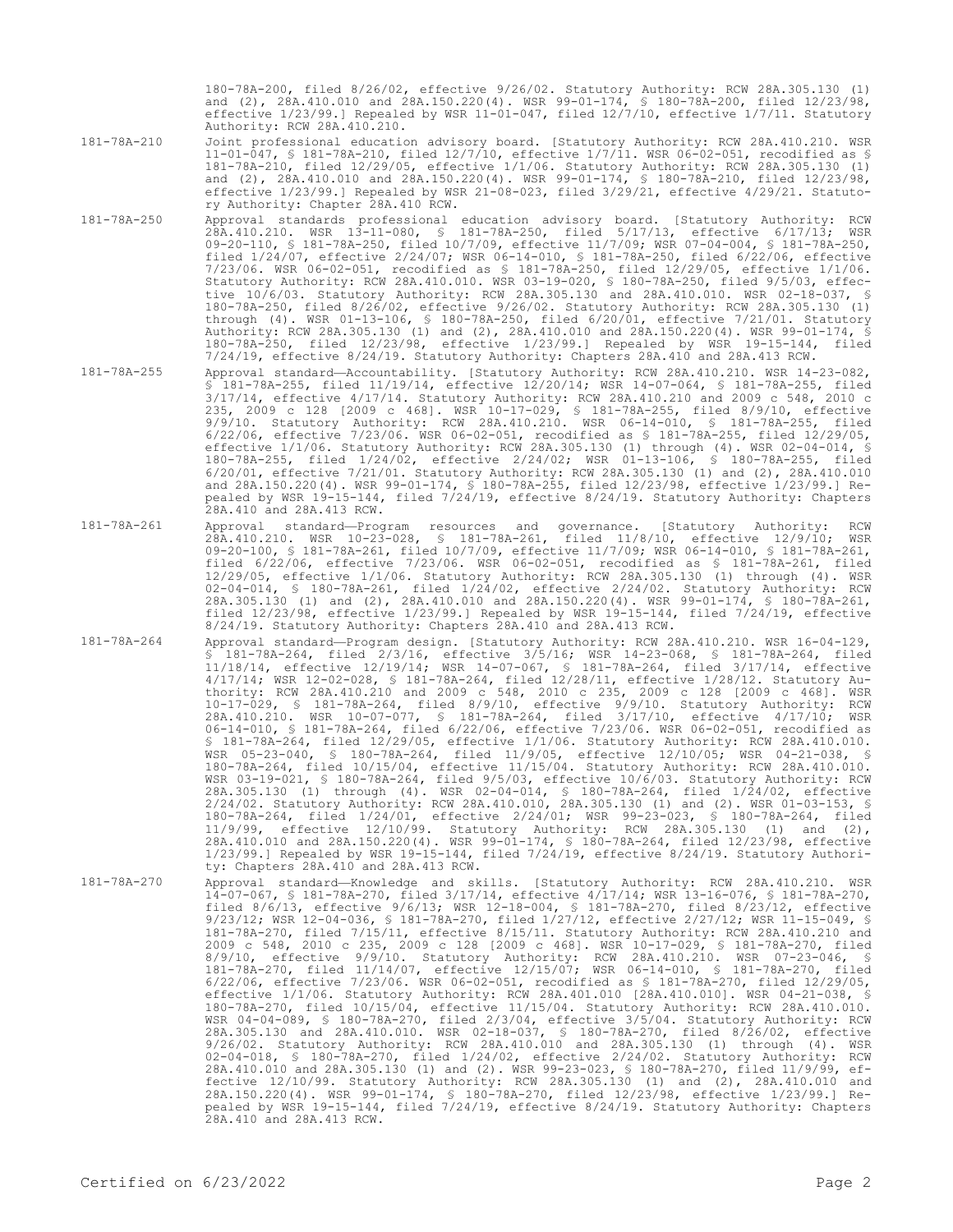180-78A-200, filed 8/26/02, effective 9/26/02. Statutory Authority: RCW 28A.305.130 (1) and (2), 28A.410.010 and 28A.150.220(4). WSR 99-01-174, § 180-78A-200, filed 12/23/98, effective 1/23/99.] Repealed by WSR 11-01-047, filed 12/7/10, effective 1/7/11. Statutory Authority: RCW 28A.410.210.

181-78A-210 Joint professional education advisory board. [Statutory Authority: RCW 28A.410.210. WSR 11-01-047, § 181-78A-210, filed 12/7/10, effective 1/7/11. WSR 06-02-051, recodified as § 181-78A-210, filed 12/29/05, effective 1/1/06. Statutory Authority: RCW 28A.305.130 (1) and (2), 28A.410.010 and 28A.150.220(4). WSR 99-01-174, § 180-78A-210, filed 12/23/98, effective 1/23/99.] Repealed by WSR 21-08-023, filed 3/29/21, effective 4/29/21. Statutory Authority: Chapter 28A.410 RCW.

- 181-78A-250 Approval standards professional education advisory board. [Statutory Authority: RCW 28A.410.210. WSR 13-11-080, § 181-78A-250, filed 5/17/13, effective 6/17/13; WSR 09-20-110, § 181-78A-250, filed 10/7/09, effective 11/7/09; WSR 07-04-004, § 181-78A-250, filed 1/24/07, effective 2/24/07; WSR 06-14-010, § 181-78A-250, filed 6/22/06, effective 7/23/06. WSR 06-02-051, recodified as § 181-78A-250, filed 12/29/05, effective 1/1/06. Statutory Authority: RCW 28A.410.010. WSR 03-19-020, § 180-78A-250, filed 9/5/03, effective 10/6/03. Statutory Authority: RCW 28A.305.130 and 28A.410.010. WSR 02-18-037, § 180-78A-250, filed 8/26/02, effective 9/26/02. Statutory Authority: RCW 28A.305.130 (1) through (4). WSR 01-13-106, § 180-78A-250, filed 6/20/01, effective 7/21/01. Statutory Authority: RCW 28A.305.130 (1) and (2), 28A.410.010 and 28A.150.220(4). WSR 99-01-174, § 180-78A-250, filed 12/23/98, effective 1/23/99.] Repealed by WSR 19-15-144, filed 7/24/19, effective 8/24/19. Statutory Authority: Chapters 28A.410 and 28A.413 RCW.
- 181-78A-255 Approval standard—Accountability. [Statutory Authority: RCW 28A.410.210. WSR 14-23-082, § 181-78A-255, filed 11/19/14, effective 12/20/14; WSR 14-07-064, § 181-78A-255, filed 3/17/14, effective 4/17/14. Statutory Authority: RCW 28A.410.210 and 2009 c 548, 2010 c 235, 2009 c 128 [2009 c 468]. WSR 10-17-029, § 181-78A-255, filed 8/9/10, effective 9/9/10. Statutory Authority: RCW 28A.410.210. WSR 06-14-010, § 181-78A-255, filed 6/22/06, effective 7/23/06. WSR 06-02-051, recodified as § 181-78A-255, filed 12/29/05, effective 1/1/06. Statutory Authority: RCW 28A.305.130 (1) through (4). WSR 02-04-014, § 180-78A-255, filed 1/24/02, effective 2/24/02; WSR 01-13-106, § 180-78A-255, filed 6/20/01, effective 7/21/01. Statutory Authority: RCW 28A.305.130 (1) and (2), 28A.410.010 and 28A.150.220(4). WSR 99-01-174, § 180-78A-255, filed 12/23/98, effective 1/23/99.] Repealed by WSR 19-15-144, filed 7/24/19, effective 8/24/19. Statutory Authority: Chapters .<br>28A.410 and 28A.413 RCW.
- 181-78A-261 Approval standard—Program resources and governance. [Statutory Authority: RCW 28A.410.210. WSR 10-23-028, § 181-78A-261, filed 11/8/10, effective 12/9/10; WSR 09-20-100, § 181-78A-261, filed 10/7/09, effective 11/7/09; WSR 06-14-010, § 181-78A-261, filed 6/22/06, effective 7/23/06. WSR 06-02-051, recodified as § 181-78A-261, filed 12/29/05, effective 1/1/06. Statutory Authority: RCW 28A.305.130 (1) through (4). WSR 02-04-014, § 180-78A-261, filed 1/24/02, effective 2/24/02. Statutory Authority: RCW 28A.305.130 (1) and (2), 28A.410.010 and 28A.150.220(4). WSR 99-01-174, § 180-78A-261, filed 12/23/98, effective 1/23/99.] Repealed by WSR 19-15-144, filed 7/24/19, effective 8/24/19. Statutory Authority: Chapters 28A.410 and 28A.413 RCW.
- 181-78A-264 Approval standard—Program design. [Statutory Authority: RCW 28A.410.210. WSR 16-04-129, § 181-78A-264, filed 2/3/16, effective 3/5/16; WSR 14-23-068, § 181-78A-264, filed 11/18/14, effective 12/19/14; WSR 14-07-067, § 181-78A-264, filed 3/17/14, effective 4/17/14; WSR 12-02-028, § 181-78A-264, filed 12/28/11, effective 1/28/12. Statutory Authority: RCW 28A.410.210 and 2009 c 548, 2010 c 235, 2009 c 128 [2009 c 468]. WSR 10-17-029, § 181-78A-264, filed 8/9/10, effective 9/9/10. Statutory Authority: RCW 28A.410.210. WSR 10-07-077, § 181-78A-264, filed 3/17/10, effective 4/17/10; WSR 06-14-010, § 181-78A-264, filed 6/22/06, effective 7/23/06. WSR 06-02-051, recodified as § 181-78A-264, filed 12/29/05, effective 1/1/06. Statutory Authority: RCW 28A.410.010. WSR 05-23-040, § 180-78A-264, filed 11/9/05, effective 12/10/05; WSR 04-21-038, § 180-78A-264, filed 10/15/04, effective 11/15/04. Statutory Authority: RCW 28A.410.010. WSR 03-19-021, § 180-78A-264, filed 9/5/03, effective 10/6/03. Statutory Authority: RCW 28A.305.130 (1) through (4). WSR 02-04-014, § 180-78A-264, filed 1/24/02, effective 2/24/02. Statutory Authority: RCW 28A.410.010, 28A.305.130 (1) and (2). WSR 01-03-153, § 180-78A-264, filed 1/24/01, effective 2/24/01; WSR 99-23-023, § 180-78A-264, filed 11/9/99, effective 12/10/99. Statutory Authority: RCW 28A.305.130 (1) and (2), 28A.410.010 and 28A.150.220(4). WSR 99-01-174, § 180-78A-264, filed 12/23/98, effective 1/23/99.] Repealed by WSR 19-15-144, filed 7/24/19, effective 8/24/19. Statutory Authority: Chapters 28A.410 and 28A.413 RCW.
- 181-78A-270 Approval standard—Knowledge and skills. [Statutory Authority: RCW 28A.410.210. WSR 14-07-067, § 181-78A-270, filed 3/17/14, effective 4/17/14; WSR 13-16-076, § 181-78A-270,<br>filed 8/6/13, effective 9/6/13; WSR 12-18-004, § 181-78A-270, filed 8/23/12, effective filed 8/6/13, effective 9/6/13; WSR 12-18-004, § 181-78A-270, filed 8/23/12, effective 9/23/12; WSR 12-04-036, § 181-78A-270, filed 1/27/12, effective 2/27/12; WSR 11-15-049, § 181-78A-270, filed 7/15/11, effective 8/15/11. Statutory Authority: RCW 28A.410.210 and 2009 c 548, 2010 c 235, 2009 c 128 [2009 c 468]. WSR 10-17-029, § 181-78A-270, filed 8/9/10, effective 9/9/10. Statutory Authority: RCW 28A.410.210. WSR 07-23-046, § 181-78A-270, filed 11/14/07, effective 12/15/07; WSR 06-14-010, § 181-78A-270, filed 6/22/06, effective 7/23/06. WSR 06-02-051, recodified as § 181-78A-270, filed 12/29/05, effective 1/1/06. Statutory Authority: RCW 28A.401.010 [28A.410.010]. WSR 04-21-038, § 180-78A-270, filed 10/15/04, effective 11/15/04. Statutory Authority: RCW 28A.410.010. WSR 04-04-089, § 180-78A-270, filed 2/3/04, effective 3/5/04. Statutory Authority: RCW<br>28A.305.130 and 28A.410.010. WSR 02-18-037, § 180-78A-270, filed 8/26/02, effective<br>9/26/02. Statutory Authority: RCW 28A.410.010 and 2 02-04-018, § 180-78A-270, filed 1/24/02, effective 2/24/02. Statutory Authority: RCW 28A.410.010 and 28A.305.130 (1) and (2). WSR 99-23-023, § 180-78A-270, filed 11/9/99, effective 12/10/99. Statutory Authority: RCW 28A.305.130 (1) and (2), 28A.410.010 and 28A.150.220(4). WSR 99-01-174, § 180-78A-270, filed 12/23/98, effective 1/23/99.] Repealed by WSR 19-15-144, filed 7/24/19, effective 8/24/19. Statutory Authority: Chapters 28A.410 and 28A.413 RCW.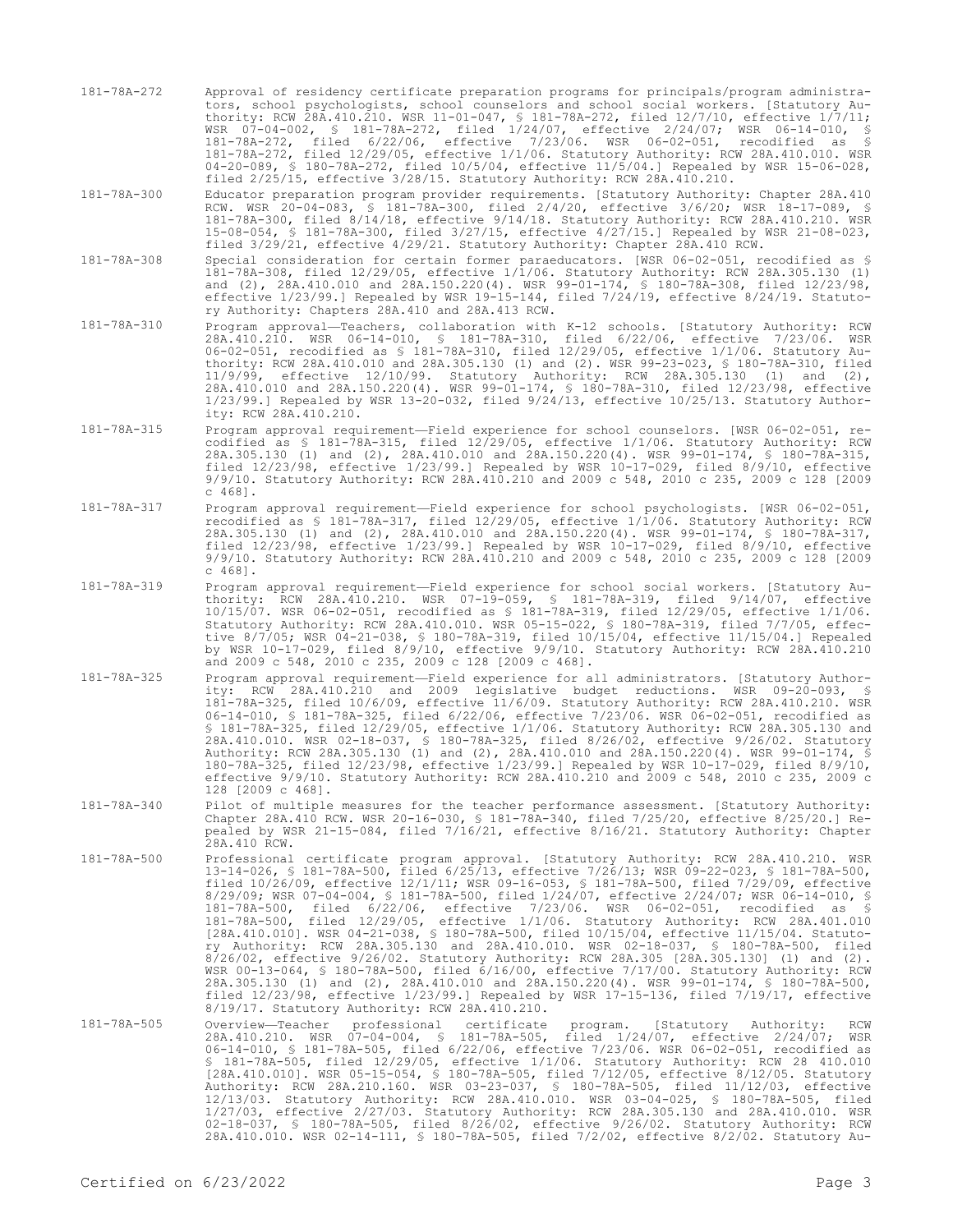- 181-78A-272 Approval of residency certificate preparation programs for principals/program administrators, school psychologists, school counselors and school social workers. [Statutory Authority: RCW 28A.410.210. WSR 11-01-047, § 181-78A-272, filed 12/7/10, effective 1/7/11; WSR 07-04-002, § 181-78A-272, filed 1/24/07, effective 2/24/07; WSR 06-14-010, § 181-78A-272, filed 6/22/06, effective 7/23/06. WSR 06-02-051, recodified as § 181-78A-272, filed 12/29/05, effective 1/1/06. Statutory Authority: RCW 28A.410.010. WSR 04-20-089, § 180-78A-272, filed 10/5/04, effective 11/5/04.] Repealed by WSR 15-06-028, filed 2/25/15, effective 3/28/15. Statutory Authority: RCW 28A.410.210.
- 181-78A-300 Educator preparation program provider requirements. [Statutory Authority: Chapter 28A.410 RCW. WSR 20-04-083, § 181-78A-300, filed 2/4/20, effective 3/6/20; WSR 18-17-089, § 181-78A-300, filed 8/14/18, effective 9/14/18. Statutory Authority: RCW 28A.410.210. WSR 15-08-054, § 181-78A-300, filed 3/27/15, effective 4/27/15.] Repealed by WSR 21-08-023, filed 3/29/21, effective 4/29/21. Statutory Authority: Chapter 28A.410 RCW.
- 181-78A-308 Special consideration for certain former paraeducators. [WSR 06-02-051, recodified as § 181-78A-308, filed 12/29/05, effective 1/1/06. Statutory Authority: RCW 28A.305.130 (1) and (2), 28A.410.010 and 28A.150.220(4). WSR 99-01-174, § 180-78A-308, filed 12/23/98, effective 1/23/99.] Repealed by WSR 19-15-144, filed 7/24/19, effective 8/24/19. Statutory Authority: Chapters 28A.410 and 28A.413 RCW.
- 181-78A-310 Program approval—Teachers, collaboration with K-12 schools. [Statutory Authority: RCW 28A.410.210. WSR 06-14-010, § 181-78A-310, filed 6/22/06, effective 7/23/06. WSR 06-02-051, recodified as § 181-78A-310, filed 12/29/05, effective 1/1/06. Statutory Authority: RCW 28A.410.010 and 28A.305.130 (1) and (2). WSR 99-23-023, § 180-78A-310, filed 11/9/99, effective 12/10/99. Statutory Authority: RCW 28A.305.130 (1) and (2), 28A.410.010 and 28A.150.220(4). WSR 99-01-174, § 180-78A-310, filed 12/23/98, effective 1/23/99.] Repealed by WSR 13-20-032, filed 9/24/13, effective 10/25/13. Statutory Authority: RCW 28A.410.210.
- 181-78A-315 Program approval requirement—Field experience for school counselors. [WSR 06-02-051, recodified as § 181-78A-315, filed 12/29/05, effective 1/1/06. Statutory Authority: RCW 28A.305.130 (1) and (2), 28A.410.010 and 28A.150.220(4). WSR 99-01-174, § 180-78A-315, filed 12/23/98, effective 1/23/99.] Repealed by WSR 10-17-029, filed 8/9/10, effective 9/9/10. Statutory Authority: RCW 28A.410.210 and 2009 c 548, 2010 c 235, 2009 c 128 [2009 c 468].
- 181-78A-317 Program approval requirement—Field experience for school psychologists. [WSR 06-02-051, recodified as § 181-78A-317, filed 12/29/05, effective 1/1/06. Statutory Authority: RCW 28A.305.130 (1) and (2), 28A.410.010 and 28A.150.220(4). WSR 99-01-174, § 180-78A-317, filed 12/23/98, effective 1/23/99.] Repealed by WSR 10-17-029, filed 8/9/10, effective 9/9/10. Statutory Authority: RCW 28A.410.210 and 2009 c 548, 2010 c 235, 2009 c 128 [2009 c 468].
- 181-78A-319 Program approval requirement—Field experience for school social workers. [Statutory Authority: RCW 28A.410.210. WSR 07-19-059, § 181-78A-319, filed 9/14/07, effective 10/15/07. WSR 06-02-051, recodified as § 181-78A-319, filed 12/29/05, effective 1/1/06. Statutory Authority: RCW 28A.410.010. WSR 05-15-022, § 180-78A-319, filed 7/7/05, effective 8/7/05; WSR 04-21-038, § 180-78A-319, filed 10/15/04, effective 11/15/04.] Repealed by WSR 10-17-029, filed 8/9/10, effective 9/9/10. Statutory Authority: RCW 28A.410.210 and 2009 c 548, 2010 c 235, 2009 c 128 [2009 c 468].
- 181-78A-325 Program approval requirement—Field experience for all administrators. [Statutory Authority: RCW 28A.410.210 and 2009 legislative budget reductions. WSR 09-20-093, § 181-78A-325, filed 10/6/09, effective 11/6/09. Statutory Authority: RCW 28A.410.210. WSR 06-14-010, § 181-78A-325, filed 6/22/06, effective 7/23/06. WSR 06-02-051, recodified as § 181-78A-325, filed 12/29/05, effective 1/1/06. Statutory Authority: RCW 28A.305.130 and 28A.410.010. WSR 02-18-037, § 180-78A-325, filed 8/26/02, effective 9/26/02. Statutory Authority: RCW 28A.305.130 (1) and (2), 28A.410.010 and 28A.150.220(4). WSR 99-01-174, § 180-78A-325, filed 12/23/98, effective 1/23/99.] Repealed by WSR 10-17-029, filed 8/9/10, effective 9/9/10. Statutory Authority: RCW 28A.410.210 and 2009 c 548, 2010 c 235, 2009 c 128 [2009 c 468].
- 181-78A-340 Pilot of multiple measures for the teacher performance assessment. [Statutory Authority: Chapter 28A.410 RCW. WSR 20-16-030, § 181-78A-340, filed 7/25/20, effective 8/25/20.] Repealed by WSR 21-15-084, filed 7/16/21, effective 8/16/21. Statutory Authority: Chapter 28A.410 RCW.
- 181-78A-500 Professional certificate program approval. [Statutory Authority: RCW 28A.410.210. WSR 13-14-026, § 181-78A-500, filed 6/25/13, effective 7/26/13; WSR 09-22-023, § 181-78A-500, filed 10/26/09, effective 12/1/11; WSR 09-16-053, § 181-78A-500, filed 7/29/09, effective 8/29/09; WSR 07-04-004, § 181-78A-500, filed 1/24/07, effective 2/24/07; WSR 06-14-010, § 181-78A-500, filed 6/22/06, effective 7/23/06. WSR 06-02-051, recodified as § 181-78A-500, filed 12/29/05, effective 1/1/06. Statutory Authority: RCW 28A.401.010 [28A.410.010]. WSR 04-21-038, § 180-78A-500, filed 10/15/04, effective 11/15/04. Statutory Authority: RCW 28A.305.130 and 28A.410.010. WSR 02-18-037, § 180-78A-500, filed 8/26/02, effective 9/26/02. Statutory Authority: RCW 28A.305 [28A.305.130] (1) and (2). WSR 00-13-064, § 180-78A-500, filed 6/16/00, effective 7/17/00. Statutory Authority: RCW 28A.305.130 (1) and (2), 28A.410.010 and 28A.150.220(4). WSR 99-01-174, § 180-78A-500, filed 12/23/98, effective 1/23/99.] Repealed by WSR 17-15-136, filed 7/19/17, effective 8/19/17. Statutory Authority: RCW 28A.410.210.
- 181-78A-505 Overview—Teacher professional certificate program. [Statutory Authority: RCW<br>28A.410.210. WSR 07-04-004, § 181-78A-505, filed 1/24/07, effective 2/24/07; WSR<br>06-14-010, § 181-78A-505, filed 6/22/06, effective 7 § 181-78A-505, filed 12/29/05, effective 1/1/06. Statutory Authority: RCW 28 410.010 [28A.410.010]. WSR 05-15-054, § 180-78A-505, filed 7/12/05, effective 8/12/05. Statutory Authority: RCW 28A.210.160. WSR 03-23-037, § 180-78A-505, filed 11/12/03, effective 12/13/03. Statutory Authority: RCW 28A.410.010. WSR 03-04-025, § 180-78A-505, filed 1/27/03, effective 2/27/03. Statutory Authority: RCW 28A.305.130 and 28A.410.010. WSR 02-18-037, § 180-78A-505, filed 8/26/02, effective 9/26/02. Statutory Authority: RCW 28A.410.010. WSR 02-14-111, § 180-78A-505, filed 7/2/02, effective 8/2/02. Statutory Au-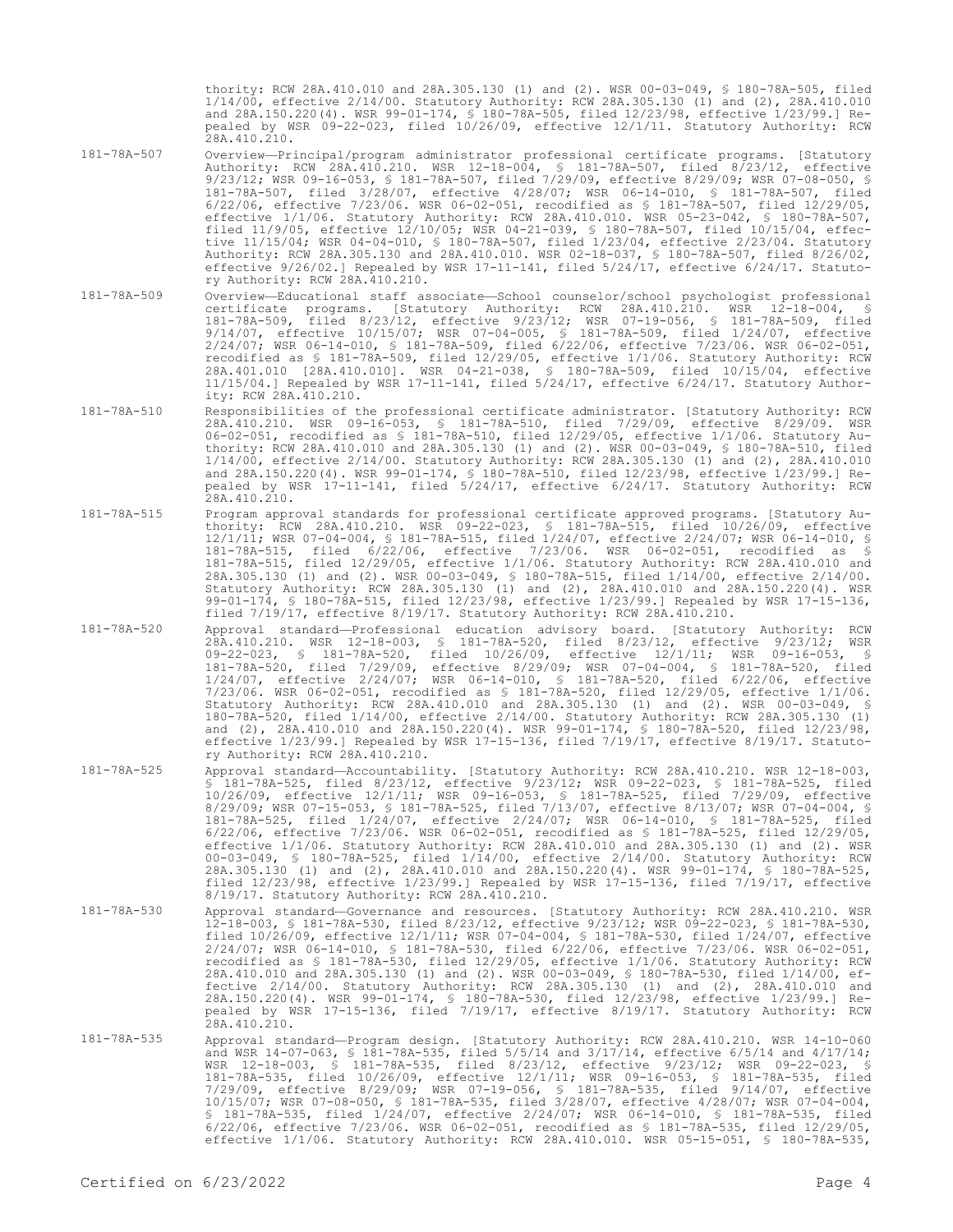thority: RCW 28A.410.010 and 28A.305.130 (1) and (2). WSR 00-03-049, § 180-78A-505, filed 1/14/00, effective 2/14/00. Statutory Authority: RCW 28A.305.130 (1) and (2), 28A.410.010 and 28A.150.220(4). WSR 99-01-174, § 180-78A-505, filed 12/23/98, effective 1/23/99.] Repealed by WSR 09-22-023, filed 10/26/09, effective 12/1/11. Statutory Authority: RCW 28A.410.210.

- 181-78A-507 Overview—Principal/program administrator professional certificate programs. [Statutory Authority: RCW 28A.410.210. WSR 12-18-004, § 181-78A-507, filed 8/23/12, effective 9/23/12; WSR 09-16-053, § 181-78A-507, filed 7/29/09, effective 8/29/09; WSR 07-08-050, § 181-78A-507, filed 3/28/07, effective 4/28/07; WSR 06-14-010, § 181-78A-507, filed 6/22/06, effective 7/23/06. WSR 06-02-051, recodified as § 181-78A-507, filed 12/29/05, effective 1/1/06. Statutory Authority: RCW 28A.410.010. WSR 05-23-042, § 180-78A-507, filed 11/9/05, effective 12/10/05; WSR 04-21-039, § 180-78A-507, filed 10/15/04, effective 11/15/04; WSR 04-04-010, § 180-78A-507, filed 1/23/04, effective 2/23/04. Statutory Authority: RCW 28A.305.130 and 28A.410.010. WSR 02-18-037, § 180-78A-507, filed 8/26/02, effective 9/26/02.] Repealed by WSR 17-11-141, filed 5/24/17, effective 6/24/17. Statutory Authority: RCW 28A.410.210.
- 181-78A-509 Overview—Educational staff associate—School counselor/school psychologist professional certificate programs. [Statutory Authority: RCW 28A.410.210. WSR 12-18-004, § 181-78A-509, filed 8/23/12, effective 9/23/12; WSR 07-19-056, § 181-78A-509, filed 9/14/07, effective 10/15/07; WSR 07-04-005, § 181-78A-509, filed 1/24/07, effective 2/24/07; WSR 06-14-010, § 181-78A-509, filed 6/22/06, effective 7/23/06. WSR 06-02-051, recodified as § 181-78A-509, filed 12/29/05, effective 1/1/06. Statutory Authority: RCW 28A.401.010 [28A.410.010]. WSR 04-21-038, § 180-78A-509, filed 10/15/04, effective 11/15/04.] Repealed by WSR 17-11-141, filed 5/24/17, effective 6/24/17. Statutory Authority: RCW 28A.410.210.
- 181-78A-510 Responsibilities of the professional certificate administrator. [Statutory Authority: RCW 28A.410.210. WSR 09-16-053, § 181-78A-510, filed 7/29/09, effective 8/29/09. WSR 06-02-051, recodified as § 181-78A-510, filed 12/29/05, effective 1/1/06. Statutory Authority: RCW 28A.410.010 and 28A.305.130 (1) and (2). WSR 00-03-049, § 180-78A-510, filed 1/14/00, effective 2/14/00. Statutory Authority: RCW 28A.305.130 (1) and (2), 28A.410.010 and 28A.150.220(4). WSR 99-01-174, § 180-78A-510, filed 12/23/98, effective 1/23/99.] Repealed by WSR 17-11-141, filed 5/24/17, effective 6/24/17. Statutory Authority: RCW 28A.410.210.
- 181-78A-515 Program approval standards for professional certificate approved programs. [Statutory Authority: RCW 28A.410.210. WSR 09-22-023, § 181-78A-515, filed 10/26/09, effective 12/1/11; WSR 07-04-004, § 181-78A-515, filed 1/24/07, effective 2/24/07; WSR 06-14-010, § 181-78A-515, filed 6/22/06, effective 7/23/06. WSR 06-02-051, recodified as § 181-78A-515, filed 12/29/05, effective 1/1/06. Statutory Authority: RCW 28A.410.010 and 28A.305.130 (1) and (2). WSR 00-03-049, § 180-78A-515, filed 1/14/00, effective 2/14/00. Statutory Authority: RCW 28A.305.130 (1) and (2), 28A.410.010 and 28A.150.220(4). WSR 99-01-174, § 180-78A-515, filed 12/23/98, effective 1/23/99.] Repealed by WSR 17-15-136, filed 7/19/17, effective 8/19/17. Statutory Authority: RCW 28A.410.210.
- 181-78A-520 Approval standard—Professional education advisory board. [Statutory Authority: RCW 28A.410.210. WSR 12-18-003, § 181-78A-520, filed 8/23/12, effective 9/23/12; WSR 09-22-023, § 181-78A-520, filed 10/26/09, effective 12/1/11; WSR 09-16-053, § 181-78A-520, filed 7/29/09, effective 8/29/09; WSR 07-04-004, § 181-78A-520, filed 1/24/07, effective 2/24/07; WSR 06-14-010, § 181-78A-520, filed 6/22/06, effective 7/23/06. WSR 06-02-051, recodified as § 181-78A-520, filed 12/29/05, effective 1/1/06. Statutory Authority: RCW 28A.410.010 and 28A.305.130 (1) and (2). WSR 00-03-049, § 180-78A-520, filed 1/14/00, effective 2/14/00. Statutory Authority: RCW 28A.305.130 (1) and (2), 28A.410.010 and 28A.150.220(4). WSR 99-01-174, § 180-78A-520, filed 12/23/98, effective 1/23/99.] Repealed by WSR 17-15-136, filed 7/19/17, effective 8/19/17. Statutory Authority: RCW 28A.410.210.
- 181-78A-525 Approval standard—Accountability. [Statutory Authority: RCW 28A.410.210. WSR 12-18-003, § 181-78A-525, filed 8/23/12, effective 9/23/12; WSR 09-22-023, § 181-78A-525, filed 10/26/09, effective 12/1/11; WSR 09-16-053, § 181-78A-525, filed 7/29/09, effective 8/29/09; WSR 07-15-053, § 181-78A-525, filed 7/13/07, effective 8/13/07; WSR 07-04-004, § 181-78A-525, filed 1/24/07, effective 2/24/07; WSR 06-14-010, § 181-78A-525, filed 6/22/06, effective 7/23/06. WSR 06-02-051, recodified as § 181-78A-525, filed 12/29/05, effective 1/1/06. Statutory Authority: RCW 28A.410.010 and 28A.305.130 (1) and (2). WSR 00-03-049, § 180-78A-525, filed 1/14/00, effective 2/14/00. Statutory Authority: RCW 28A.305.130 (1) and (2), 28A.410.010 and 28A.150.220(4). WSR 99-01-174, § 180-78A-525, filed 12/23/98, effective 1/23/99.] Repealed by WSR 17-15-136, filed 7/19/17, effective 8/19/17. Statutory Authority: RCW 28A.410.210.
- 181-78A-530 Approval standard—Governance and resources. [Statutory Authority: RCW 28A.410.210. WSR 12-18-003, § 181-78A-530, filed 8/23/12, effective 9/23/12; WSR 09-22-023, § 181-78A-530, filed 10/26/09, effective 12/1/11; WSR 07-04-004, § 181-78A-530, filed 1/24/07, effective 2/24/07; WSR 06-14-010, § 181-78A-530, filed 6/22/06, effective 7/23/06. WSR 06-02-051, recodified as § 181-78A-530, filed 12/29/05, effective 1/1/06. Statutory Authority: RCW 28A.410.010 and 28A.305.130 (1) and (2). WSR 00-03-049, § 180-78A-530, filed 1/14/00, effective 2/14/00. Statutory Authority: RCW 28A.305.130 (1) and (2), 28A.410.010 and 28A.150.220(4). WSR 99-01-174, § 180-78A-530, filed 12/23/98, effective 1/23/99.] Repealed by WSR 17-15-136, filed 7/19/17, effective 8/19/17. Statutory Authority: RCW 28A.410.210.
- 181-78A-535 Approval standard—Program design. [Statutory Authority: RCW 28A.410.210. WSR 14-10-060 and WSR 14-07-063, § 181-78A-535, filed 5/5/14 and 3/17/14, effective 6/5/14 and 4/17/14; WSR 12-18-003, § 181-78A-535, filed 8/23/12, effective 9/23/12; WSR 09-22-023, § 181-78A-535, filed 10/26/09, effective 12/1/11; WSR 09-16-053, § 181-78A-535, filed 7/29/09, effective 8/29/09; WSR 07-19-056, § 181-78A-535, filed 9/14/07, effective 10/15/07; WSR 07-08-050, § 181-78A-535, filed 3/28/07, effective 4/28/07; WSR 07-04-004, § 181-78A-535, filed 1/24/07, effective 2/24/07; WSR 06-14-010, § 181-78A-535, filed 6/22/06, effective 7/23/06. WSR 06-02-051, recodified as § 181-78A-535, filed 12/29/05, effective 1/1/06. Statutory Authority: RCW 28A.410.010. WSR 05-15-051, § 180-78A-535,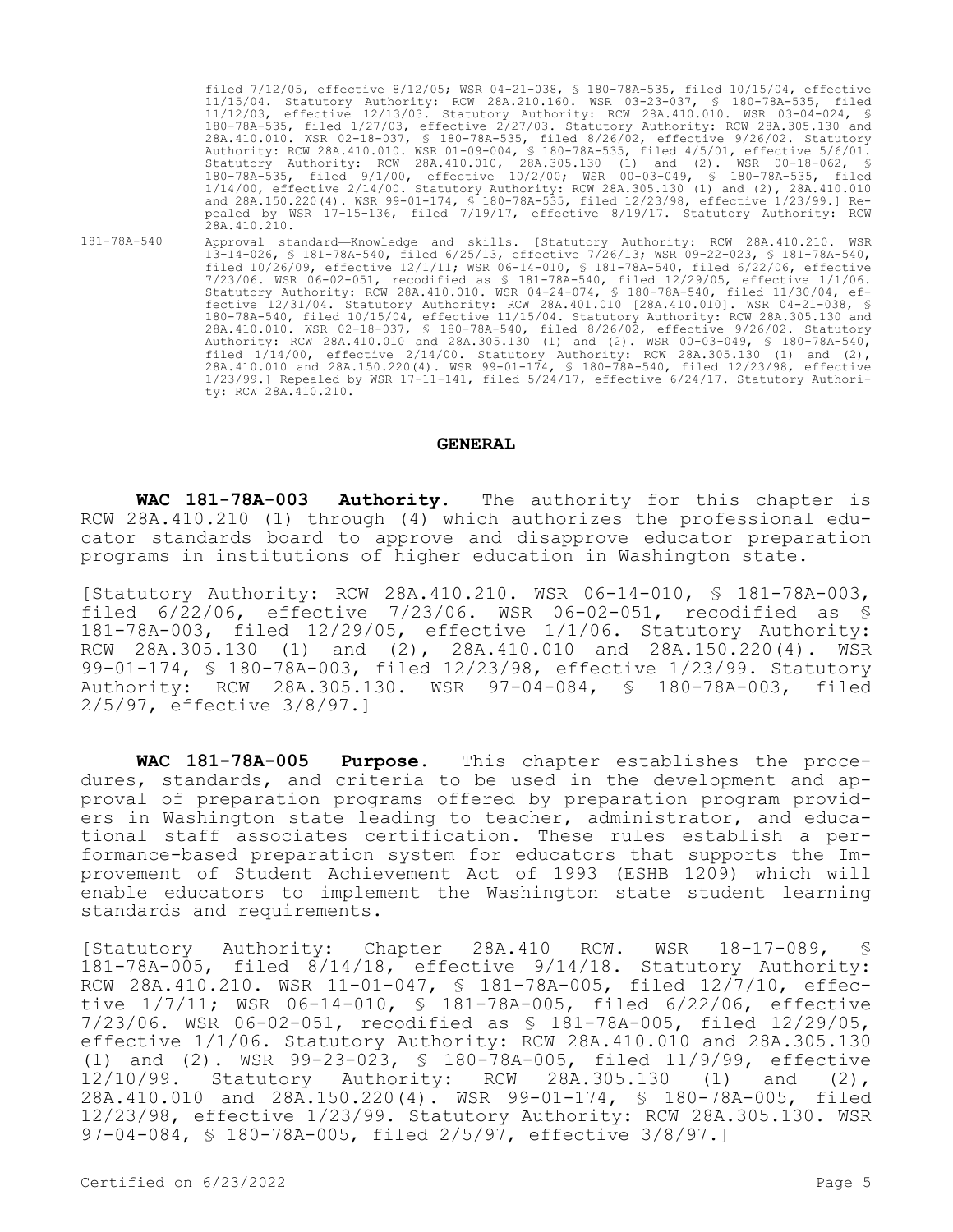filed 7/12/05, effective 8/12/05; WSR 04-21-038, § 180-78A-535, filed 10/15/04, effective 11/15/04. Statutory Authority: RCW 28A.210.160. WSR 03-23-037, § 180-78A-535, filed 11/12/03, effective 12/13/03. Statutory Authority: RCW 28A.410.010. WSR 03-04-024, § 180-78A-535, filed 1/27/03, effective 2/27/03. Statutory Authority: RCW 28A.305.130 and 28A.410.010. WSR 02-18-037, § 180-78A-535, filed 8/26/02, effective 9/26/02. Statutory Authority: RCW 28A.410.010. WSR 01-09-004, § 180-78A-535, filed 4/5/01, effective 5/6/01. Statutory Authority: RCW 28A.410.010, 28A.305.130 (1) and (2). WSR 00-18-062, § 180-78A-535, filed 9/1/00, effective 10/2/00; WSR 00-03-049, § 180-78A-535, filed 1/14/00, effective 2/14/00. Statutory Authority: RCW 28A.305.130 (1) and (2), 28A.410.010 and 28A.150.220(4). WSR 99-01-174, § 180-78A-535, filed 12/23/98, effective 1/23/99.] Repealed by WSR 17-15-136, filed 7/19/17, effective 8/19/17. Statutory Authority: RCW 28A.410.210. 181-78A-540 Approval standard—Knowledge and skills. [Statutory Authority: RCW 28A.410.210. WSR

13-14-026, § 181-78A-540, filed 6/25/13, effective 7/26/13; WSR 09-22-023, § 181-78A-540, filed 10/26/09, effective 12/1/11; WSR 06-14-010, § 181-78A-540, filed 6/22/06, effective 7/23/06. WSR 06-02-051, recodified as § 181-78A-540, filed 12/29/05, effective 1/1/06. Statutory Authority: RCW 28A.410.010. WSR 04-24-074, § 180-78A-540, filed 11/30/04, effective 12/31/04. Statutory Authority: RCW 28A.401.010 [28A.410.010]. WSR 04-21-038, § 180-78A-540, filed 10/15/04, effective 11/15/04. Statutory Authority: RCW 28A.305.130 and 28A.410.010. WSR 02-18-037, § 180-78A-540, filed 8/26/02, effective 9/26/02. Statutory Authority: RCW 28A.410.010 and 28A.305.130 (1) and (2). WSR 00-03-049, § 180-78A-540, filed  $1/14/00$ , effective  $2/14/00$ . Statutory Authority: RCW 28A.305.130 (1) and (2), 28A.410.010 and 28A.150.220(4). WSR 99-01-174, § 180-78A-540, filed 12/23/98, effective 1/23/99.] Repealed by WSR 17-11-141, filed 5/24/17, effective 6/24/17. Statutory Authority: RCW 28A.410.210.

#### **GENERAL**

**WAC 181-78A-003 Authority.** The authority for this chapter is RCW 28A.410.210 (1) through (4) which authorizes the professional educator standards board to approve and disapprove educator preparation programs in institutions of higher education in Washington state.

[Statutory Authority: RCW 28A.410.210. WSR 06-14-010, § 181-78A-003, filed 6/22/06, effective 7/23/06. WSR 06-02-051, recodified as § 181-78A-003, filed 12/29/05, effective 1/1/06. Statutory Authority: RCW 28A.305.130 (1) and (2), 28A.410.010 and 28A.150.220(4). WSR 99-01-174, § 180-78A-003, filed 12/23/98, effective 1/23/99. Statutory Authority: RCW 28A.305.130. WSR 97-04-084, § 180-78A-003, filed 2/5/97, effective 3/8/97.]

**WAC 181-78A-005 Purpose.** This chapter establishes the procedures, standards, and criteria to be used in the development and approval of preparation programs offered by preparation program providers in Washington state leading to teacher, administrator, and educational staff associates certification. These rules establish a performance-based preparation system for educators that supports the Improvement of Student Achievement Act of 1993 (ESHB 1209) which will enable educators to implement the Washington state student learning standards and requirements.

[Statutory Authority: Chapter 28A.410 RCW. WSR 18-17-089, § 181-78A-005, filed 8/14/18, effective 9/14/18. Statutory Authority: RCW 28A.410.210. WSR 11-01-047, § 181-78A-005, filed 12/7/10, effective 1/7/11; WSR 06-14-010, § 181-78A-005, filed 6/22/06, effective 7/23/06. WSR 06-02-051, recodified as § 181-78A-005, filed 12/29/05, effective 1/1/06. Statutory Authority: RCW 28A.410.010 and 28A.305.130 (1) and (2). WSR 99-23-023, § 180-78A-005, filed 11/9/99, effective 12/10/99. Statutory Authority: RCW 28A.305.130 (1) and (2), 28A.410.010 and 28A.150.220(4). WSR 99-01-174, § 180-78A-005, filed 12/23/98, effective 1/23/99. Statutory Authority: RCW 28A.305.130. WSR 97-04-084, § 180-78A-005, filed 2/5/97, effective 3/8/97.]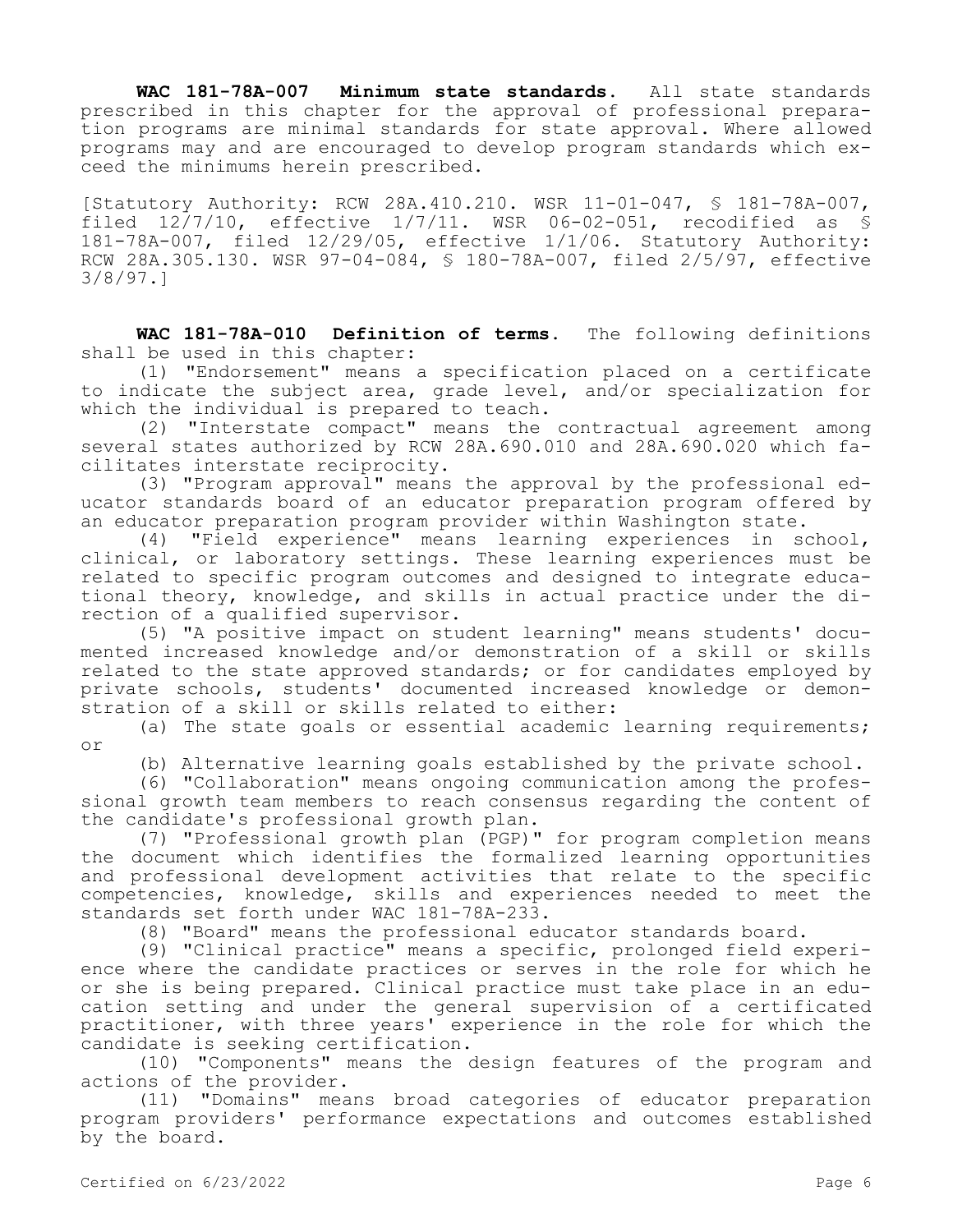**WAC 181-78A-007 Minimum state standards.** All state standards prescribed in this chapter for the approval of professional preparation programs are minimal standards for state approval. Where allowed programs may and are encouraged to develop program standards which exceed the minimums herein prescribed.

[Statutory Authority: RCW 28A.410.210. WSR 11-01-047, § 181-78A-007, filed  $12/7/10$ , effective  $1/7/11$ . WSR 06-02-051, recodified as § 181-78A-007, filed 12/29/05, effective 1/1/06. Statutory Authority: RCW 28A.305.130. WSR 97-04-084, § 180-78A-007, filed 2/5/97, effective 3/8/97.]

**WAC 181-78A-010 Definition of terms.** The following definitions shall be used in this chapter:

(1) "Endorsement" means a specification placed on a certificate to indicate the subject area, grade level, and/or specialization for which the individual is prepared to teach.

(2) "Interstate compact" means the contractual agreement among several states authorized by RCW 28A.690.010 and 28A.690.020 which facilitates interstate reciprocity.

(3) "Program approval" means the approval by the professional educator standards board of an educator preparation program offered by an educator preparation program provider within Washington state.

(4) "Field experience" means learning experiences in school, clinical, or laboratory settings. These learning experiences must be related to specific program outcomes and designed to integrate educational theory, knowledge, and skills in actual practice under the direction of a qualified supervisor.

(5) "A positive impact on student learning" means students' documented increased knowledge and/or demonstration of a skill or skills related to the state approved standards; or for candidates employed by private schools, students' documented increased knowledge or demonstration of a skill or skills related to either:

(a) The state goals or essential academic learning requirements; or

(b) Alternative learning goals established by the private school.

(6) "Collaboration" means ongoing communication among the professional growth team members to reach consensus regarding the content of the candidate's professional growth plan.

(7) "Professional growth plan (PGP)" for program completion means the document which identifies the formalized learning opportunities and professional development activities that relate to the specific competencies, knowledge, skills and experiences needed to meet the standards set forth under WAC 181-78A-233.

(8) "Board" means the professional educator standards board.

(9) "Clinical practice" means a specific, prolonged field experience where the candidate practices or serves in the role for which he or she is being prepared. Clinical practice must take place in an education setting and under the general supervision of a certificated practitioner, with three years' experience in the role for which the candidate is seeking certification.

(10) "Components" means the design features of the program and actions of the provider.

(11) "Domains" means broad categories of educator preparation program providers' performance expectations and outcomes established by the board.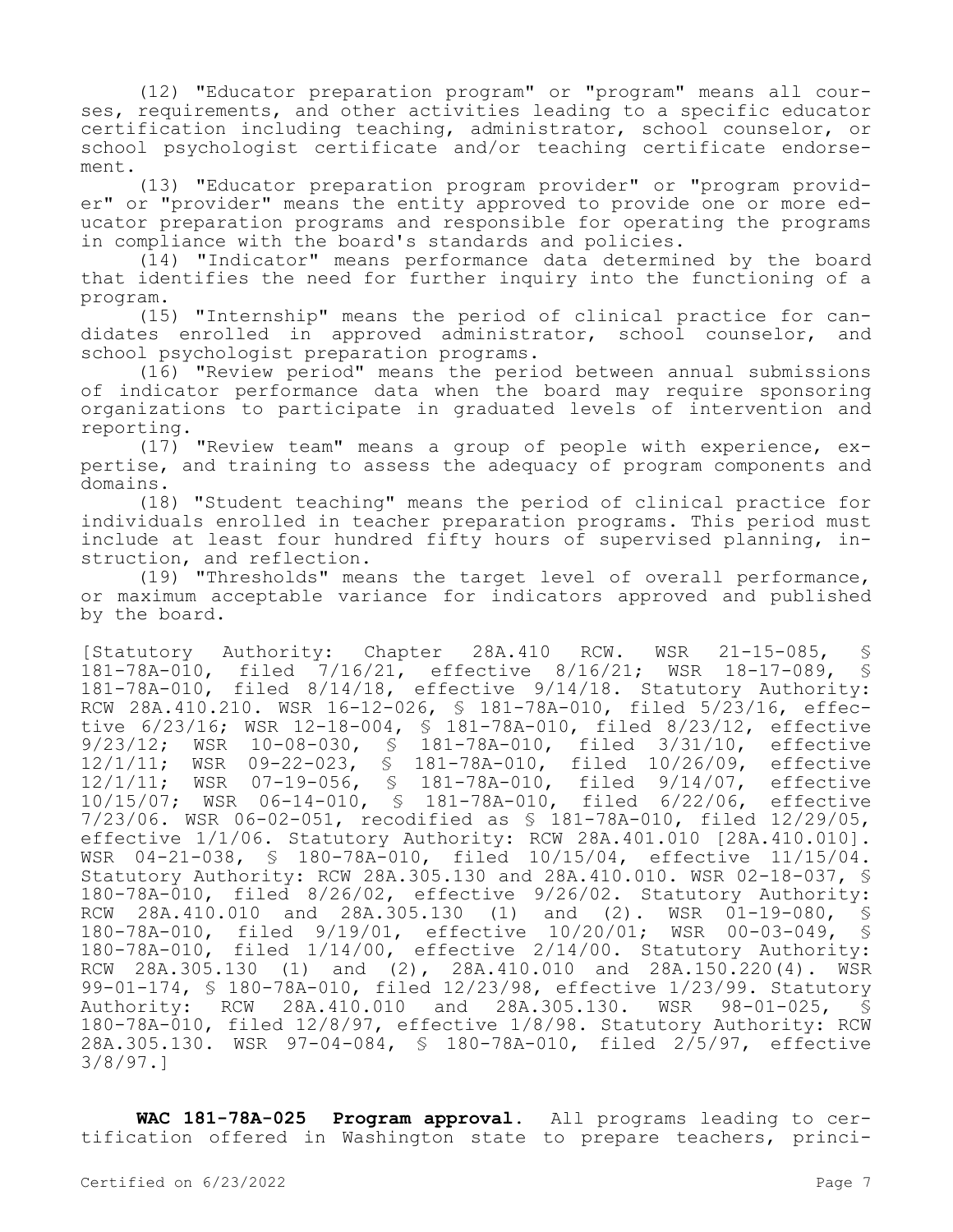(12) "Educator preparation program" or "program" means all courses, requirements, and other activities leading to a specific educator certification including teaching, administrator, school counselor, or school psychologist certificate and/or teaching certificate endorsement.

(13) "Educator preparation program provider" or "program provider" or "provider" means the entity approved to provide one or more educator preparation programs and responsible for operating the programs in compliance with the board's standards and policies.

(14) "Indicator" means performance data determined by the board that identifies the need for further inquiry into the functioning of a program.

(15) "Internship" means the period of clinical practice for candidates enrolled in approved administrator, school counselor, and school psychologist preparation programs.

(16) "Review period" means the period between annual submissions of indicator performance data when the board may require sponsoring organizations to participate in graduated levels of intervention and reporting.

(17) "Review team" means a group of people with experience, expertise, and training to assess the adequacy of program components and domains.

(18) "Student teaching" means the period of clinical practice for individuals enrolled in teacher preparation programs. This period must include at least four hundred fifty hours of supervised planning, instruction, and reflection.

(19) "Thresholds" means the target level of overall performance, or maximum acceptable variance for indicators approved and published by the board.

[Statutory Authority: Chapter 28A.410 RCW. WSR 21-15-085, § 181-78A-010, filed 7/16/21, effective 8/16/21; WSR 18-17-089, § 181-78A-010, filed 8/14/18, effective 9/14/18. Statutory Authority: RCW 28A.410.210. WSR 16-12-026, § 181-78A-010, filed 5/23/16, effective 6/23/16; WSR 12-18-004, § 181-78A-010, filed 8/23/12, effective 9/23/12; WSR 10-08-030, § 181-78A-010, filed 3/31/10, effective 12/1/11; WSR 09-22-023, § 181-78A-010, filed 10/26/09, effective 12/1/11; WSR 07-19-056, § 181-78A-010, filed 9/14/07, effective 10/15/07; WSR 06-14-010, § 181-78A-010, filed 6/22/06, effective 7/23/06. WSR 06-02-051, recodified as § 181-78A-010, filed 12/29/05, effective 1/1/06. Statutory Authority: RCW 28A.401.010 [28A.410.010]. WSR 04-21-038, § 180-78A-010, filed 10/15/04, effective 11/15/04. Statutory Authority: RCW 28A.305.130 and 28A.410.010. WSR 02-18-037, § 180-78A-010, filed 8/26/02, effective 9/26/02. Statutory Authority:<br>RCW 28A.410.010 and 28A.305.130 (1) and (2). WSR 01-19-080, \$ 28A.410.010 and 28A.305.130 (1) and (2). WSR 01-19-080, § 180-78A-010, filed 9/19/01, effective 10/20/01; WSR 00-03-049, § 180-78A-010, filed 1/14/00, effective 2/14/00. Statutory Authority: RCW 28A.305.130 (1) and (2), 28A.410.010 and 28A.150.220(4).  $\overline{MSR}$ 99-01-174, § 180-78A-010, filed 12/23/98, effective 1/23/99. Statutory Authority: RCW 28A.410.010 and 28A.305.130. WSR 98-01-025, § 180-78A-010, filed 12/8/97, effective 1/8/98. Statutory Authority: RCW 28A.305.130. WSR 97-04-084, § 180-78A-010, filed 2/5/97, effective 3/8/97.]

**WAC 181-78A-025 Program approval.** All programs leading to certification offered in Washington state to prepare teachers, princi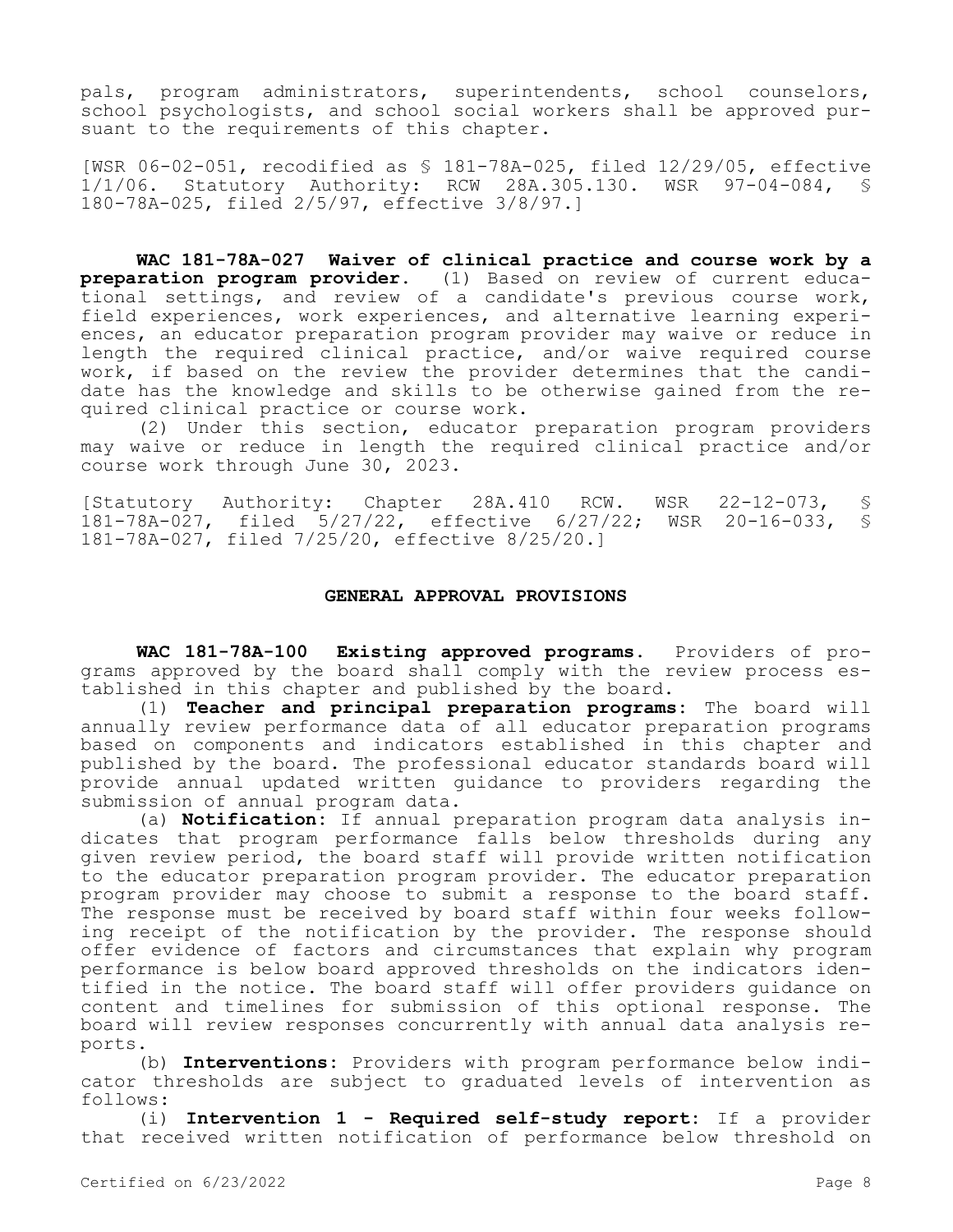pals, program administrators, superintendents, school counselors, school psychologists, and school social workers shall be approved pursuant to the requirements of this chapter.

[WSR 06-02-051, recodified as § 181-78A-025, filed 12/29/05, effective 1/1/06. Statutory Authority: RCW 28A.305.130. WSR 97-04-084, § 180-78A-025, filed 2/5/97, effective 3/8/97.]

**WAC 181-78A-027 Waiver of clinical practice and course work by a preparation program provider.** (1) Based on review of current educational settings, and review of a candidate's previous course work, field experiences, work experiences, and alternative learning experiences, an educator preparation program provider may waive or reduce in length the required clinical practice, and/or waive required course work, if based on the review the provider determines that the candidate has the knowledge and skills to be otherwise gained from the required clinical practice or course work.

(2) Under this section, educator preparation program providers may waive or reduce in length the required clinical practice and/or course work through June 30, 2023.

[Statutory Authority: Chapter 28A.410 RCW. WSR 22-12-073, § 181-78A-027, filed 5/27/22, effective 6/27/22; WSR 20-16-033, § 181-78A-027, filed 7/25/20, effective 8/25/20.]

### **GENERAL APPROVAL PROVISIONS**

WAC 181-78A-100 Existing approved programs. Providers of programs approved by the board shall comply with the review process established in this chapter and published by the board.

(1) **Teacher and principal preparation programs:** The board will annually review performance data of all educator preparation programs based on components and indicators established in this chapter and published by the board. The professional educator standards board will provide annual updated written guidance to providers regarding the submission of annual program data.

(a) **Notification:** If annual preparation program data analysis indicates that program performance falls below thresholds during any given review period, the board staff will provide written notification to the educator preparation program provider. The educator preparation program provider may choose to submit a response to the board staff. The response must be received by board staff within four weeks following receipt of the notification by the provider. The response should offer evidence of factors and circumstances that explain why program performance is below board approved thresholds on the indicators identified in the notice. The board staff will offer providers guidance on content and timelines for submission of this optional response. The board will review responses concurrently with annual data analysis reports.

(b) **Interventions:** Providers with program performance below indicator thresholds are subject to graduated levels of intervention as follows:

(i) **Intervention 1 - Required self-study report:** If a provider that received written notification of performance below threshold on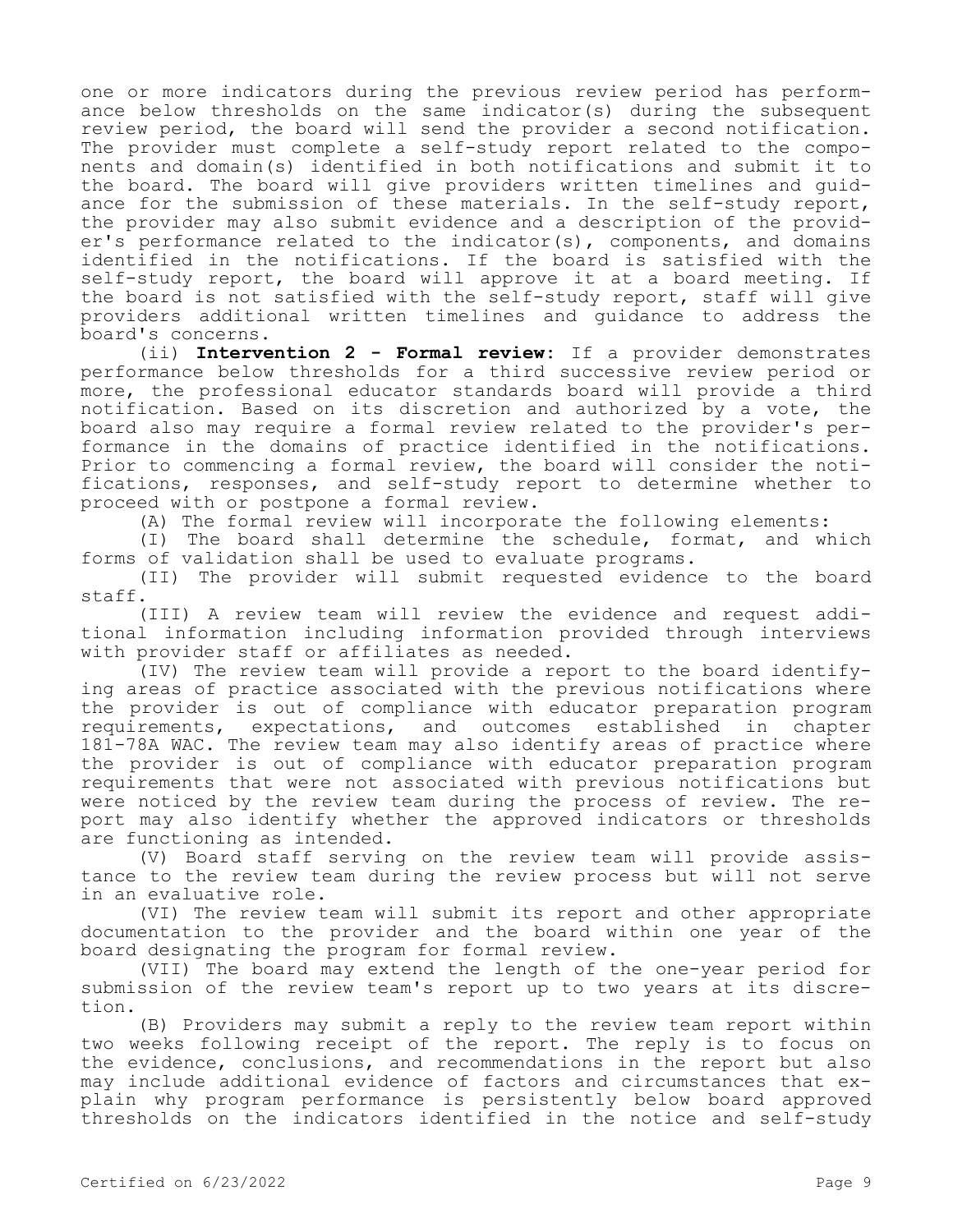one or more indicators during the previous review period has performance below thresholds on the same indicator(s) during the subsequent review period, the board will send the provider a second notification. The provider must complete a self-study report related to the components and domain(s) identified in both notifications and submit it to the board. The board will give providers written timelines and guidance for the submission of these materials. In the self-study report, the provider may also submit evidence and a description of the provider's performance related to the indicator(s), components, and domains identified in the notifications. If the board is satisfied with the self-study report, the board will approve it at a board meeting. If the board is not satisfied with the self-study report, staff will give providers additional written timelines and guidance to address the board's concerns.

(ii) **Intervention 2 - Formal review:** If a provider demonstrates performance below thresholds for a third successive review period or more, the professional educator standards board will provide a third notification. Based on its discretion and authorized by a vote, the board also may require a formal review related to the provider's performance in the domains of practice identified in the notifications. Prior to commencing a formal review, the board will consider the notifications, responses, and self-study report to determine whether to proceed with or postpone a formal review.

(A) The formal review will incorporate the following elements:

(I) The board shall determine the schedule, format, and which forms of validation shall be used to evaluate programs.

(II) The provider will submit requested evidence to the board staff.

(III) A review team will review the evidence and request additional information including information provided through interviews with provider staff or affiliates as needed.

(IV) The review team will provide a report to the board identifying areas of practice associated with the previous notifications where the provider is out of compliance with educator preparation program<br>requirements, expectations, and outcomes established in chapter requirements, expectations, and outcomes established in chapter 181-78A WAC. The review team may also identify areas of practice where the provider is out of compliance with educator preparation program requirements that were not associated with previous notifications but were noticed by the review team during the process of review. The report may also identify whether the approved indicators or thresholds are functioning as intended.

(V) Board staff serving on the review team will provide assistance to the review team during the review process but will not serve in an evaluative role.

(VI) The review team will submit its report and other appropriate documentation to the provider and the board within one year of the board designating the program for formal review.

(VII) The board may extend the length of the one-year period for submission of the review team's report up to two years at its discretion.

(B) Providers may submit a reply to the review team report within two weeks following receipt of the report. The reply is to focus on the evidence, conclusions, and recommendations in the report but also may include additional evidence of factors and circumstances that explain why program performance is persistently below board approved thresholds on the indicators identified in the notice and self-study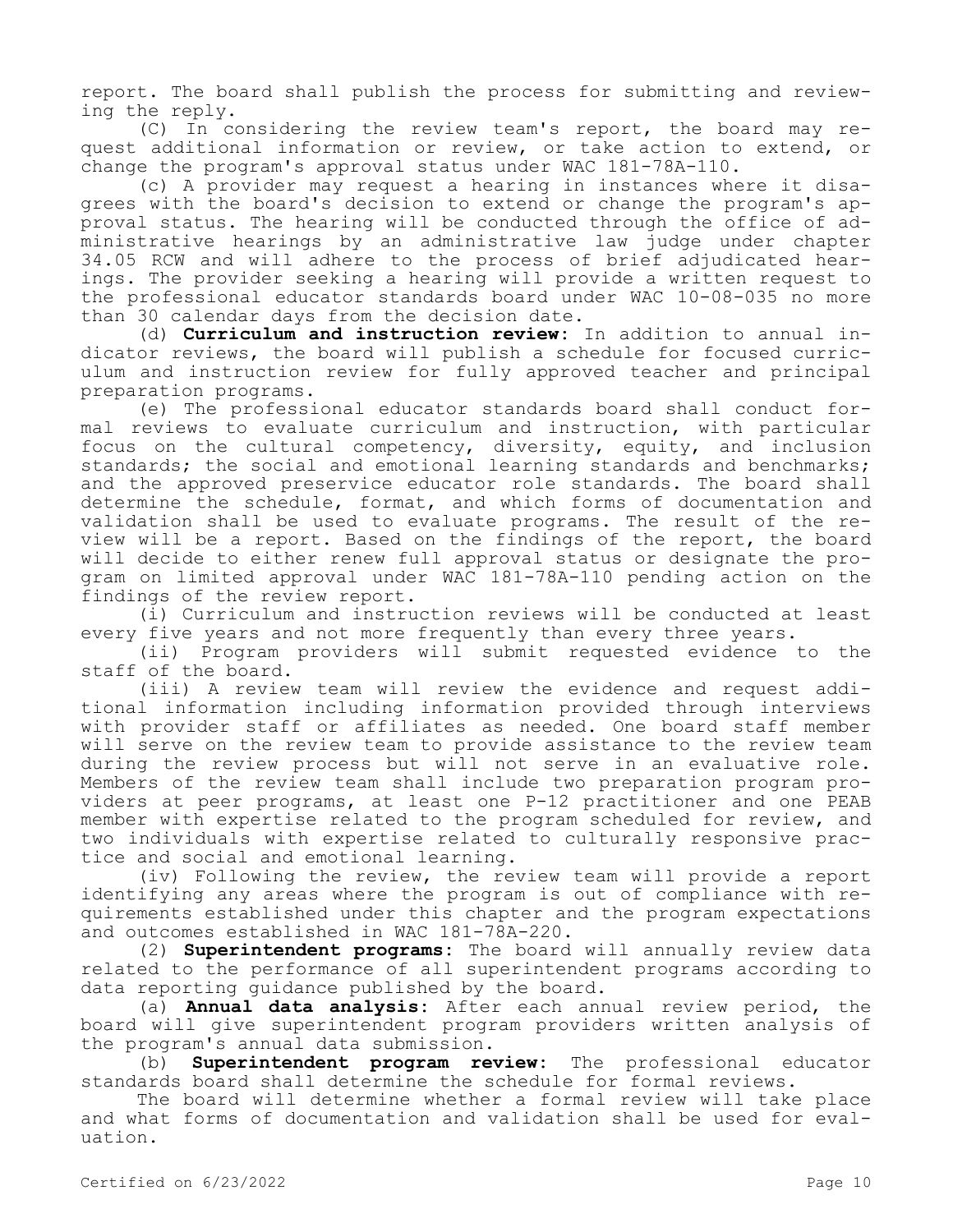report. The board shall publish the process for submitting and reviewing the reply.

(C) In considering the review team's report, the board may request additional information or review, or take action to extend, or change the program's approval status under WAC 181-78A-110.

(c) A provider may request a hearing in instances where it disagrees with the board's decision to extend or change the program's approval status. The hearing will be conducted through the office of administrative hearings by an administrative law judge under chapter 34.05 RCW and will adhere to the process of brief adjudicated hearings. The provider seeking a hearing will provide a written request to the professional educator standards board under WAC 10-08-035 no more than 30 calendar days from the decision date.

(d) **Curriculum and instruction review:** In addition to annual indicator reviews, the board will publish a schedule for focused curriculum and instruction review for fully approved teacher and principal preparation programs.

(e) The professional educator standards board shall conduct formal reviews to evaluate curriculum and instruction, with particular focus on the cultural competency, diversity, equity, and inclusion standards; the social and emotional learning standards and benchmarks; and the approved preservice educator role standards. The board shall determine the schedule, format, and which forms of documentation and validation shall be used to evaluate programs. The result of the review will be a report. Based on the findings of the report, the board will decide to either renew full approval status or designate the program on limited approval under WAC 181-78A-110 pending action on the findings of the review report.

(i) Curriculum and instruction reviews will be conducted at least every five years and not more frequently than every three years.

(ii) Program providers will submit requested evidence to the staff of the board.

(iii) A review team will review the evidence and request additional information including information provided through interviews with provider staff or affiliates as needed. One board staff member will serve on the review team to provide assistance to the review team during the review process but will not serve in an evaluative role. Members of the review team shall include two preparation program providers at peer programs, at least one P-12 practitioner and one PEAB member with expertise related to the program scheduled for review, and two individuals with expertise related to culturally responsive practice and social and emotional learning.

(iv) Following the review, the review team will provide a report identifying any areas where the program is out of compliance with requirements established under this chapter and the program expectations and outcomes established in WAC 181-78A-220.

(2) **Superintendent programs:** The board will annually review data related to the performance of all superintendent programs according to data reporting guidance published by the board.

(a) **Annual data analysis:** After each annual review period, the board will give superintendent program providers written analysis of the program's annual data submission.

(b) **Superintendent program review:** The professional educator standards board shall determine the schedule for formal reviews.

The board will determine whether a formal review will take place and what forms of documentation and validation shall be used for evaluation.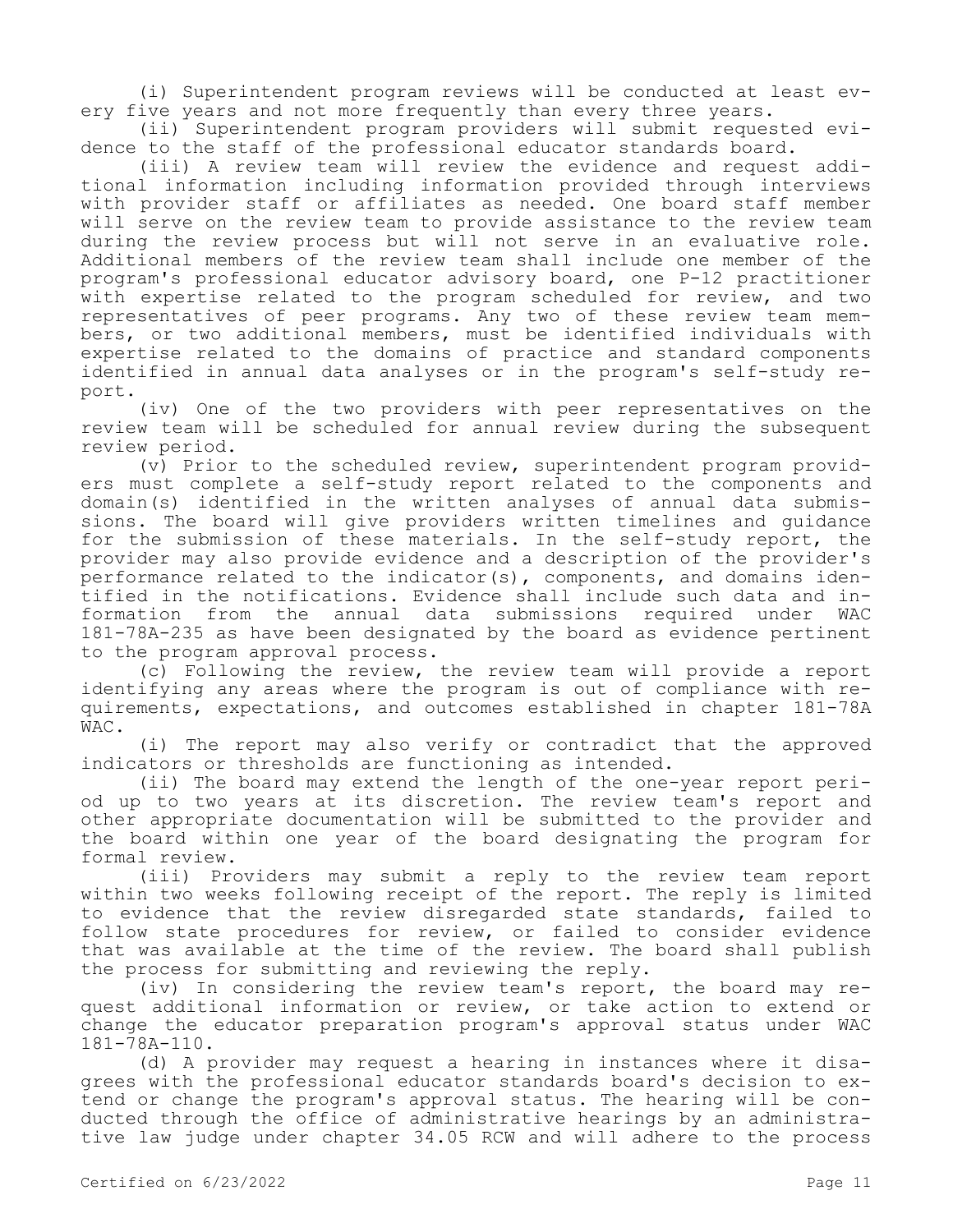(i) Superintendent program reviews will be conducted at least every five years and not more frequently than every three years.

(ii) Superintendent program providers will submit requested evidence to the staff of the professional educator standards board.

(iii) A review team will review the evidence and request additional information including information provided through interviews with provider staff or affiliates as needed. One board staff member will serve on the review team to provide assistance to the review team during the review process but will not serve in an evaluative role. Additional members of the review team shall include one member of the program's professional educator advisory board, one P-12 practitioner with expertise related to the program scheduled for review, and two representatives of peer programs. Any two of these review team members, or two additional members, must be identified individuals with expertise related to the domains of practice and standard components identified in annual data analyses or in the program's self-study report.

(iv) One of the two providers with peer representatives on the review team will be scheduled for annual review during the subsequent review period.

(v) Prior to the scheduled review, superintendent program providers must complete a self-study report related to the components and domain(s) identified in the written analyses of annual data submissions. The board will give providers written timelines and guidance for the submission of these materials. In the self-study report, the provider may also provide evidence and a description of the provider's performance related to the indicator(s), components, and domains identified in the notifications. Evidence shall include such data and in-<br>formation from the annual data submissions required under WAC formation from the annual data submissions required under WAC 181-78A-235 as have been designated by the board as evidence pertinent to the program approval process.

(c) Following the review, the review team will provide a report identifying any areas where the program is out of compliance with requirements, expectations, and outcomes established in chapter 181-78A WAC.

(i) The report may also verify or contradict that the approved indicators or thresholds are functioning as intended.

(ii) The board may extend the length of the one-year report period up to two years at its discretion. The review team's report and other appropriate documentation will be submitted to the provider and the board within one year of the board designating the program for formal review.

(iii) Providers may submit a reply to the review team report within two weeks following receipt of the report. The reply is limited to evidence that the review disregarded state standards, failed to follow state procedures for review, or failed to consider evidence that was available at the time of the review. The board shall publish the process for submitting and reviewing the reply.

(iv) In considering the review team's report, the board may request additional information or review, or take action to extend or change the educator preparation program's approval status under WAC 181-78A-110.

(d) A provider may request a hearing in instances where it disagrees with the professional educator standards board's decision to extend or change the program's approval status. The hearing will be conducted through the office of administrative hearings by an administrative law judge under chapter 34.05 RCW and will adhere to the process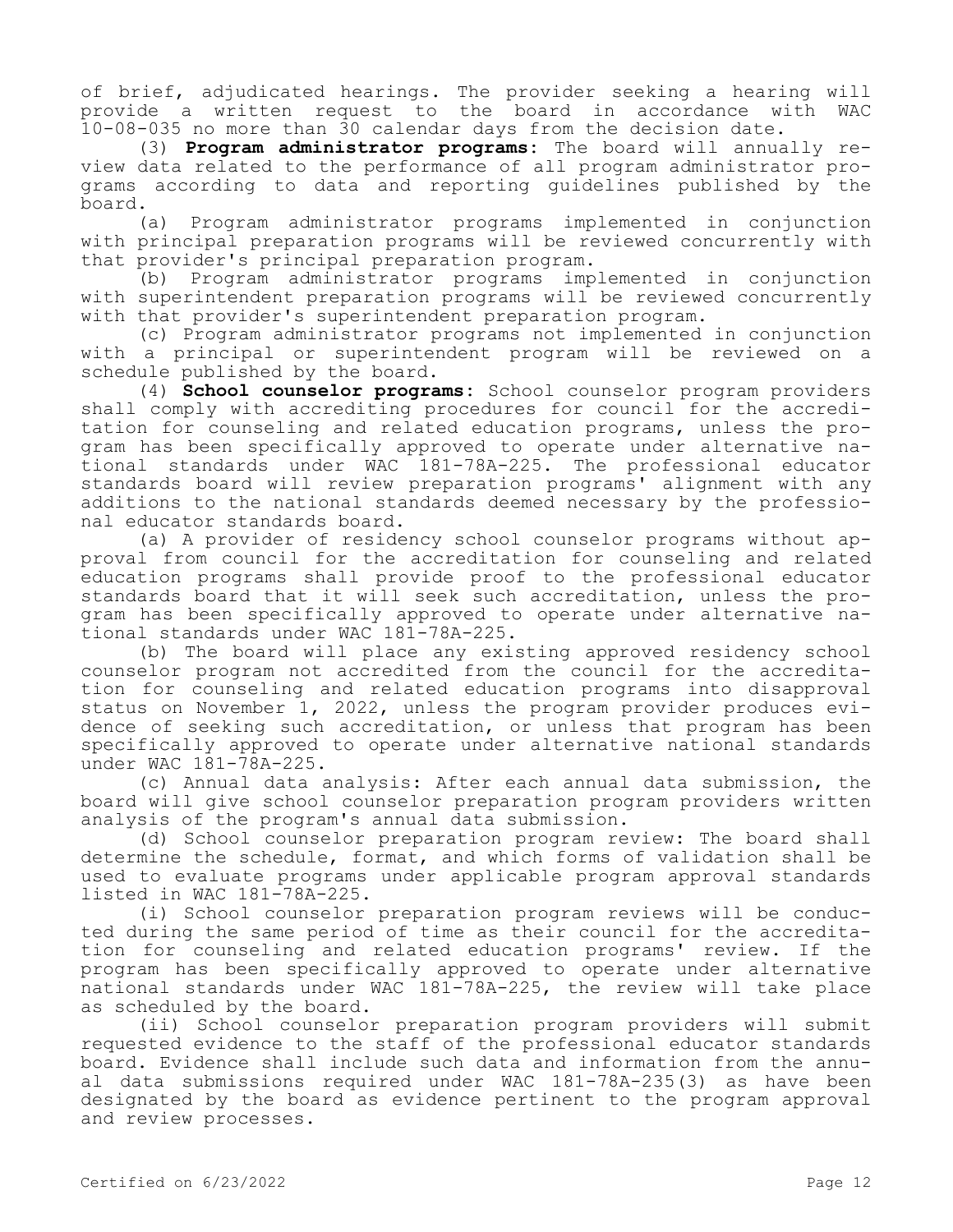of brief, adjudicated hearings. The provider seeking a hearing will provide a written request to the board in accordance with WAC 10-08-035 no more than 30 calendar days from the decision date.

(3) **Program administrator programs:** The board will annually review data related to the performance of all program administrator programs according to data and reporting guidelines published by the board.

(a) Program administrator programs implemented in conjunction with principal preparation programs will be reviewed concurrently with that provider's principal preparation program.

(b) Program administrator programs implemented in conjunction with superintendent preparation programs will be reviewed concurrently with that provider's superintendent preparation program.

(c) Program administrator programs not implemented in conjunction with a principal or superintendent program will be reviewed on a schedule published by the board.

(4) **School counselor programs:** School counselor program providers shall comply with accrediting procedures for council for the accreditation for counseling and related education programs, unless the program has been specifically approved to operate under alternative national standards under WAC 181-78A-225. The professional educator standards board will review preparation programs' alignment with any additions to the national standards deemed necessary by the professional educator standards board.

(a) A provider of residency school counselor programs without approval from council for the accreditation for counseling and related education programs shall provide proof to the professional educator standards board that it will seek such accreditation, unless the program has been specifically approved to operate under alternative national standards under WAC 181-78A-225.

(b) The board will place any existing approved residency school counselor program not accredited from the council for the accreditation for counseling and related education programs into disapproval status on November 1, 2022, unless the program provider produces evidence of seeking such accreditation, or unless that program has been specifically approved to operate under alternative national standards under WAC 181-78A-225.

(c) Annual data analysis: After each annual data submission, the board will give school counselor preparation program providers written analysis of the program's annual data submission.

(d) School counselor preparation program review: The board shall determine the schedule, format, and which forms of validation shall be used to evaluate programs under applicable program approval standards listed in WAC 181-78A-225.

(i) School counselor preparation program reviews will be conducted during the same period of time as their council for the accreditation for counseling and related education programs' review. If the program has been specifically approved to operate under alternative national standards under WAC 181-78A-225, the review will take place as scheduled by the board.

(ii) School counselor preparation program providers will submit requested evidence to the staff of the professional educator standards board. Evidence shall include such data and information from the annual data submissions required under WAC 181-78A-235(3) as have been designated by the board as evidence pertinent to the program approval and review processes.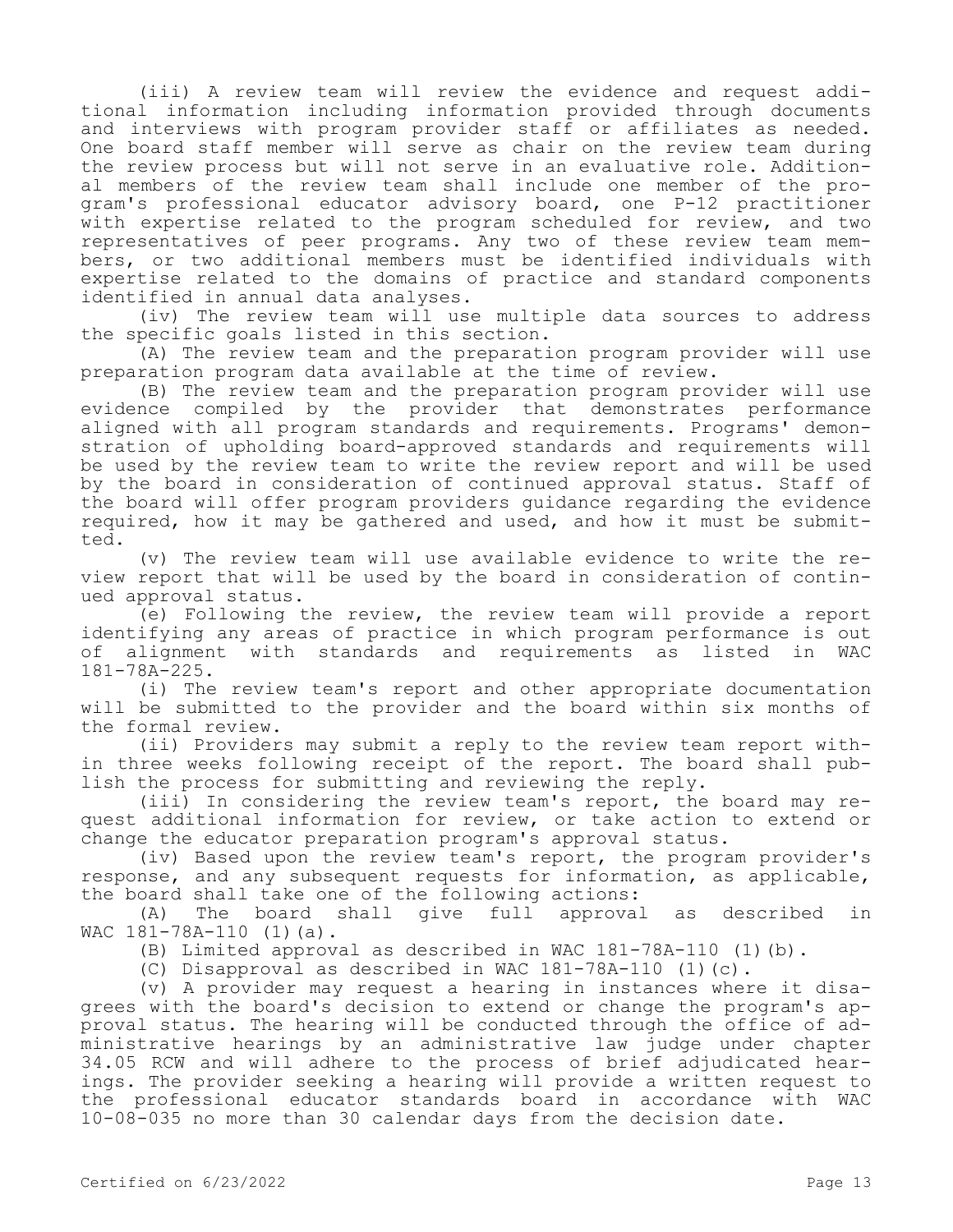(iii) A review team will review the evidence and request additional information including information provided through documents and interviews with program provider staff or affiliates as needed. One board staff member will serve as chair on the review team during the review process but will not serve in an evaluative role. Additional members of the review team shall include one member of the program's professional educator advisory board, one P-12 practitioner with expertise related to the program scheduled for review, and two representatives of peer programs. Any two of these review team members, or two additional members must be identified individuals with expertise related to the domains of practice and standard components identified in annual data analyses.

(iv) The review team will use multiple data sources to address the specific goals listed in this section.

(A) The review team and the preparation program provider will use preparation program data available at the time of review.

(B) The review team and the preparation program provider will use evidence compiled by the provider that demonstrates performance aligned with all program standards and requirements. Programs' demonstration of upholding board-approved standards and requirements will be used by the review team to write the review report and will be used by the board in consideration of continued approval status. Staff of the board will offer program providers guidance regarding the evidence required, how it may be gathered and used, and how it must be submitted.

(v) The review team will use available evidence to write the review report that will be used by the board in consideration of continued approval status.

(e) Following the review, the review team will provide a report identifying any areas of practice in which program performance is out of alignment with standards and requirements as listed in WAC 181-78A-225.

(i) The review team's report and other appropriate documentation will be submitted to the provider and the board within six months of the formal review.

(ii) Providers may submit a reply to the review team report within three weeks following receipt of the report. The board shall publish the process for submitting and reviewing the reply.

(iii) In considering the review team's report, the board may request additional information for review, or take action to extend or change the educator preparation program's approval status.

(iv) Based upon the review team's report, the program provider's response, and any subsequent requests for information, as applicable, the board shall take one of the following actions:

(A) The board shall give full approval as described in WAC 181-78A-110 (1)(a).

(B) Limited approval as described in WAC 181-78A-110 (1)(b).

(C) Disapproval as described in WAC 181-78A-110 (1)(c).

(v) A provider may request a hearing in instances where it disagrees with the board's decision to extend or change the program's approval status. The hearing will be conducted through the office of administrative hearings by an administrative law judge under chapter 34.05 RCW and will adhere to the process of brief adjudicated hearings. The provider seeking a hearing will provide a written request to the professional educator standards board in accordance with WAC 10-08-035 no more than 30 calendar days from the decision date.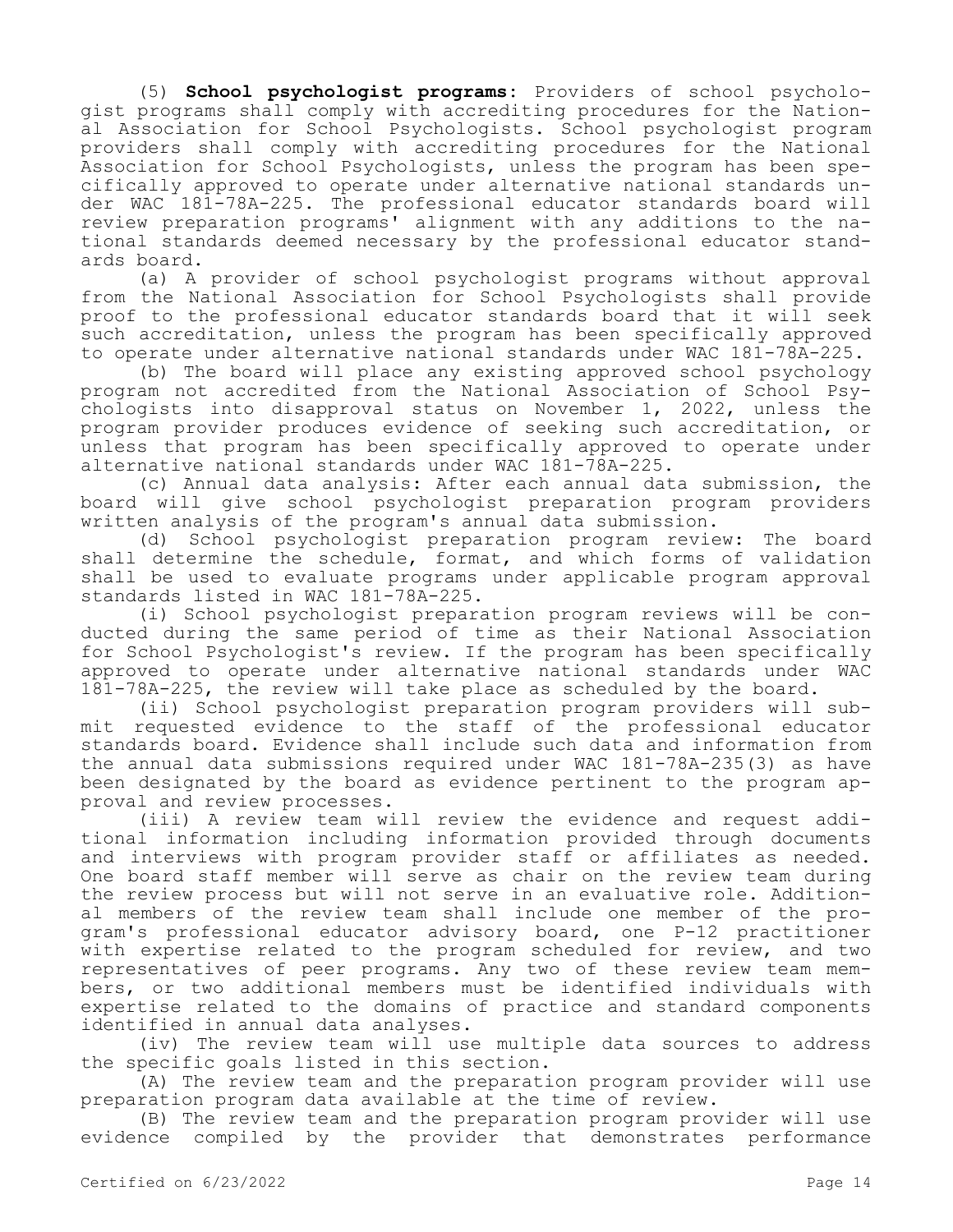(5) **School psychologist programs:** Providers of school psychologist programs shall comply with accrediting procedures for the National Association for School Psychologists. School psychologist program providers shall comply with accrediting procedures for the National Association for School Psychologists, unless the program has been specifically approved to operate under alternative national standards under WAC 181-78A-225. The professional educator standards board will review preparation programs' alignment with any additions to the national standards deemed necessary by the professional educator standards board.

(a) A provider of school psychologist programs without approval from the National Association for School Psychologists shall provide proof to the professional educator standards board that it will seek such accreditation, unless the program has been specifically approved to operate under alternative national standards under WAC 181-78A-225.

(b) The board will place any existing approved school psychology program not accredited from the National Association of School Psychologists into disapproval status on November 1, 2022, unless the program provider produces evidence of seeking such accreditation, or unless that program has been specifically approved to operate under alternative national standards under WAC 181-78A-225.

(c) Annual data analysis: After each annual data submission, the board will give school psychologist preparation program providers written analysis of the program's annual data submission.

(d) School psychologist preparation program review: The board shall determine the schedule, format, and which forms of validation shall be used to evaluate programs under applicable program approval standards listed in WAC 181-78A-225.

(i) School psychologist preparation program reviews will be conducted during the same period of time as their National Association for School Psychologist's review. If the program has been specifically approved to operate under alternative national standards under WAC 181-78A-225, the review will take place as scheduled by the board.

(ii) School psychologist preparation program providers will submit requested evidence to the staff of the professional educator standards board. Evidence shall include such data and information from the annual data submissions required under WAC 181-78A-235(3) as have been designated by the board as evidence pertinent to the program approval and review processes.

(iii) A review team will review the evidence and request additional information including information provided through documents and interviews with program provider staff or affiliates as needed. One board staff member will serve as chair on the review team during the review process but will not serve in an evaluative role. Additional members of the review team shall include one member of the program's professional educator advisory board, one P-12 practitioner with expertise related to the program scheduled for review, and two representatives of peer programs. Any two of these review team members, or two additional members must be identified individuals with expertise related to the domains of practice and standard components identified in annual data analyses.

(iv) The review team will use multiple data sources to address the specific goals listed in this section.

(A) The review team and the preparation program provider will use preparation program data available at the time of review.

(B) The review team and the preparation program provider will use evidence compiled by the provider that demonstrates performance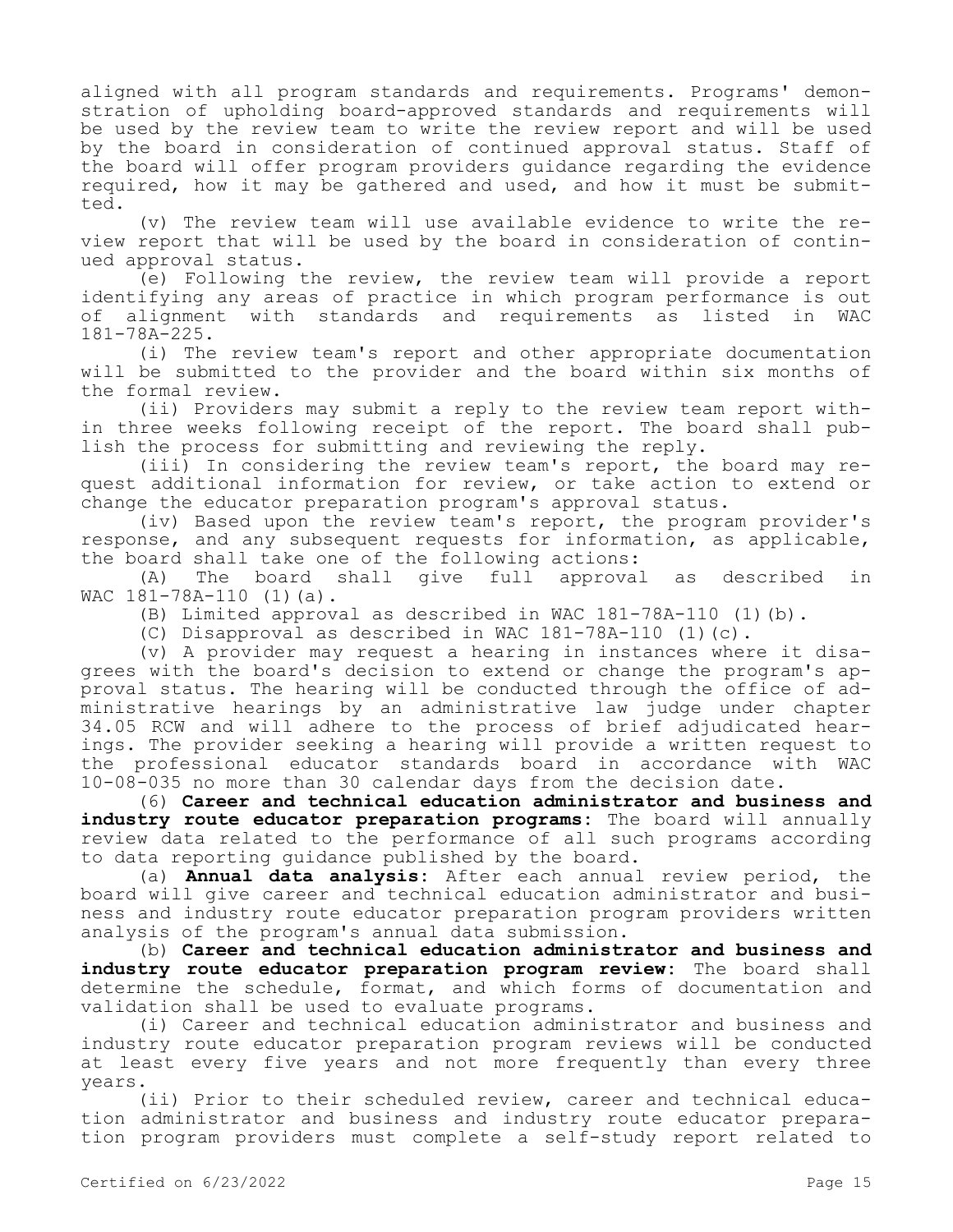aligned with all program standards and requirements. Programs' demonstration of upholding board-approved standards and requirements will be used by the review team to write the review report and will be used by the board in consideration of continued approval status. Staff of the board will offer program providers guidance regarding the evidence required, how it may be gathered and used, and how it must be submitted.

(v) The review team will use available evidence to write the review report that will be used by the board in consideration of continued approval status.

(e) Following the review, the review team will provide a report identifying any areas of practice in which program performance is out of alignment with standards and requirements as listed in WAC 181-78A-225.

(i) The review team's report and other appropriate documentation will be submitted to the provider and the board within six months of the formal review.

(ii) Providers may submit a reply to the review team report within three weeks following receipt of the report. The board shall publish the process for submitting and reviewing the reply.

(iii) In considering the review team's report, the board may request additional information for review, or take action to extend or change the educator preparation program's approval status.

(iv) Based upon the review team's report, the program provider's response, and any subsequent requests for information, as applicable, the board shall take one of the following actions:

(A) The board shall give full approval as described in WAC 181-78A-110 (1)(a).

(B) Limited approval as described in WAC 181-78A-110 (1)(b).

(C) Disapproval as described in WAC 181-78A-110 (1)(c).

(v) A provider may request a hearing in instances where it disagrees with the board's decision to extend or change the program's approval status. The hearing will be conducted through the office of administrative hearings by an administrative law judge under chapter 34.05 RCW and will adhere to the process of brief adjudicated hearings. The provider seeking a hearing will provide a written request to the professional educator standards board in accordance with WAC 10-08-035 no more than 30 calendar days from the decision date.

(6) **Career and technical education administrator and business and industry route educator preparation programs:** The board will annually review data related to the performance of all such programs according to data reporting guidance published by the board.

(a) **Annual data analysis:** After each annual review period, the board will give career and technical education administrator and business and industry route educator preparation program providers written analysis of the program's annual data submission.

(b) **Career and technical education administrator and business and industry route educator preparation program review:** The board shall determine the schedule, format, and which forms of documentation and validation shall be used to evaluate programs.

(i) Career and technical education administrator and business and industry route educator preparation program reviews will be conducted at least every five years and not more frequently than every three years.

(ii) Prior to their scheduled review, career and technical education administrator and business and industry route educator preparation program providers must complete a self-study report related to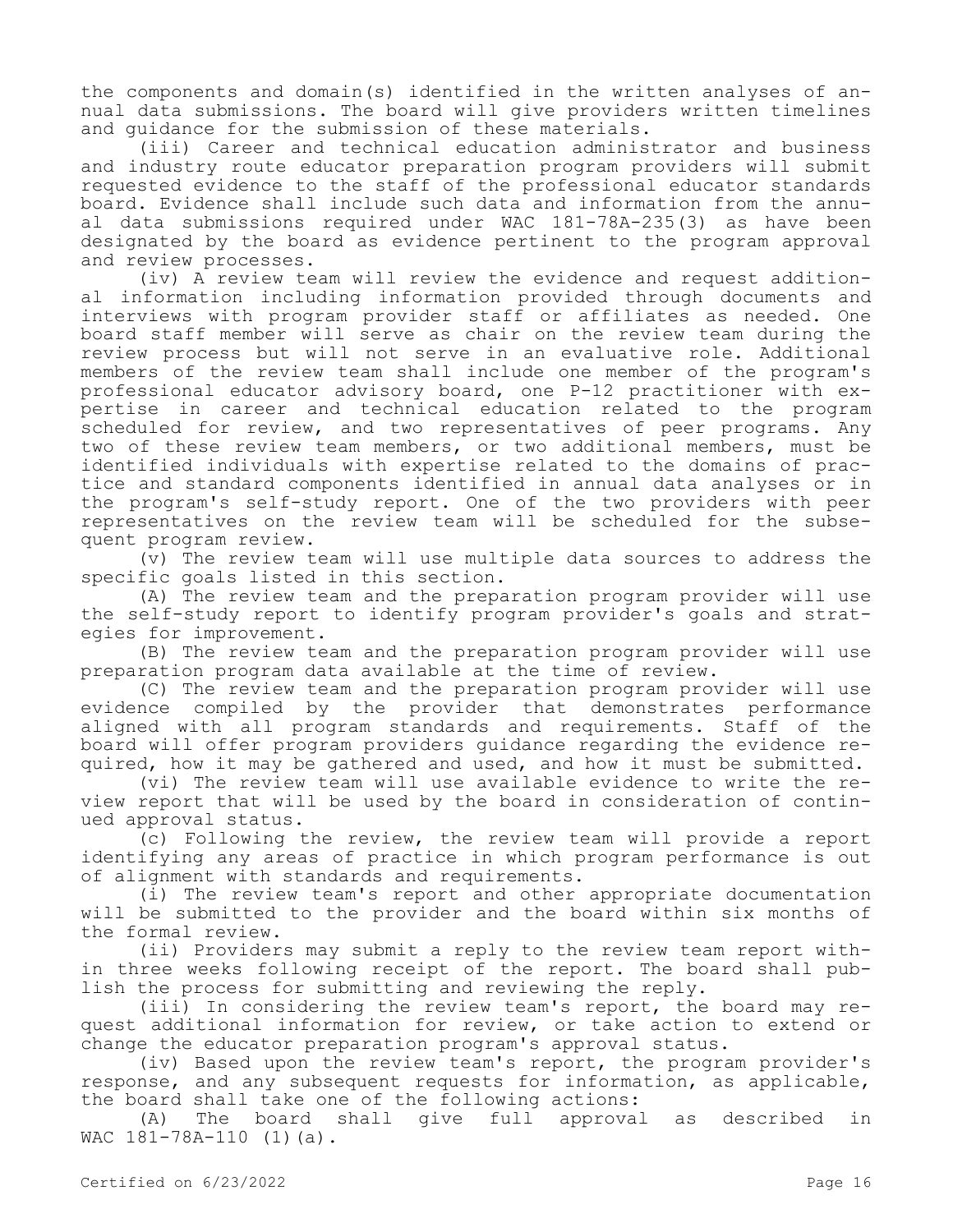the components and domain(s) identified in the written analyses of annual data submissions. The board will give providers written timelines and guidance for the submission of these materials.

(iii) Career and technical education administrator and business and industry route educator preparation program providers will submit requested evidence to the staff of the professional educator standards board. Evidence shall include such data and information from the annual data submissions required under WAC 181-78A-235(3) as have been designated by the board as evidence pertinent to the program approval and review processes.

(iv) A review team will review the evidence and request additional information including information provided through documents and interviews with program provider staff or affiliates as needed. One board staff member will serve as chair on the review team during the review process but will not serve in an evaluative role. Additional members of the review team shall include one member of the program's professional educator advisory board, one P-12 practitioner with expertise in career and technical education related to the program scheduled for review, and two representatives of peer programs. Any two of these review team members, or two additional members, must be identified individuals with expertise related to the domains of practice and standard components identified in annual data analyses or in the program's self-study report. One of the two providers with peer representatives on the review team will be scheduled for the subsequent program review.

(v) The review team will use multiple data sources to address the specific goals listed in this section.

(A) The review team and the preparation program provider will use the self-study report to identify program provider's goals and strategies for improvement.

(B) The review team and the preparation program provider will use preparation program data available at the time of review.

(C) The review team and the preparation program provider will use evidence compiled by the provider that demonstrates performance aligned with all program standards and requirements. Staff of the board will offer program providers guidance regarding the evidence required, how it may be gathered and used, and how it must be submitted.

(vi) The review team will use available evidence to write the review report that will be used by the board in consideration of continued approval status.

(c) Following the review, the review team will provide a report identifying any areas of practice in which program performance is out of alignment with standards and requirements.

(i) The review team's report and other appropriate documentation will be submitted to the provider and the board within six months of the formal review.

(ii) Providers may submit a reply to the review team report within three weeks following receipt of the report. The board shall publish the process for submitting and reviewing the reply.

(iii) In considering the review team's report, the board may request additional information for review, or take action to extend or change the educator preparation program's approval status.

(iv) Based upon the review team's report, the program provider's response, and any subsequent requests for information, as applicable, the board shall take one of the following actions:

(A) The board shall give full approval as described in WAC 181-78A-110 (1)(a).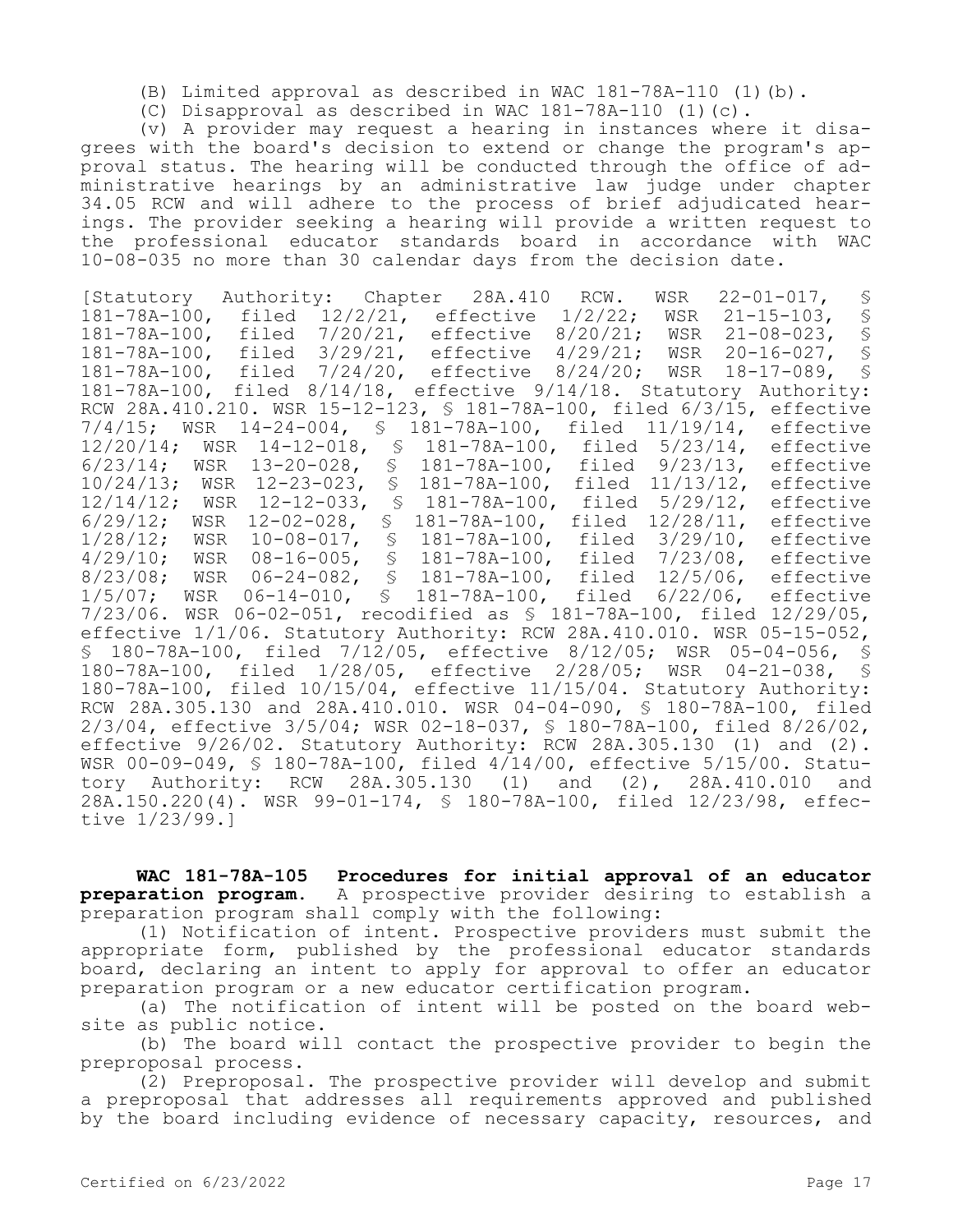- (B) Limited approval as described in WAC 181-78A-110 (1)(b).
- (C) Disapproval as described in WAC 181-78A-110 (1)(c).

(v) A provider may request a hearing in instances where it disagrees with the board's decision to extend or change the program's approval status. The hearing will be conducted through the office of administrative hearings by an administrative law judge under chapter 34.05 RCW and will adhere to the process of brief adjudicated hearings. The provider seeking a hearing will provide a written request to the professional educator standards board in accordance with WAC 10-08-035 no more than 30 calendar days from the decision date.

[Statutory Authority: Chapter 28A.410 RCW. WSR 22-01-017, §<br>181-78A-100, filed 12/2/21, effective 1/2/22; WSR 21-15-103, § 181-78A-100, filed 12/2/21, effective 1/2/22; WSR 21-15-103, § filed 7/20/21, effective 8/20/21; WSR 21-08-023, §<br>filed 3/29/21, effective 4/29/21; WSR 20-16-027, § 181-78A-100, filed 3/29/21, effective 4/29/21; WSR 20-16-027, § 181-78A-100, filed 7/24/20, effective 8/24/20; WSR 18-17-089, 181-78A-100, filed 8/14/18, effective 9/14/18. Statutory Authority: RCW 28A.410.210. WSR 15-12-123, § 181-78A-100, filed 6/3/15, effective 7/4/15; WSR 14-24-004, § 181-78A-100, filed 11/19/14, effective 12/20/14; WSR 14-12-018, § 181-78A-100, filed 5/23/14, effective 6/23/14; WSR 13-20-028, § 181-78A-100, filed 9/23/13, effective 10/24/13; WSR 12-23-023, § 181-78A-100, filed 11/13/12, effective 12/14/12; WSR 12-12-033, § 181-78A-100, filed 5/29/12, effective 6/29/12; WSR 12-02-028, § 181-78A-100, filed 12/28/11, effective 1/28/12; WSR 10-08-017, § 181-78A-100, filed 3/29/10, effective 4/29/10; WSR 08-16-005, § 181-78A-100, filed 7/23/08, effective 8/23/08; WSR 06-24-082, § 181-78A-100, filed 12/5/06, effective 1/5/07; WSR 06-14-010, § 181-78A-100, filed 6/22/06, effective 7/23/06. WSR 06-02-051, recodified as § 181-78A-100, filed 12/29/05, effective 1/1/06. Statutory Authority: RCW 28A.410.010. WSR 05-15-052, § 180-78A-100, filed 7/12/05, effective 8/12/05; WSR 05-04-056, § 180-78A-100, filed 1/28/05, effective 2/28/05; WSR 04-21-038, § 180-78A-100, filed 10/15/04, effective 11/15/04. Statutory Authority: RCW 28A.305.130 and 28A.410.010. WSR 04-04-090, § 180-78A-100, filed 2/3/04, effective 3/5/04; WSR 02-18-037, § 180-78A-100, filed 8/26/02, effective 9/26/02. Statutory Authority: RCW 28A.305.130 (1) and (2). WSR 00-09-049,  $\frac{1}{5}$  180-78A-100, filed 4/14/00, effective 5/15/00. Statu-<br>tory Authority: RCW 28A.305.130 (1) and (2), 28A.410.010 and tory Authority: RCW 28A.305.130 (1) and (2), 28A.410.010 and 28A.150.220(4). WSR 99-01-174, § 180-78A-100, filed 12/23/98, effective 1/23/99.]

**WAC 181-78A-105 Procedures for initial approval of an educator preparation program.** A prospective provider desiring to establish a preparation program shall comply with the following:

(1) Notification of intent. Prospective providers must submit the appropriate form, published by the professional educator standards board, declaring an intent to apply for approval to offer an educator preparation program or a new educator certification program.

(a) The notification of intent will be posted on the board website as public notice.

(b) The board will contact the prospective provider to begin the preproposal process.

(2) Preproposal. The prospective provider will develop and submit a preproposal that addresses all requirements approved and published by the board including evidence of necessary capacity, resources, and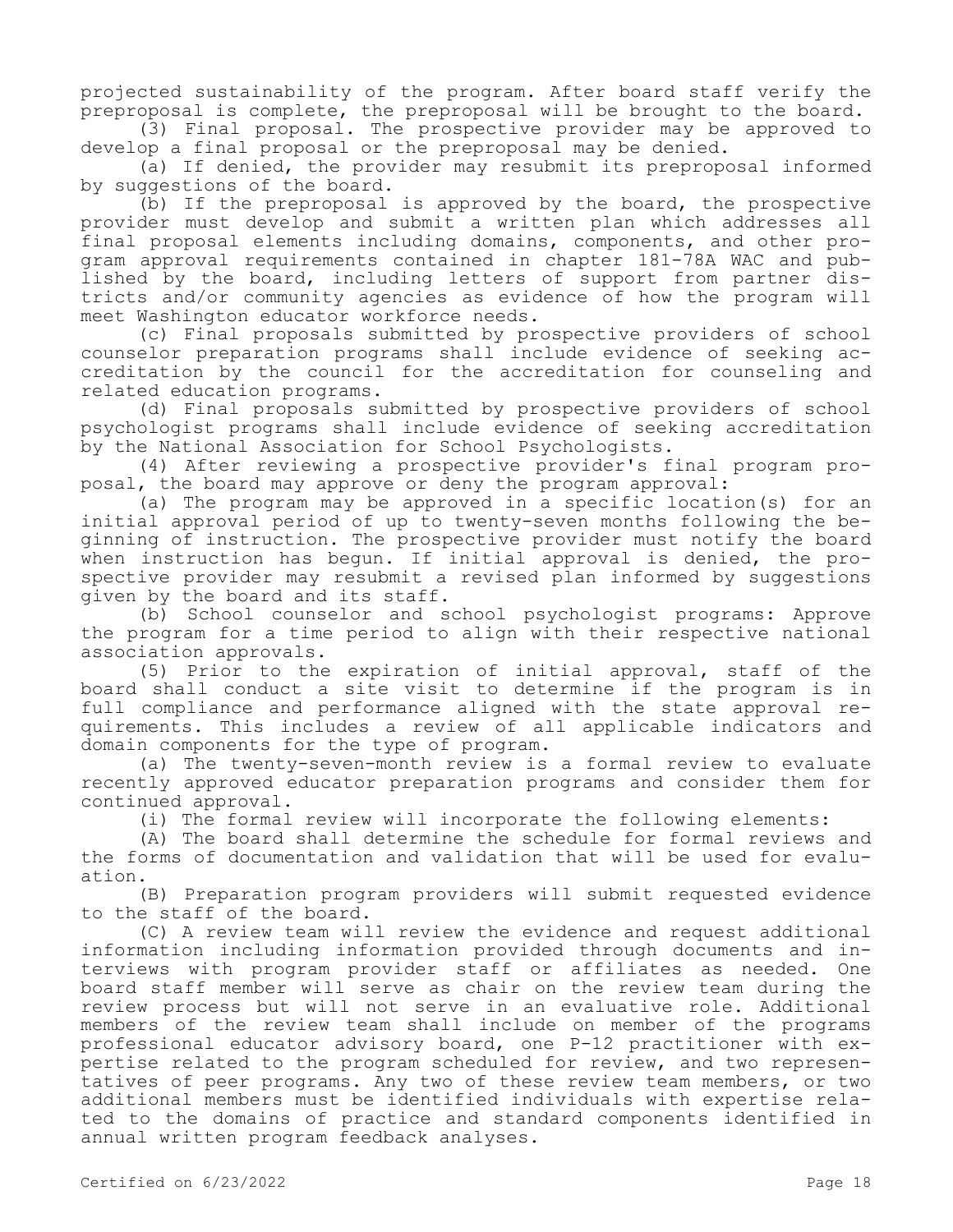projected sustainability of the program. After board staff verify the preproposal is complete, the preproposal will be brought to the board.

(3) Final proposal. The prospective provider may be approved to develop a final proposal or the preproposal may be denied.

(a) If denied, the provider may resubmit its preproposal informed by suggestions of the board.

(b) If the preproposal is approved by the board, the prospective provider must develop and submit a written plan which addresses all final proposal elements including domains, components, and other program approval requirements contained in chapter 181-78A WAC and published by the board, including letters of support from partner districts and/or community agencies as evidence of how the program will meet Washington educator workforce needs.

(c) Final proposals submitted by prospective providers of school counselor preparation programs shall include evidence of seeking accreditation by the council for the accreditation for counseling and related education programs.

(d) Final proposals submitted by prospective providers of school psychologist programs shall include evidence of seeking accreditation by the National Association for School Psychologists.

(4) After reviewing a prospective provider's final program proposal, the board may approve or deny the program approval:

(a) The program may be approved in a specific location(s) for an initial approval period of up to twenty-seven months following the beginning of instruction. The prospective provider must notify the board when instruction has begun. If initial approval is denied, the prospective provider may resubmit a revised plan informed by suggestions given by the board and its staff.

(b) School counselor and school psychologist programs: Approve the program for a time period to align with their respective national association approvals.

(5) Prior to the expiration of initial approval, staff of the board shall conduct a site visit to determine if the program is in full compliance and performance aligned with the state approval requirements. This includes a review of all applicable indicators and domain components for the type of program.

(a) The twenty-seven-month review is a formal review to evaluate recently approved educator preparation programs and consider them for continued approval.

(i) The formal review will incorporate the following elements:

(A) The board shall determine the schedule for formal reviews and the forms of documentation and validation that will be used for evaluation.

(B) Preparation program providers will submit requested evidence to the staff of the board.

(C) A review team will review the evidence and request additional information including information provided through documents and interviews with program provider staff or affiliates as needed. One board staff member will serve as chair on the review team during the review process but will not serve in an evaluative role. Additional members of the review team shall include on member of the programs professional educator advisory board, one P-12 practitioner with expertise related to the program scheduled for review, and two representatives of peer programs. Any two of these review team members, or two additional members must be identified individuals with expertise related to the domains of practice and standard components identified in annual written program feedback analyses.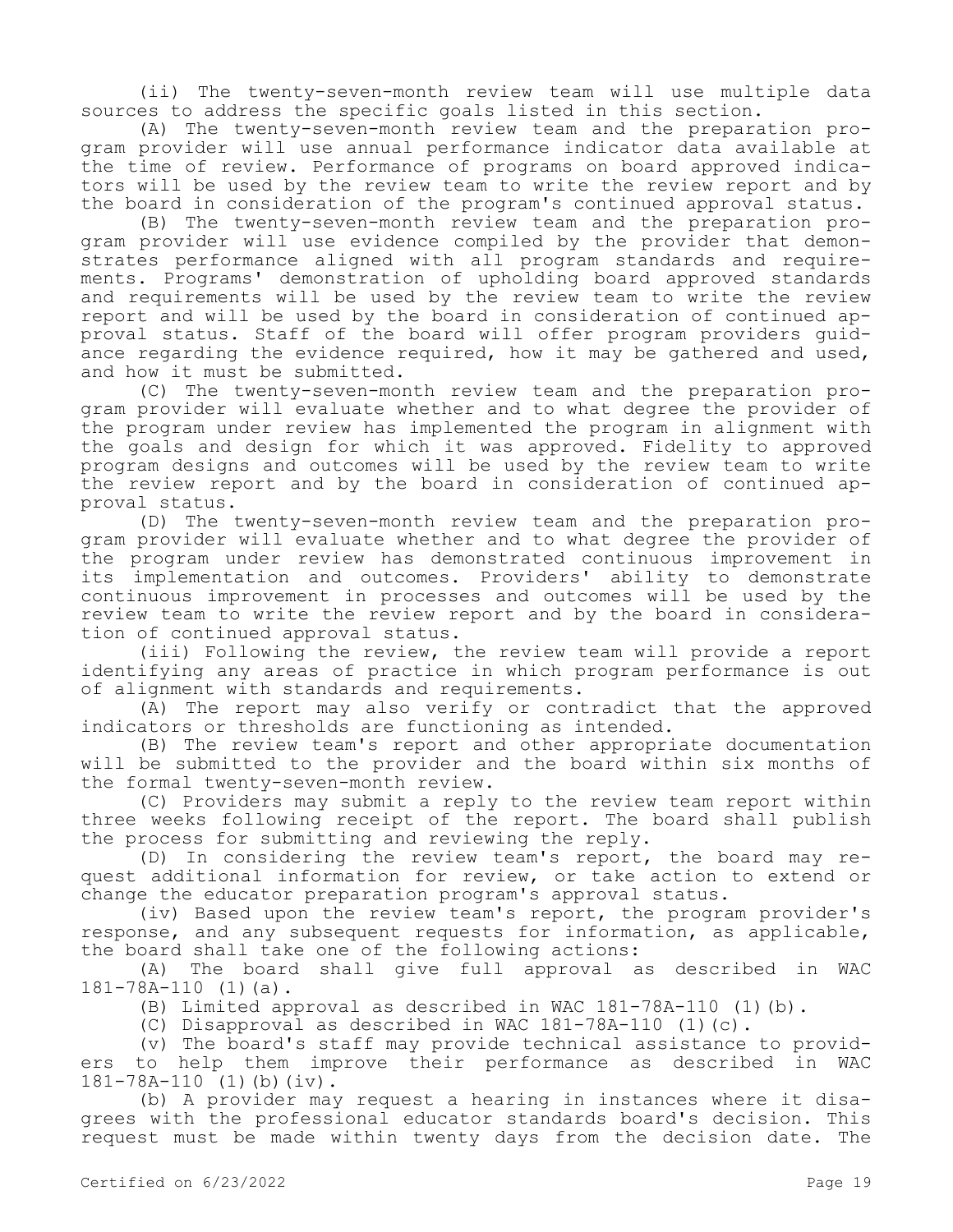(ii) The twenty-seven-month review team will use multiple data sources to address the specific goals listed in this section.

(A) The twenty-seven-month review team and the preparation program provider will use annual performance indicator data available at the time of review. Performance of programs on board approved indicators will be used by the review team to write the review report and by the board in consideration of the program's continued approval status.

(B) The twenty-seven-month review team and the preparation program provider will use evidence compiled by the provider that demonstrates performance aligned with all program standards and requirements. Programs' demonstration of upholding board approved standards and requirements will be used by the review team to write the review report and will be used by the board in consideration of continued approval status. Staff of the board will offer program providers guidance regarding the evidence required, how it may be gathered and used, and how it must be submitted.

(C) The twenty-seven-month review team and the preparation program provider will evaluate whether and to what degree the provider of the program under review has implemented the program in alignment with the goals and design for which it was approved. Fidelity to approved program designs and outcomes will be used by the review team to write the review report and by the board in consideration of continued approval status.

(D) The twenty-seven-month review team and the preparation program provider will evaluate whether and to what degree the provider of the program under review has demonstrated continuous improvement in its implementation and outcomes. Providers' ability to demonstrate continuous improvement in processes and outcomes will be used by the review team to write the review report and by the board in consideration of continued approval status.

(iii) Following the review, the review team will provide a report identifying any areas of practice in which program performance is out of alignment with standards and requirements.

(A) The report may also verify or contradict that the approved indicators or thresholds are functioning as intended.

(B) The review team's report and other appropriate documentation will be submitted to the provider and the board within six months of the formal twenty-seven-month review.

(C) Providers may submit a reply to the review team report within three weeks following receipt of the report. The board shall publish the process for submitting and reviewing the reply.

(D) In considering the review team's report, the board may request additional information for review, or take action to extend or change the educator preparation program's approval status.

(iv) Based upon the review team's report, the program provider's response, and any subsequent requests for information, as applicable, the board shall take one of the following actions:

(A) The board shall give full approval as described in WAC 181-78A-110 (1)(a).

(B) Limited approval as described in WAC 181-78A-110 (1)(b).

(C) Disapproval as described in WAC  $181-78A-110$  (1)(c).

(v) The board's staff may provide technical assistance to providers to help them improve their performance as described in WAC 181-78A-110 (1)(b)(iv).

(b) A provider may request a hearing in instances where it disagrees with the professional educator standards board's decision. This request must be made within twenty days from the decision date. The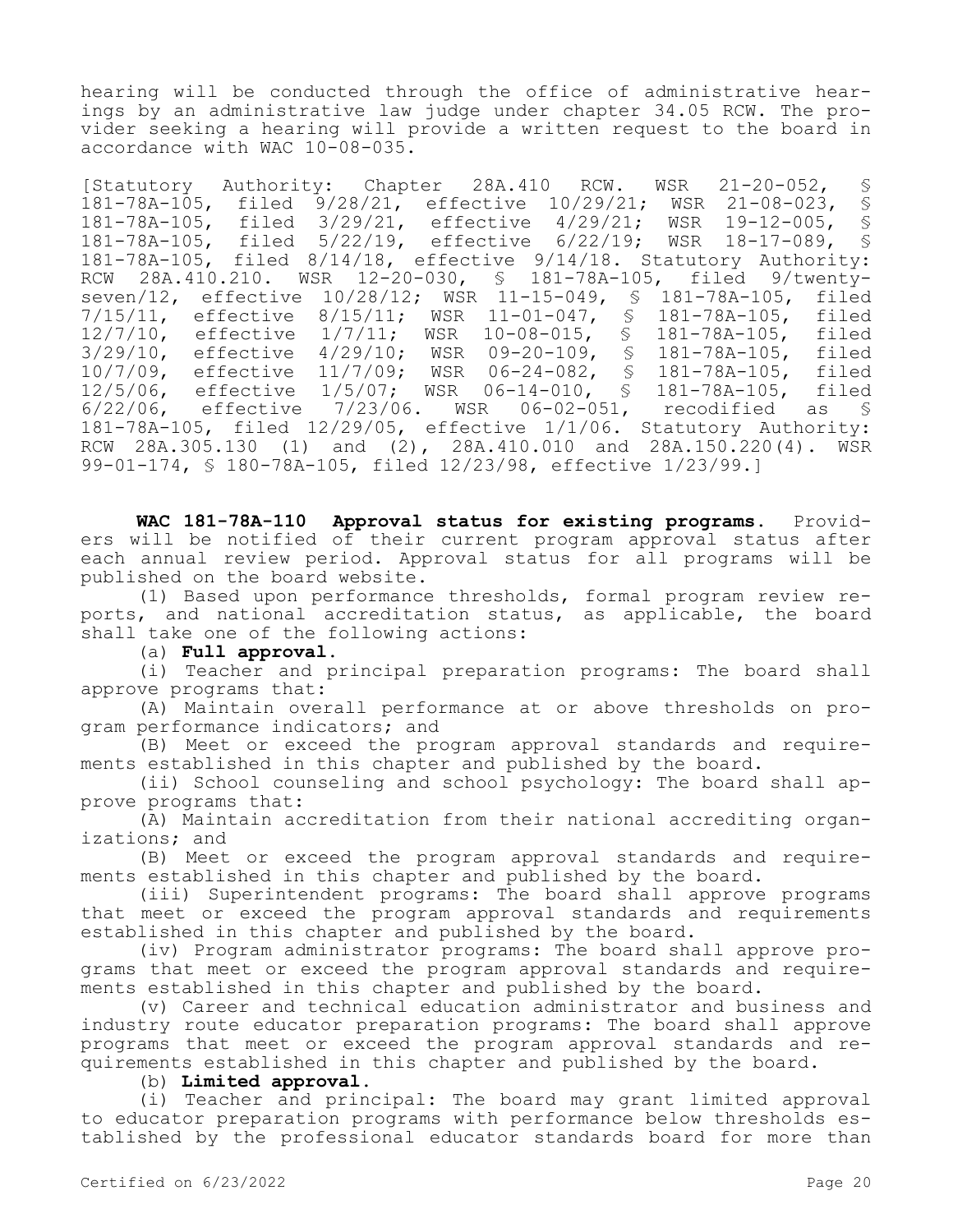hearing will be conducted through the office of administrative hearings by an administrative law judge under chapter 34.05 RCW. The provider seeking a hearing will provide a written request to the board in accordance with WAC 10-08-035.

[Statutory Authority: Chapter 28A.410 RCW. WSR 21-20-052, § 181-78A-105, filed 9/28/21, effective 10/29/21; WSR 21-08-023, §<br>181-78A-105, filed 3/29/21, effective 4/29/21; WSR 19-12-005, § filed  $3/29/21$ , effective  $4/29/21$ ; WSR 19-12-005, §<br>filed 5/22/19, effective 6/22/19; WSR 18-17-089, § 181-78A-105, filed 5/22/19, effective 6/22/19; WSR 18-17-089, 181-78A-105, filed 8/14/18, effective 9/14/18. Statutory Authority: RCW 28A.410.210. WSR 12-20-030, § 181-78A-105, filed 9/twentyseven/12, effective 10/28/12; WSR 11-15-049, § 181-78A-105, filed 7/15/11, effective 8/15/11; WSR 11-01-047, § 181-78A-105, filed 12/7/10, effective 1/7/11; WSR 10-08-015, § 181-78A-105, filed 3/29/10, effective 4/29/10; WSR 09-20-109, § 181-78A-105, filed 10/7/09, effective 11/7/09; WSR 06-24-082, § 181-78A-105, filed 12/5/06, effective 1/5/07; WSR 06-14-010, § 181-78A-105, filed<br>6/22/06, effective 7/23/06. WSR 06-02-051, recodified as § effective  $7/23/06$ . WSR 06-02-051, recodified as § 181-78A-105, filed 12/29/05, effective 1/1/06. Statutory Authority: RCW 28A.305.130 (1) and (2), 28A.410.010 and 28A.150.220(4). WSR 99-01-174, § 180-78A-105, filed 12/23/98, effective 1/23/99.]

**WAC 181-78A-110 Approval status for existing programs.** Providers will be notified of their current program approval status after each annual review period. Approval status for all programs will be published on the board website.

(1) Based upon performance thresholds, formal program review reports, and national accreditation status, as applicable, the board shall take one of the following actions:

(a) **Full approval.**

(i) Teacher and principal preparation programs: The board shall approve programs that:

(A) Maintain overall performance at or above thresholds on program performance indicators; and

(B) Meet or exceed the program approval standards and requirements established in this chapter and published by the board.

(ii) School counseling and school psychology: The board shall approve programs that:

(A) Maintain accreditation from their national accrediting organizations; and

(B) Meet or exceed the program approval standards and requirements established in this chapter and published by the board.

(iii) Superintendent programs: The board shall approve programs that meet or exceed the program approval standards and requirements established in this chapter and published by the board.

(iv) Program administrator programs: The board shall approve programs that meet or exceed the program approval standards and requirements established in this chapter and published by the board.

(v) Career and technical education administrator and business and industry route educator preparation programs: The board shall approve programs that meet or exceed the program approval standards and requirements established in this chapter and published by the board.

(b) **Limited approval.**

(i) Teacher and principal: The board may grant limited approval to educator preparation programs with performance below thresholds established by the professional educator standards board for more than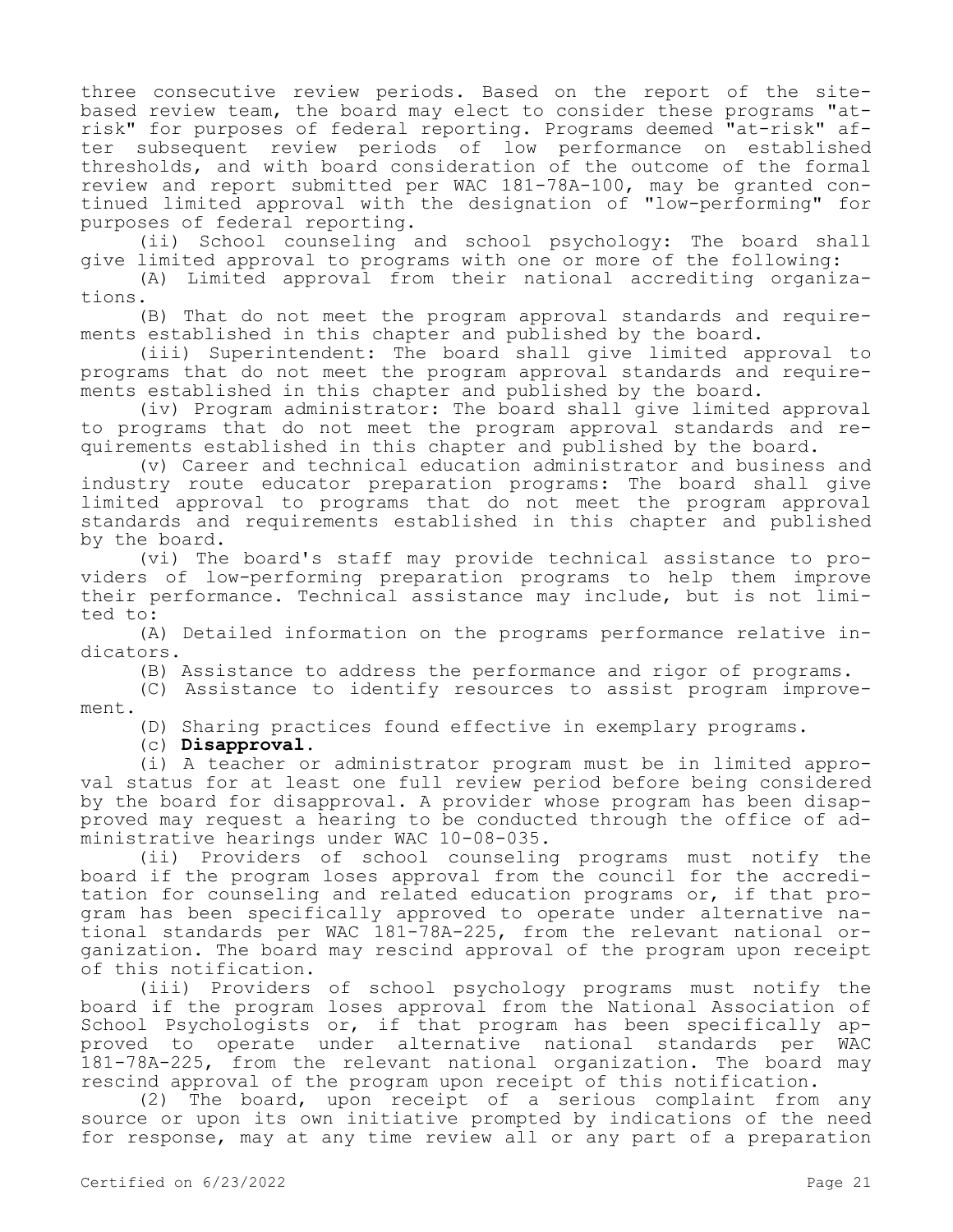three consecutive review periods. Based on the report of the sitebased review team, the board may elect to consider these programs "atrisk" for purposes of federal reporting. Programs deemed "at-risk" after subsequent review periods of low performance on established thresholds, and with board consideration of the outcome of the formal review and report submitted per WAC 181-78A-100, may be granted continued limited approval with the designation of "low-performing" for purposes of federal reporting.

(ii) School counseling and school psychology: The board shall give limited approval to programs with one or more of the following:

(A) Limited approval from their national accrediting organizations.

(B) That do not meet the program approval standards and requirements established in this chapter and published by the board.

(iii) Superintendent: The board shall give limited approval to programs that do not meet the program approval standards and requirements established in this chapter and published by the board.

(iv) Program administrator: The board shall give limited approval to programs that do not meet the program approval standards and requirements established in this chapter and published by the board.

(v) Career and technical education administrator and business and industry route educator preparation programs: The board shall give limited approval to programs that do not meet the program approval standards and requirements established in this chapter and published by the board.

(vi) The board's staff may provide technical assistance to providers of low-performing preparation programs to help them improve their performance. Technical assistance may include, but is not limited to:

(A) Detailed information on the programs performance relative indicators.

(B) Assistance to address the performance and rigor of programs.

(C) Assistance to identify resources to assist program improvement.

(D) Sharing practices found effective in exemplary programs.

(c) **Disapproval.**

(i) A teacher or administrator program must be in limited approval status for at least one full review period before being considered by the board for disapproval. A provider whose program has been disapproved may request a hearing to be conducted through the office of administrative hearings under WAC 10-08-035.

(ii) Providers of school counseling programs must notify the board if the program loses approval from the council for the accreditation for counseling and related education programs or, if that program has been specifically approved to operate under alternative national standards per WAC 181-78A-225, from the relevant national organization. The board may rescind approval of the program upon receipt of this notification.

(iii) Providers of school psychology programs must notify the board if the program loses approval from the National Association of School Psychologists or, if that program has been specifically approved to operate under alternative national standards per WAC 181-78A-225, from the relevant national organization. The board may rescind approval of the program upon receipt of this notification.

(2) The board, upon receipt of a serious complaint from any source or upon its own initiative prompted by indications of the need for response, may at any time review all or any part of a preparation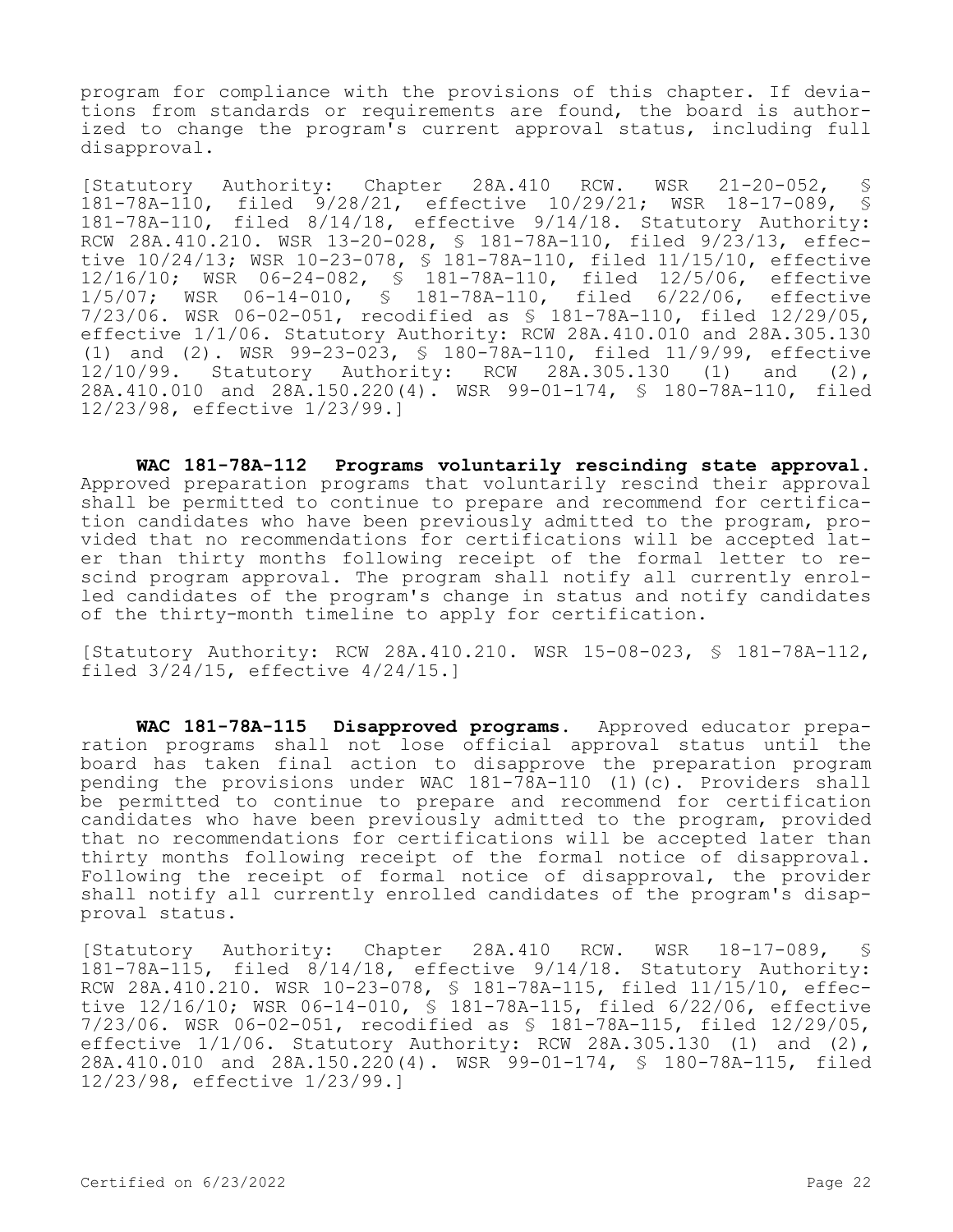program for compliance with the provisions of this chapter. If deviations from standards or requirements are found, the board is authorized to change the program's current approval status, including full disapproval.

[Statutory Authority: Chapter 28A.410 RCW. WSR 21-20-052, § 181-78A-110, filed 9/28/21, effective 10/29/21; WSR 18-17-089, § 181-78A-110, filed 8/14/18, effective 9/14/18. Statutory Authority: RCW 28A.410.210. WSR 13-20-028, § 181-78A-110, filed 9/23/13, effective 10/24/13; WSR 10-23-078, § 181-78A-110, filed 11/15/10, effective 12/16/10; WSR 06-24-082, § 181-78A-110, filed 12/5/06, effective 1/5/07; WSR 06-14-010, § 181-78A-110, filed 6/22/06, effective 7/23/06. WSR 06-02-051, recodified as § 181-78A-110, filed 12/29/05, effective 1/1/06. Statutory Authority: RCW 28A.410.010 and 28A.305.130 (1) and (2). WSR 99-23-023, § 180-78A-110, filed 11/9/99, effective 12/10/99. Statutory Authority: RCW 28A.305.130 (1) and (2), 28A.410.010 and 28A.150.220(4). WSR 99-01-174, § 180-78A-110, filed 12/23/98, effective 1/23/99.]

**WAC 181-78A-112 Programs voluntarily rescinding state approval.**  Approved preparation programs that voluntarily rescind their approval shall be permitted to continue to prepare and recommend for certification candidates who have been previously admitted to the program, provided that no recommendations for certifications will be accepted later than thirty months following receipt of the formal letter to rescind program approval. The program shall notify all currently enrolled candidates of the program's change in status and notify candidates of the thirty-month timeline to apply for certification.

[Statutory Authority: RCW 28A.410.210. WSR 15-08-023, § 181-78A-112, filed 3/24/15, effective 4/24/15.]

**WAC 181-78A-115 Disapproved programs.** Approved educator preparation programs shall not lose official approval status until the board has taken final action to disapprove the preparation program pending the provisions under WAC 181-78A-110 (1)(c). Providers shall be permitted to continue to prepare and recommend for certification candidates who have been previously admitted to the program, provided that no recommendations for certifications will be accepted later than thirty months following receipt of the formal notice of disapproval. Following the receipt of formal notice of disapproval, the provider shall notify all currently enrolled candidates of the program's disapproval status.

[Statutory Authority: Chapter 28A.410 RCW. WSR 18-17-089, § 181-78A-115, filed 8/14/18, effective 9/14/18. Statutory Authority: RCW 28A.410.210. WSR 10-23-078, § 181-78A-115, filed 11/15/10, effective 12/16/10; WSR 06-14-010, § 181-78A-115, filed 6/22/06, effective 7/23/06. WSR 06-02-051, recodified as § 181-78A-115, filed 12/29/05, effective 1/1/06. Statutory Authority: RCW 28A.305.130 (1) and (2), 28A.410.010 and 28A.150.220(4). WSR 99-01-174, § 180-78A-115, filed 12/23/98, effective 1/23/99.]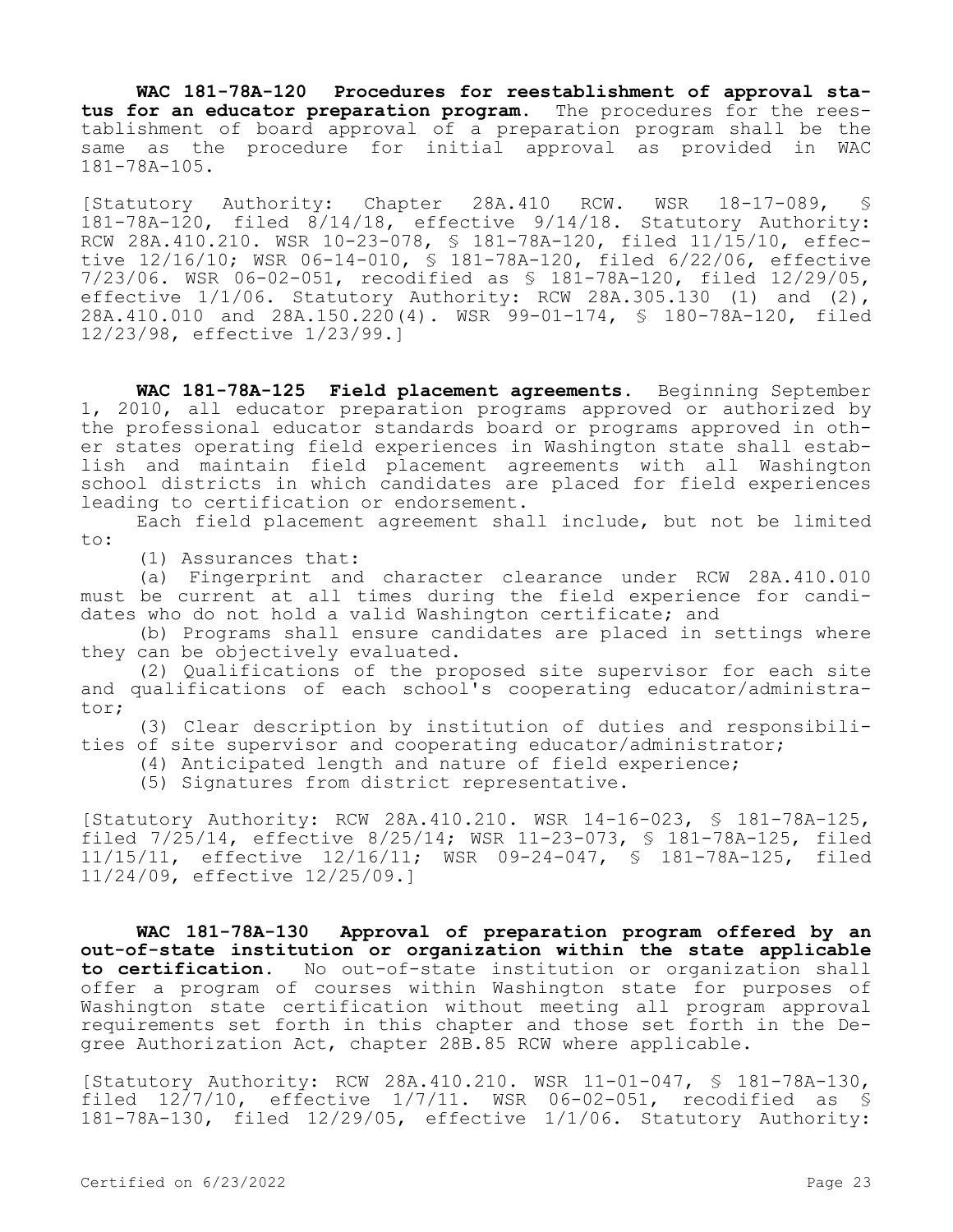**WAC 181-78A-120 Procedures for reestablishment of approval status for an educator preparation program.** The procedures for the reestablishment of board approval of a preparation program shall be the same as the procedure for initial approval as provided in WAC 181-78A-105.

[Statutory Authority: Chapter 28A.410 RCW. WSR 18-17-089, § 181-78A-120, filed 8/14/18, effective 9/14/18. Statutory Authority: RCW 28A.410.210. WSR 10-23-078, § 181-78A-120, filed 11/15/10, effective 12/16/10; WSR 06-14-010, § 181-78A-120, filed 6/22/06, effective 7/23/06. WSR 06-02-051, recodified as § 181-78A-120, filed 12/29/05, effective 1/1/06. Statutory Authority: RCW 28A.305.130 (1) and (2), 28A.410.010 and 28A.150.220(4). WSR 99-01-174, § 180-78A-120, filed 12/23/98, effective 1/23/99.]

**WAC 181-78A-125 Field placement agreements.** Beginning September 1, 2010, all educator preparation programs approved or authorized by the professional educator standards board or programs approved in other states operating field experiences in Washington state shall establish and maintain field placement agreements with all Washington school districts in which candidates are placed for field experiences leading to certification or endorsement.

Each field placement agreement shall include, but not be limited to:

(1) Assurances that:

(a) Fingerprint and character clearance under RCW 28A.410.010 must be current at all times during the field experience for candidates who do not hold a valid Washington certificate; and

(b) Programs shall ensure candidates are placed in settings where they can be objectively evaluated.

(2) Qualifications of the proposed site supervisor for each site and qualifications of each school's cooperating educator/administrator;

(3) Clear description by institution of duties and responsibilities of site supervisor and cooperating educator/administrator;

(4) Anticipated length and nature of field experience;

(5) Signatures from district representative.

[Statutory Authority: RCW 28A.410.210. WSR 14-16-023, § 181-78A-125, filed 7/25/14, effective 8/25/14; WSR 11-23-073, § 181-78A-125, filed 11/15/11, effective 12/16/11; WSR 09-24-047, § 181-78A-125, filed 11/24/09, effective 12/25/09.]

**WAC 181-78A-130 Approval of preparation program offered by an out-of-state institution or organization within the state applicable to certification.** No out-of-state institution or organization shall offer a program of courses within Washington state for purposes of Washington state certification without meeting all program approval requirements set forth in this chapter and those set forth in the Degree Authorization Act, chapter 28B.85 RCW where applicable.

[Statutory Authority: RCW 28A.410.210. WSR 11-01-047, § 181-78A-130, filed  $12/7/10$ , effective  $1/7/11$ . WSR 06-02-051, recodified as \$ 181-78A-130, filed 12/29/05, effective 1/1/06. Statutory Authority: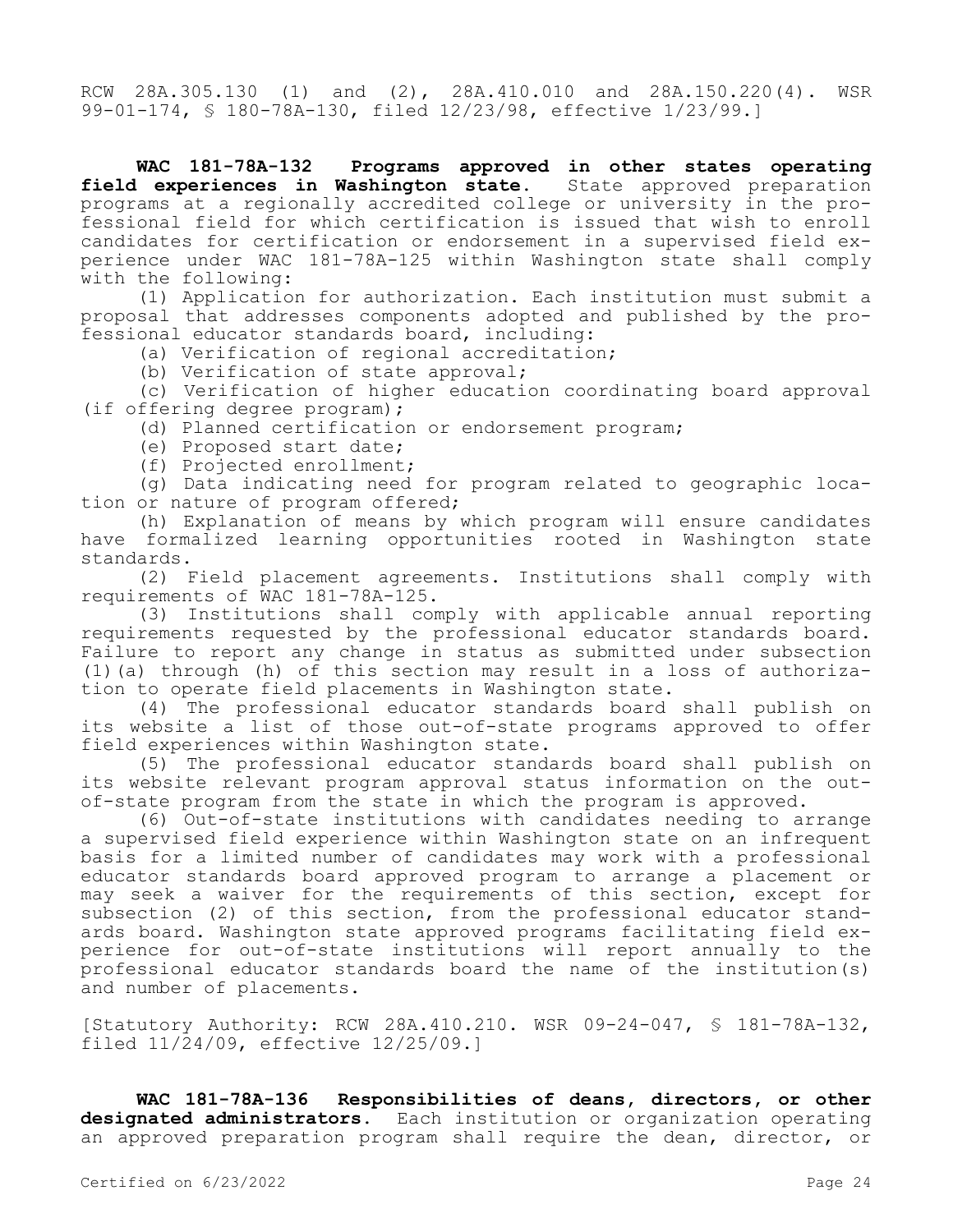RCW 28A.305.130 (1) and (2), 28A.410.010 and 28A.150.220(4). WSR 99-01-174, § 180-78A-130, filed 12/23/98, effective 1/23/99.]

**WAC 181-78A-132 Programs approved in other states operating**  field experiences in Washington state. State approved preparation programs at a regionally accredited college or university in the professional field for which certification is issued that wish to enroll candidates for certification or endorsement in a supervised field experience under WAC 181-78A-125 within Washington state shall comply with the following:

(1) Application for authorization. Each institution must submit a proposal that addresses components adopted and published by the professional educator standards board, including:

(a) Verification of regional accreditation;

(b) Verification of state approval;

(c) Verification of higher education coordinating board approval (if offering degree program);

(d) Planned certification or endorsement program;

- (e) Proposed start date;
- (f) Projected enrollment;

(g) Data indicating need for program related to geographic location or nature of program offered;

(h) Explanation of means by which program will ensure candidates have formalized learning opportunities rooted in Washington state standards.

(2) Field placement agreements. Institutions shall comply with requirements of WAC 181-78A-125.

(3) Institutions shall comply with applicable annual reporting requirements requested by the professional educator standards board. Failure to report any change in status as submitted under subsection (1)(a) through (h) of this section may result in a loss of authorization to operate field placements in Washington state.

(4) The professional educator standards board shall publish on its website a list of those out-of-state programs approved to offer field experiences within Washington state.

(5) The professional educator standards board shall publish on its website relevant program approval status information on the outof-state program from the state in which the program is approved.

(6) Out-of-state institutions with candidates needing to arrange a supervised field experience within Washington state on an infrequent basis for a limited number of candidates may work with a professional educator standards board approved program to arrange a placement or may seek a waiver for the requirements of this section, except for subsection (2) of this section, from the professional educator standards board. Washington state approved programs facilitating field experience for out-of-state institutions will report annually to the professional educator standards board the name of the institution(s) and number of placements.

[Statutory Authority: RCW 28A.410.210. WSR 09-24-047, § 181-78A-132, filed 11/24/09, effective 12/25/09.]

**WAC 181-78A-136 Responsibilities of deans, directors, or other designated administrators.** Each institution or organization operating an approved preparation program shall require the dean, director, or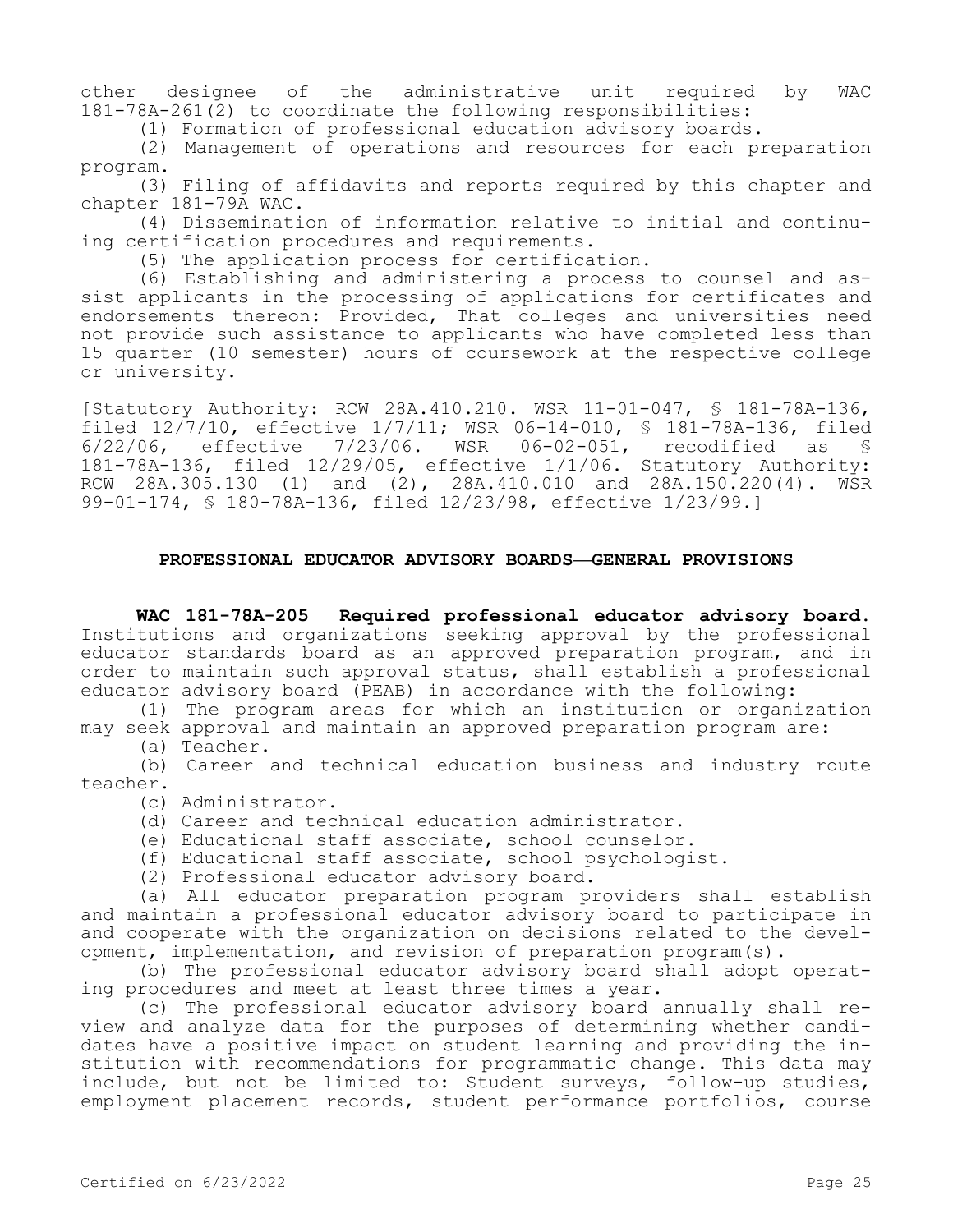other designee of the administrative unit required by WAC 181-78A-261(2) to coordinate the following responsibilities:

(1) Formation of professional education advisory boards.

(2) Management of operations and resources for each preparation program.

(3) Filing of affidavits and reports required by this chapter and chapter 181-79A WAC.

(4) Dissemination of information relative to initial and continuing certification procedures and requirements.

(5) The application process for certification.

(6) Establishing and administering a process to counsel and assist applicants in the processing of applications for certificates and endorsements thereon: Provided, That colleges and universities need not provide such assistance to applicants who have completed less than 15 quarter (10 semester) hours of coursework at the respective college or university.

[Statutory Authority: RCW 28A.410.210. WSR 11-01-047, § 181-78A-136, filed  $12/7/10$ , effective  $1/7/11$ ; WSR 06-14-010, § 181-78A-136, filed 6/22/06. effective 7/23/06. WSR 06-02-051. recodified as §  $6/22/06$ , effective  $7/23/06$ . WSR  $06-02-051$ , recodified as 181-78A-136, filed 12/29/05, effective 1/1/06. Statutory Authority: RCW 28A.305.130 (1) and (2), 28A.410.010 and 28A.150.220(4). WSR 99-01-174, § 180-78A-136, filed 12/23/98, effective 1/23/99.]

# **PROFESSIONAL EDUCATOR ADVISORY BOARDS—GENERAL PROVISIONS**

**WAC 181-78A-205 Required professional educator advisory board.**  Institutions and organizations seeking approval by the professional educator standards board as an approved preparation program, and in order to maintain such approval status, shall establish a professional educator advisory board (PEAB) in accordance with the following:

(1) The program areas for which an institution or organization may seek approval and maintain an approved preparation program are:

(a) Teacher.

(b) Career and technical education business and industry route teacher.

(c) Administrator.

- (d) Career and technical education administrator.
- (e) Educational staff associate, school counselor.
- (f) Educational staff associate, school psychologist.
- (2) Professional educator advisory board.

(a) All educator preparation program providers shall establish and maintain a professional educator advisory board to participate in and cooperate with the organization on decisions related to the development, implementation, and revision of preparation program(s).

(b) The professional educator advisory board shall adopt operating procedures and meet at least three times a year.

(c) The professional educator advisory board annually shall review and analyze data for the purposes of determining whether candidates have a positive impact on student learning and providing the institution with recommendations for programmatic change. This data may include, but not be limited to: Student surveys, follow-up studies, employment placement records, student performance portfolios, course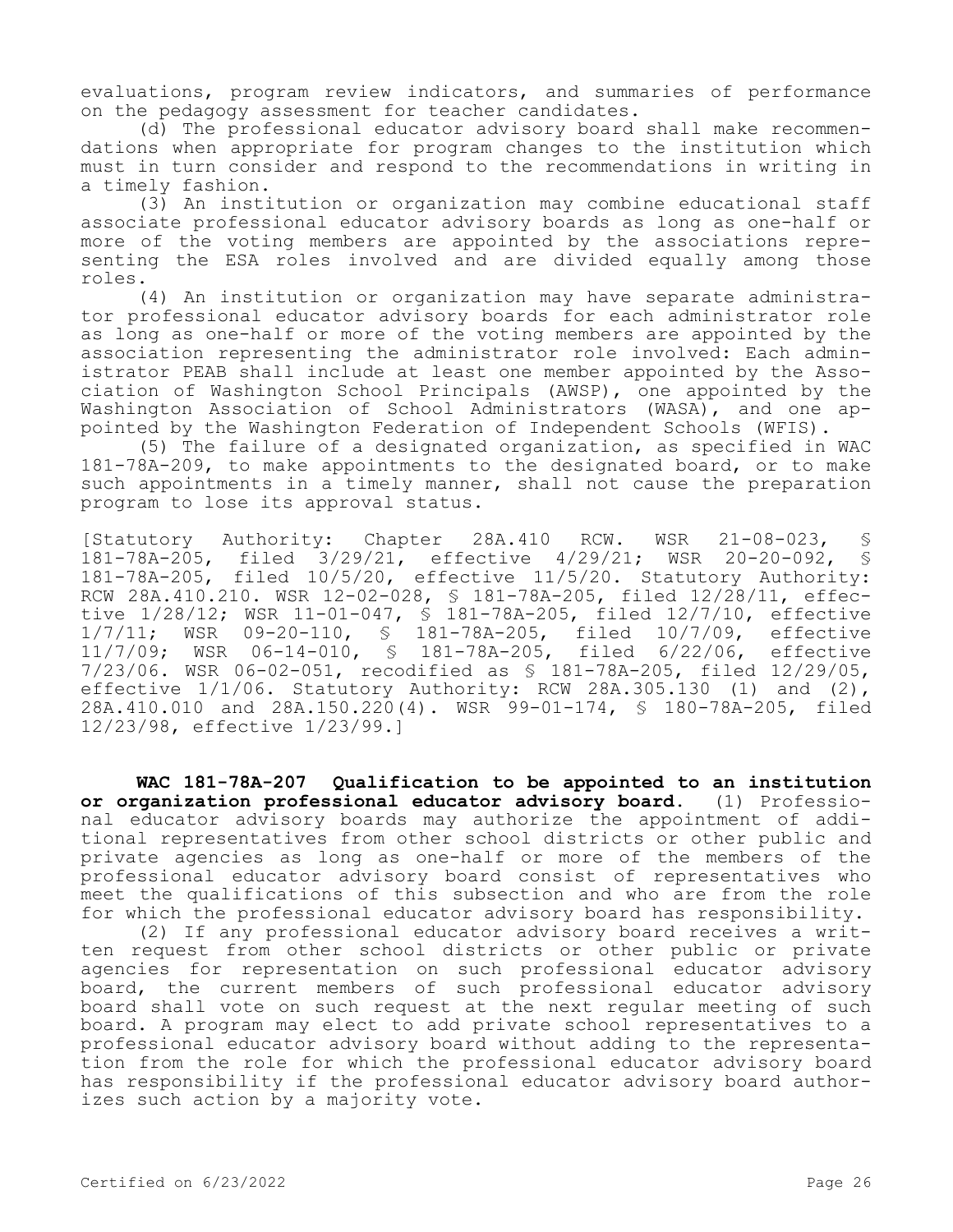evaluations, program review indicators, and summaries of performance on the pedagogy assessment for teacher candidates.

(d) The professional educator advisory board shall make recommendations when appropriate for program changes to the institution which must in turn consider and respond to the recommendations in writing in a timely fashion.

(3) An institution or organization may combine educational staff associate professional educator advisory boards as long as one-half or more of the voting members are appointed by the associations representing the ESA roles involved and are divided equally among those roles.

(4) An institution or organization may have separate administrator professional educator advisory boards for each administrator role as long as one-half or more of the voting members are appointed by the association representing the administrator role involved: Each administrator PEAB shall include at least one member appointed by the Association of Washington School Principals (AWSP), one appointed by the Washington Association of School Administrators (WASA), and one appointed by the Washington Federation of Independent Schools (WFIS).

(5) The failure of a designated organization, as specified in WAC 181-78A-209, to make appointments to the designated board, or to make such appointments in a timely manner, shall not cause the preparation program to lose its approval status.

[Statutory Authority: Chapter 28A.410 RCW. WSR 21-08-023, § 181-78A-205, filed 3/29/21, effective 4/29/21; WSR 20-20-092, § 181-78A-205, filed 10/5/20, effective 11/5/20. Statutory Authority: RCW 28A.410.210. WSR 12-02-028, § 181-78A-205, filed 12/28/11, effective 1/28/12; WSR 11-01-047, \$ 181-78A-205, filed 12/7/10, effective<br>1/7/11; WSR 09-20-110, \$ 181-78A-205, filed 10/7/09, effective  $1/7/11$ ; WSR 09-20-110, § 181-78A-205, filed  $10/7/09$ ,<br> $11/7/09$ ; WSR 06-14-010, § 181-78A-205, filed 6/22/06, WSR 06-14-010, § 181-78A-205, filed 6/22/06, effective 7/23/06. WSR 06-02-051, recodified as § 181-78A-205, filed 12/29/05, effective 1/1/06. Statutory Authority: RCW 28A.305.130 (1) and (2), 28A.410.010 and 28A.150.220(4). WSR 99-01-174, § 180-78A-205, filed 12/23/98, effective 1/23/99.]

**WAC 181-78A-207 Qualification to be appointed to an institution or organization professional educator advisory board.** (1) Professional educator advisory boards may authorize the appointment of additional representatives from other school districts or other public and private agencies as long as one-half or more of the members of the professional educator advisory board consist of representatives who meet the qualifications of this subsection and who are from the role for which the professional educator advisory board has responsibility.

(2) If any professional educator advisory board receives a written request from other school districts or other public or private agencies for representation on such professional educator advisory board, the current members of such professional educator advisory board shall vote on such request at the next regular meeting of such board. A program may elect to add private school representatives to a professional educator advisory board without adding to the representation from the role for which the professional educator advisory board has responsibility if the professional educator advisory board authorizes such action by a majority vote.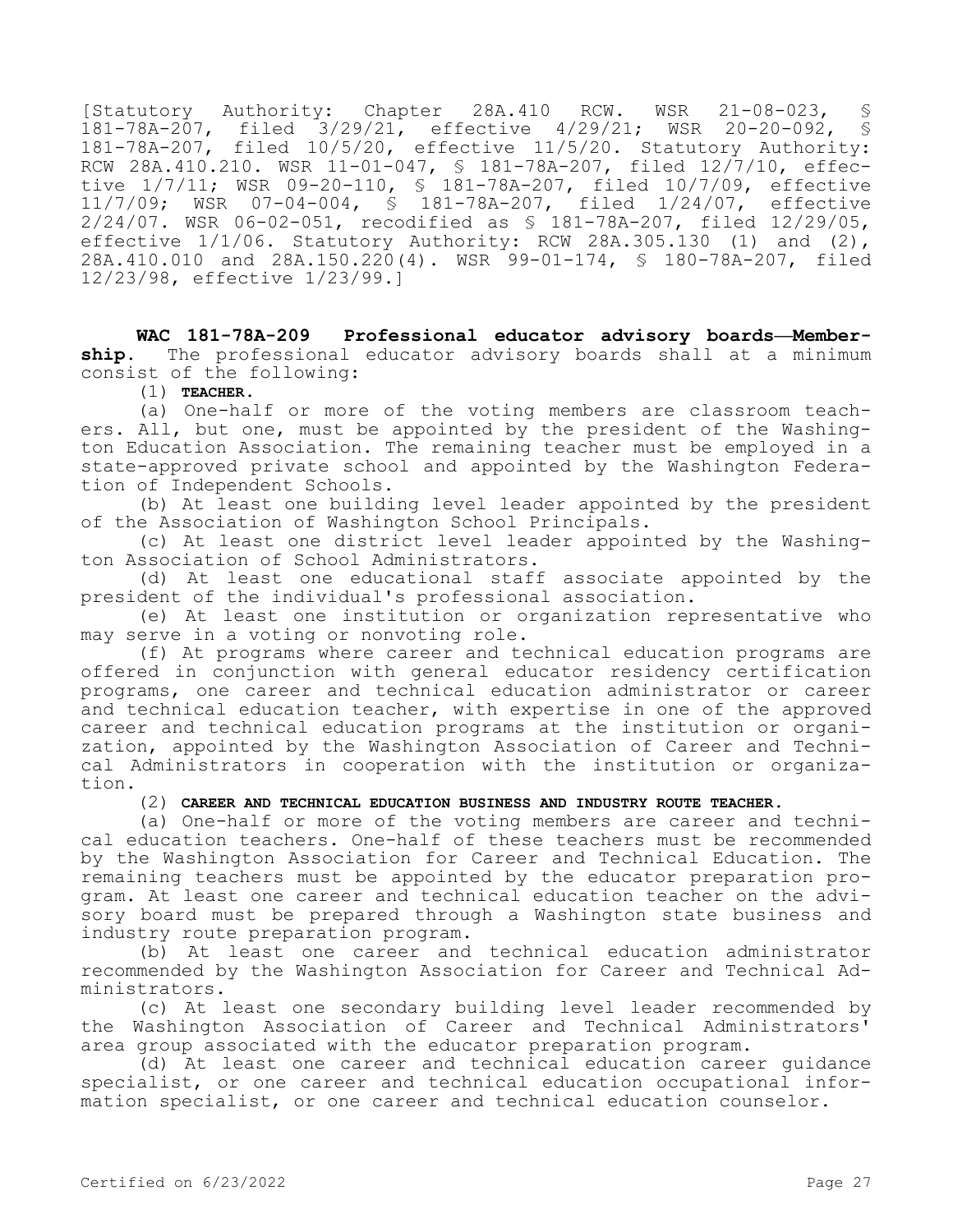[Statutory Authority: Chapter 28A.410 RCW. WSR 21-08-023, § 181-78A-207, filed 3/29/21, effective 4/29/21; WSR 20-20-092, § 181-78A-207, filed 10/5/20, effective 11/5/20. Statutory Authority: RCW 28A.410.210. WSR 11-01-047, § 181-78A-207, filed 12/7/10, effective 1/7/11; WSR 09-20-110, § 181-78A-207, filed 10/7/09, effective 11/7/09; WSR 07-04-004, § 181-78A-207, filed 1/24/07, effective 2/24/07. WSR 06-02-051, recodified as § 181-78A-207, filed 12/29/05, effective  $1/1/06$ . Statutory Authority: RCW 28A.305.130 (1) and (2), 28A.410.010 and 28A.150.220(4). WSR 99-01-174, § 180-78A-207, filed 12/23/98, effective 1/23/99.]

**WAC 181-78A-209 Professional educator advisory boards—Membership.** The professional educator advisory boards shall at a minimum consist of the following:

(1) **TEACHER.**

(a) One-half or more of the voting members are classroom teachers. All, but one, must be appointed by the president of the Washington Education Association. The remaining teacher must be employed in a state-approved private school and appointed by the Washington Federation of Independent Schools.

(b) At least one building level leader appointed by the president of the Association of Washington School Principals.

(c) At least one district level leader appointed by the Washington Association of School Administrators.

(d) At least one educational staff associate appointed by the president of the individual's professional association.

(e) At least one institution or organization representative who may serve in a voting or nonvoting role.

(f) At programs where career and technical education programs are offered in conjunction with general educator residency certification programs, one career and technical education administrator or career and technical education teacher, with expertise in one of the approved career and technical education programs at the institution or organization, appointed by the Washington Association of Career and Technical Administrators in cooperation with the institution or organization.

## (2) **CAREER AND TECHNICAL EDUCATION BUSINESS AND INDUSTRY ROUTE TEACHER.**

(a) One-half or more of the voting members are career and technical education teachers. One-half of these teachers must be recommended by the Washington Association for Career and Technical Education. The remaining teachers must be appointed by the educator preparation program. At least one career and technical education teacher on the advisory board must be prepared through a Washington state business and industry route preparation program.

(b) At least one career and technical education administrator recommended by the Washington Association for Career and Technical Administrators.

(c) At least one secondary building level leader recommended by the Washington Association of Career and Technical Administrators' area group associated with the educator preparation program.

(d) At least one career and technical education career guidance specialist, or one career and technical education occupational information specialist, or one career and technical education counselor.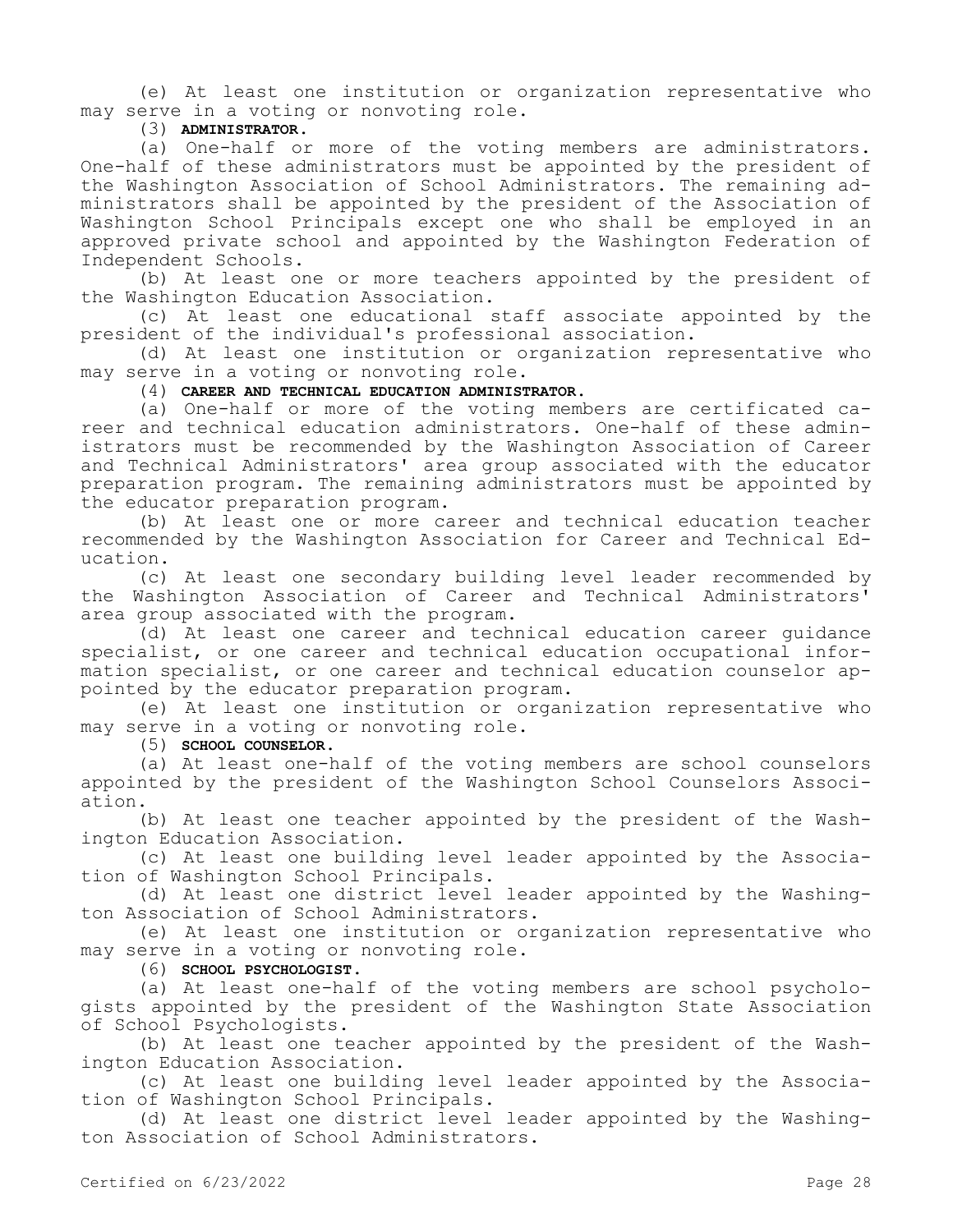(e) At least one institution or organization representative who may serve in a voting or nonvoting role.

(3) **ADMINISTRATOR.**

(a) One-half or more of the voting members are administrators. One-half of these administrators must be appointed by the president of the Washington Association of School Administrators. The remaining administrators shall be appointed by the president of the Association of Washington School Principals except one who shall be employed in an approved private school and appointed by the Washington Federation of Independent Schools.

(b) At least one or more teachers appointed by the president of the Washington Education Association.

(c) At least one educational staff associate appointed by the president of the individual's professional association.

(d) At least one institution or organization representative who may serve in a voting or nonvoting role.

(4) **CAREER AND TECHNICAL EDUCATION ADMINISTRATOR.**

(a) One-half or more of the voting members are certificated career and technical education administrators. One-half of these administrators must be recommended by the Washington Association of Career and Technical Administrators' area group associated with the educator preparation program. The remaining administrators must be appointed by the educator preparation program.

(b) At least one or more career and technical education teacher recommended by the Washington Association for Career and Technical Education.

(c) At least one secondary building level leader recommended by the Washington Association of Career and Technical Administrators' area group associated with the program.

(d) At least one career and technical education career guidance specialist, or one career and technical education occupational information specialist, or one career and technical education counselor appointed by the educator preparation program.

(e) At least one institution or organization representative who may serve in a voting or nonvoting role.

(5) **SCHOOL COUNSELOR.**

(a) At least one-half of the voting members are school counselors appointed by the president of the Washington School Counselors Association.

(b) At least one teacher appointed by the president of the Washington Education Association.

(c) At least one building level leader appointed by the Association of Washington School Principals.

(d) At least one district level leader appointed by the Washington Association of School Administrators.

(e) At least one institution or organization representative who may serve in a voting or nonvoting role.

(6) **SCHOOL PSYCHOLOGIST.**

(a) At least one-half of the voting members are school psychologists appointed by the president of the Washington State Association of School Psychologists.

(b) At least one teacher appointed by the president of the Washington Education Association.

(c) At least one building level leader appointed by the Association of Washington School Principals.

(d) At least one district level leader appointed by the Washington Association of School Administrators.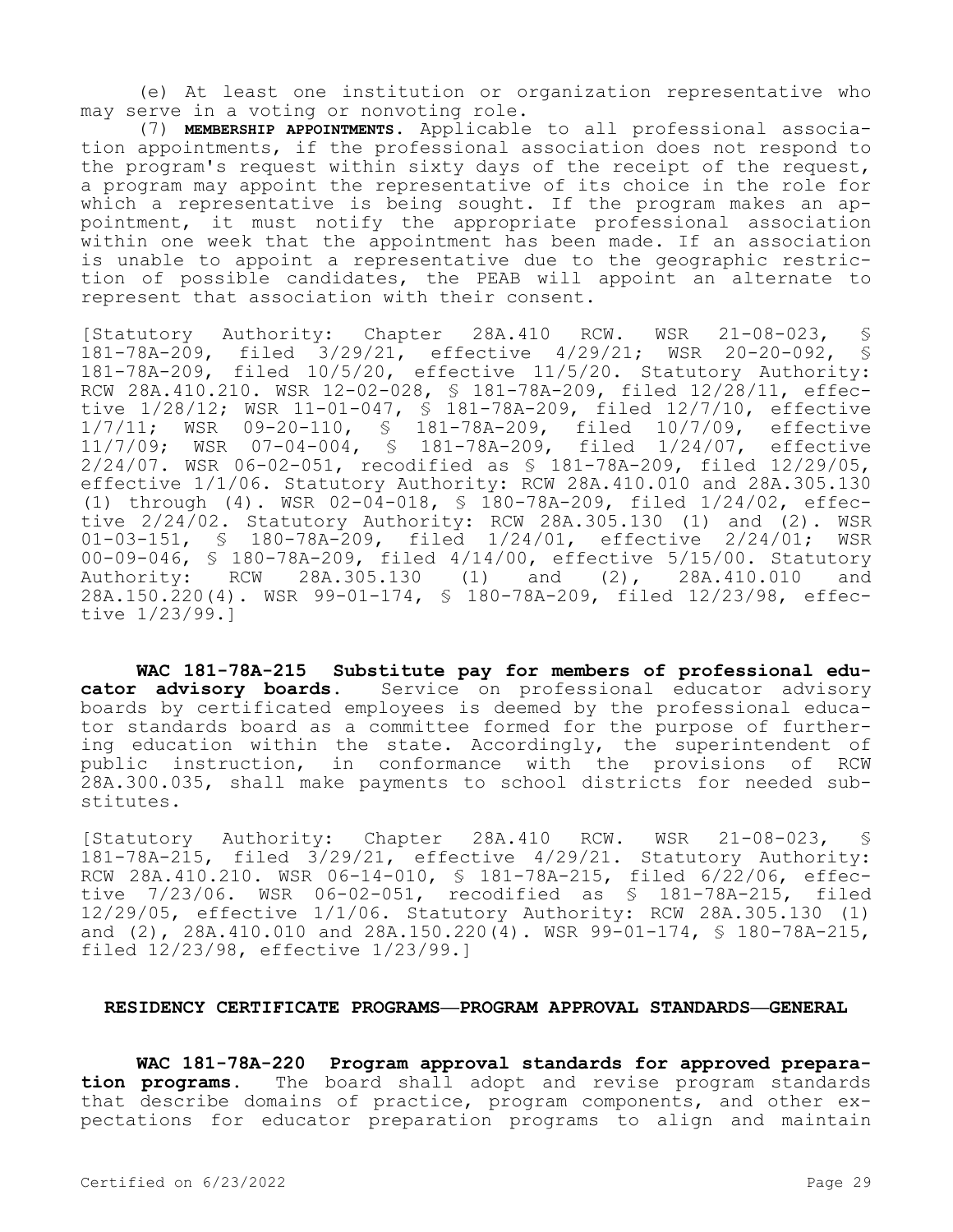(e) At least one institution or organization representative who may serve in a voting or nonvoting role.

(7) **MEMBERSHIP APPOINTMENTS.** Applicable to all professional association appointments, if the professional association does not respond to the program's request within sixty days of the receipt of the request, a program may appoint the representative of its choice in the role for which a representative is being sought. If the program makes an appointment, it must notify the appropriate professional association within one week that the appointment has been made. If an association is unable to appoint a representative due to the geographic restriction of possible candidates, the PEAB will appoint an alternate to represent that association with their consent.

[Statutory Authority: Chapter 28A.410 RCW. WSR 21-08-023, § 181-78A-209, filed 3/29/21, effective 4/29/21; WSR 20-20-092, § 181-78A-209, filed 10/5/20, effective 11/5/20. Statutory Authority: RCW 28A.410.210. WSR 12-02-028, § 181-78A-209, filed 12/28/11, effective 1/28/12; WSR 11-01-047, § 181-78A-209, filed 12/7/10, effective 1/7/11; WSR 09-20-110, § 181-78A-209, filed 10/7/09, effective 11/7/09; WSR 07-04-004, § 181-78A-209, filed 1/24/07, effective 2/24/07. WSR 06-02-051, recodified as § 181-78A-209, filed 12/29/05, effective 1/1/06. Statutory Authority: RCW 28A.410.010 and 28A.305.130 (1) through (4). WSR 02-04-018, § 180-78A-209, filed 1/24/02, effective  $2/24/02$ . Statutory Authority: RCW 28A.305.130 (1) and (2). WSR<br>01-03-151, § 180-78A-209, filed 1/24/01, effective 2/24/01; WSR 01-03-151, § 180-78A-209, filed 1/24/01, effective 2/24/01; 00-09-046, § 180-78A-209, filed 4/14/00, effective 5/15/00. Statutory<br>Authority: RCW 28A.305.130 (1) and (2), 28A.410.010 and RCW 28A.305.130 (1) and (2), 28A.410.010 and 28A.150.220(4). WSR 99-01-174, § 180-78A-209, filed 12/23/98, effective 1/23/99.]

**WAC 181-78A-215 Substitute pay for members of professional educator advisory boards.** Service on professional educator advisory boards by certificated employees is deemed by the professional educator standards board as a committee formed for the purpose of furthering education within the state. Accordingly, the superintendent of public instruction, in conformance with the provisions of RCW 28A.300.035, shall make payments to school districts for needed substitutes.

[Statutory Authority: Chapter 28A.410 RCW. WSR 21-08-023, § 181-78A-215, filed 3/29/21, effective 4/29/21. Statutory Authority: RCW 28A.410.210. WSR 06-14-010, § 181-78A-215, filed 6/22/06, effective 7/23/06. WSR 06-02-051, recodified as § 181-78A-215, filed 12/29/05, effective 1/1/06. Statutory Authority: RCW 28A.305.130 (1) and (2), 28A.410.010 and 28A.150.220(4). WSR 99-01-174, § 180-78A-215, filed 12/23/98, effective 1/23/99.]

### **RESIDENCY CERTIFICATE PROGRAMS—PROGRAM APPROVAL STANDARDS—GENERAL**

**WAC 181-78A-220 Program approval standards for approved preparation programs.** The board shall adopt and revise program standards that describe domains of practice, program components, and other expectations for educator preparation programs to align and maintain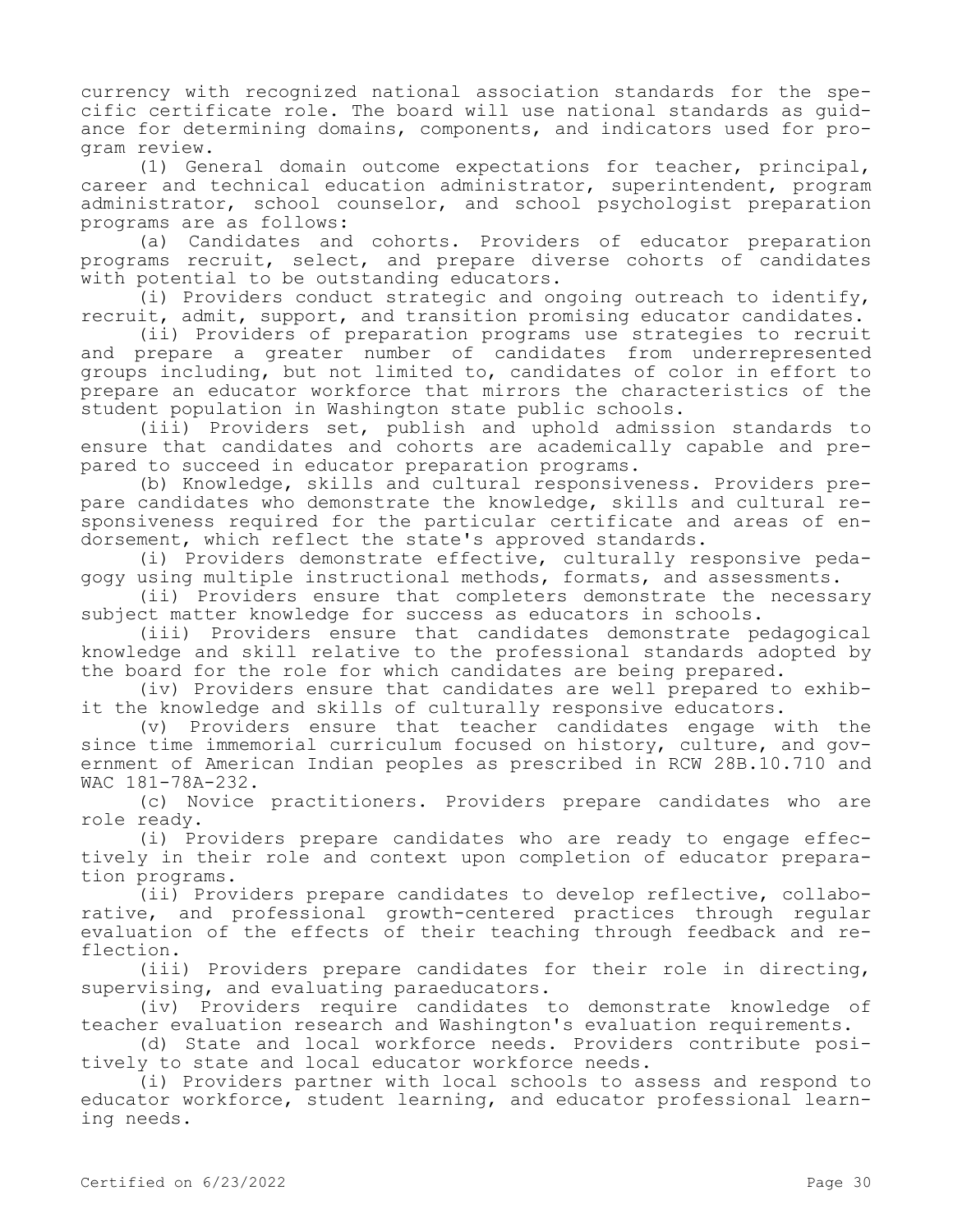currency with recognized national association standards for the specific certificate role. The board will use national standards as guidance for determining domains, components, and indicators used for program review.

(1) General domain outcome expectations for teacher, principal, career and technical education administrator, superintendent, program administrator, school counselor, and school psychologist preparation programs are as follows:

(a) Candidates and cohorts. Providers of educator preparation programs recruit, select, and prepare diverse cohorts of candidates with potential to be outstanding educators.

(i) Providers conduct strategic and ongoing outreach to identify, recruit, admit, support, and transition promising educator candidates.

(ii) Providers of preparation programs use strategies to recruit and prepare a greater number of candidates from underrepresented groups including, but not limited to, candidates of color in effort to prepare an educator workforce that mirrors the characteristics of the student population in Washington state public schools.

(iii) Providers set, publish and uphold admission standards to ensure that candidates and cohorts are academically capable and prepared to succeed in educator preparation programs.

(b) Knowledge, skills and cultural responsiveness. Providers prepare candidates who demonstrate the knowledge, skills and cultural responsiveness required for the particular certificate and areas of endorsement, which reflect the state's approved standards.

(i) Providers demonstrate effective, culturally responsive pedagogy using multiple instructional methods, formats, and assessments.

(ii) Providers ensure that completers demonstrate the necessary subject matter knowledge for success as educators in schools.

(iii) Providers ensure that candidates demonstrate pedagogical knowledge and skill relative to the professional standards adopted by the board for the role for which candidates are being prepared.

(iv) Providers ensure that candidates are well prepared to exhibit the knowledge and skills of culturally responsive educators.

(v) Providers ensure that teacher candidates engage with the since time immemorial curriculum focused on history, culture, and government of American Indian peoples as prescribed in RCW 28B.10.710 and WAC 181-78A-232.

(c) Novice practitioners. Providers prepare candidates who are role ready.

(i) Providers prepare candidates who are ready to engage effectively in their role and context upon completion of educator preparation programs.

(ii) Providers prepare candidates to develop reflective, collaborative, and professional growth-centered practices through regular evaluation of the effects of their teaching through feedback and reflection.

(iii) Providers prepare candidates for their role in directing, supervising, and evaluating paraeducators.

(iv) Providers require candidates to demonstrate knowledge of teacher evaluation research and Washington's evaluation requirements.

(d) State and local workforce needs. Providers contribute positively to state and local educator workforce needs.

(i) Providers partner with local schools to assess and respond to educator workforce, student learning, and educator professional learning needs.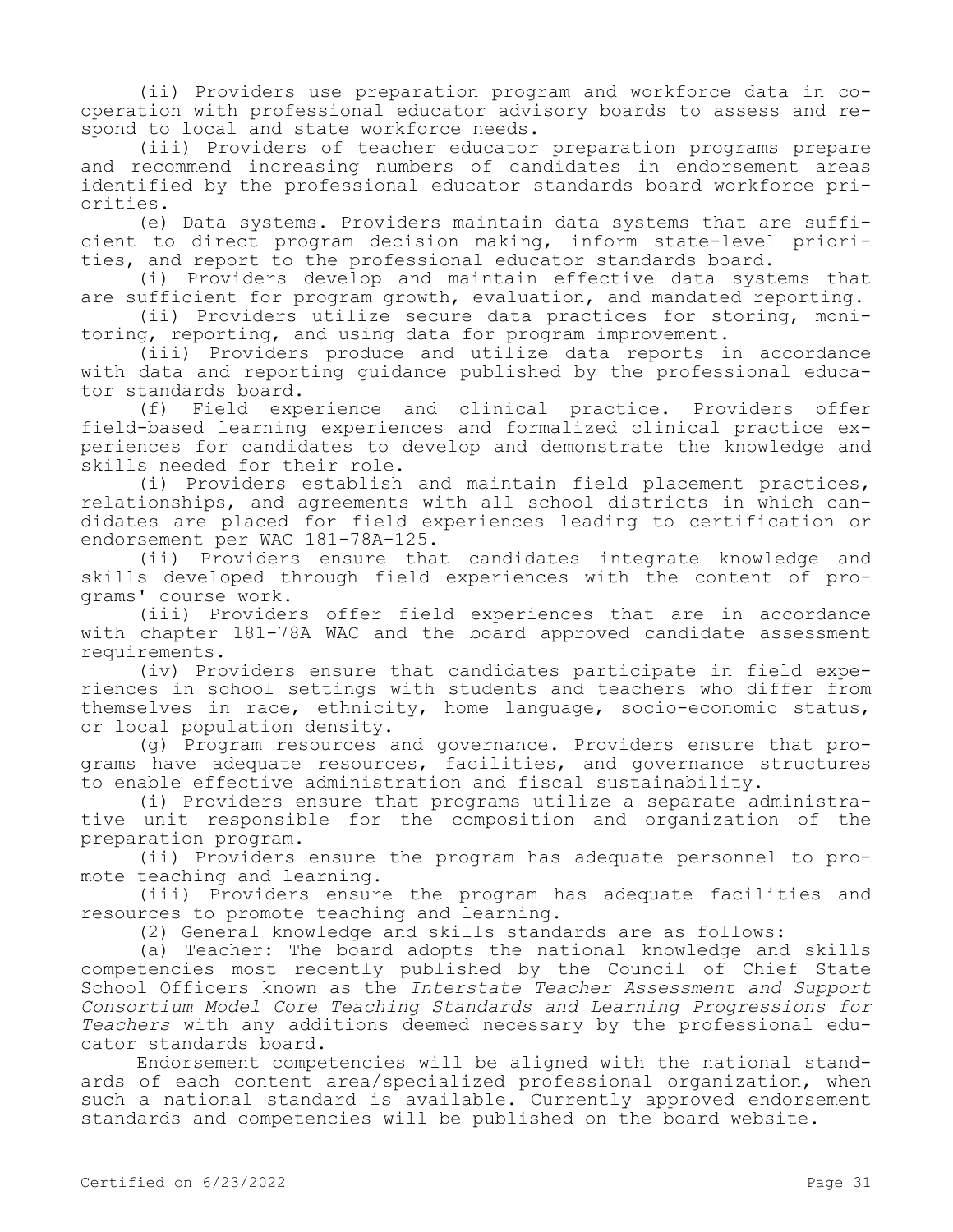(ii) Providers use preparation program and workforce data in cooperation with professional educator advisory boards to assess and respond to local and state workforce needs.

(iii) Providers of teacher educator preparation programs prepare and recommend increasing numbers of candidates in endorsement areas identified by the professional educator standards board workforce priorities.

(e) Data systems. Providers maintain data systems that are sufficient to direct program decision making, inform state-level priorities, and report to the professional educator standards board.

(i) Providers develop and maintain effective data systems that are sufficient for program growth, evaluation, and mandated reporting.

(ii) Providers utilize secure data practices for storing, monitoring, reporting, and using data for program improvement.

(iii) Providers produce and utilize data reports in accordance with data and reporting guidance published by the professional educator standards board.<br>(f) Field exp

Field experience and clinical practice. Providers offer field-based learning experiences and formalized clinical practice experiences for candidates to develop and demonstrate the knowledge and skills needed for their role.

(i) Providers establish and maintain field placement practices, relationships, and agreements with all school districts in which candidates are placed for field experiences leading to certification or endorsement per WAC 181-78A-125.

(ii) Providers ensure that candidates integrate knowledge and skills developed through field experiences with the content of programs' course work.

(iii) Providers offer field experiences that are in accordance with chapter 181-78A WAC and the board approved candidate assessment requirements.

(iv) Providers ensure that candidates participate in field experiences in school settings with students and teachers who differ from themselves in race, ethnicity, home language, socio-economic status, or local population density.

(g) Program resources and governance. Providers ensure that programs have adequate resources, facilities, and governance structures to enable effective administration and fiscal sustainability.

(i) Providers ensure that programs utilize a separate administrative unit responsible for the composition and organization of the preparation program.

(ii) Providers ensure the program has adequate personnel to promote teaching and learning.

(iii) Providers ensure the program has adequate facilities and resources to promote teaching and learning.

(2) General knowledge and skills standards are as follows:

(a) Teacher: The board adopts the national knowledge and skills competencies most recently published by the Council of Chief State School Officers known as the *Interstate Teacher Assessment and Support Consortium Model Core Teaching Standards and Learning Progressions for Teachers* with any additions deemed necessary by the professional educator standards board.

Endorsement competencies will be aligned with the national standards of each content area/specialized professional organization, when such a national standard is available. Currently approved endorsement standards and competencies will be published on the board website.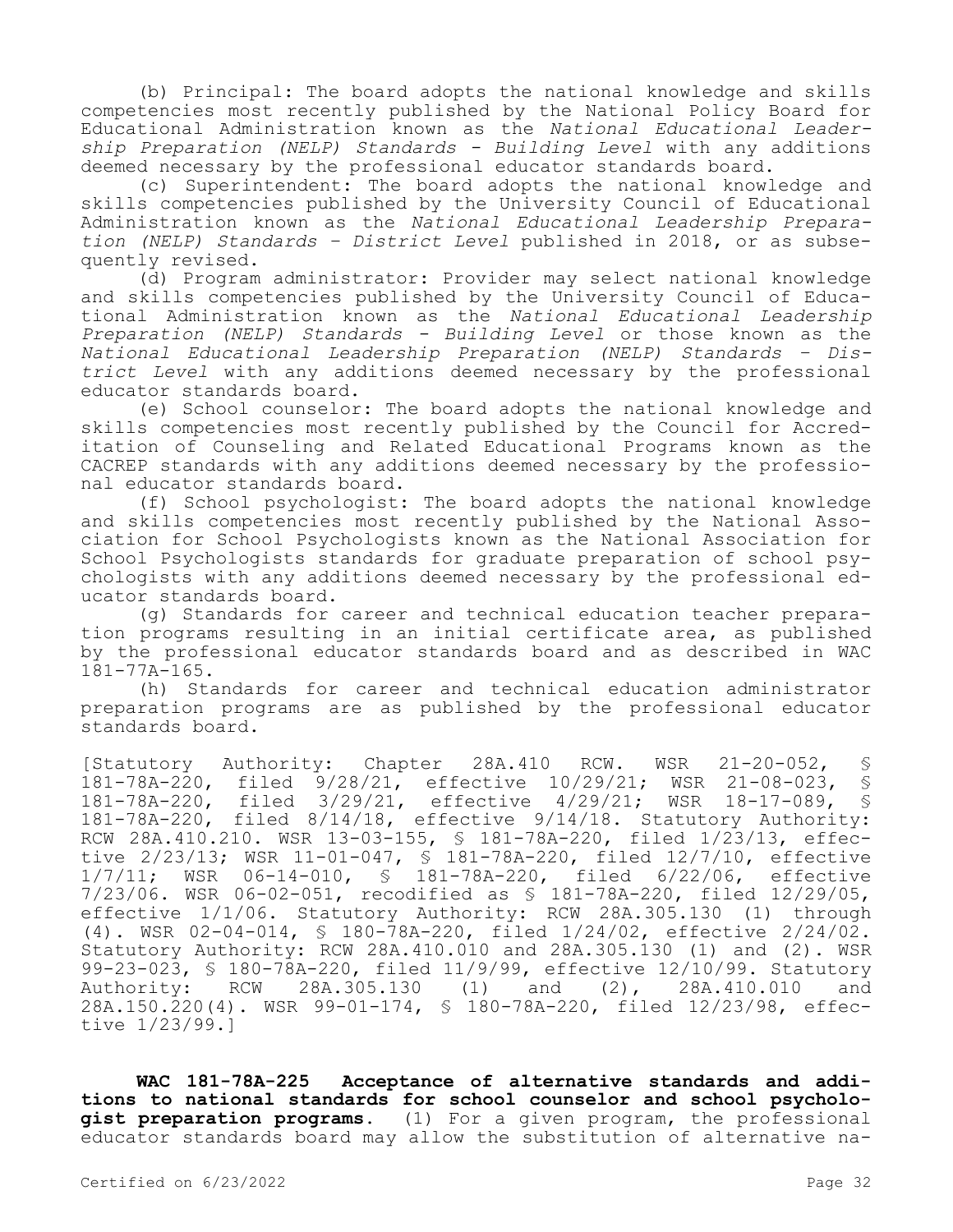(b) Principal: The board adopts the national knowledge and skills competencies most recently published by the National Policy Board for Educational Administration known as the *National Educational Leadership Preparation (NELP) Standards - Building Level* with any additions deemed necessary by the professional educator standards board.

(c) Superintendent: The board adopts the national knowledge and skills competencies published by the University Council of Educational Administration known as the *National Educational Leadership Preparation (NELP) Standards – District Level* published in 2018, or as subsequently revised.

(d) Program administrator: Provider may select national knowledge and skills competencies published by the University Council of Educational Administration known as the *National Educational Leadership Preparation (NELP) Standards - Building Level* or those known as the *National Educational Leadership Preparation (NELP) Standards – District Level* with any additions deemed necessary by the professional educator standards board.

(e) School counselor: The board adopts the national knowledge and skills competencies most recently published by the Council for Accreditation of Counseling and Related Educational Programs known as the CACREP standards with any additions deemed necessary by the professional educator standards board.

(f) School psychologist: The board adopts the national knowledge and skills competencies most recently published by the National Association for School Psychologists known as the National Association for School Psychologists standards for graduate preparation of school psychologists with any additions deemed necessary by the professional educator standards board.

(g) Standards for career and technical education teacher preparation programs resulting in an initial certificate area, as published by the professional educator standards board and as described in WAC 181-77A-165.

(h) Standards for career and technical education administrator preparation programs are as published by the professional educator standards board.

[Statutory Authority: Chapter 28A.410 RCW. WSR 21-20-052, § 181-78A-220, filed 9/28/21, effective 10/29/21; WSR 21-08-023, § 181-78A-220, filed 3/29/21, effective 4/29/21; WSR 18-17-089, § 181-78A-220, filed 8/14/18, effective 9/14/18. Statutory Authority: RCW 28A.410.210. WSR 13-03-155, § 181-78A-220, filed 1/23/13, effective 2/23/13; WSR 11-01-047, § 181-78A-220, filed 12/7/10, effective 1/7/11; WSR 06-14-010, § 181-78A-220, filed 6/22/06, effective 7/23/06. WSR 06-02-051, recodified as § 181-78A-220, filed 12/29/05, effective 1/1/06. Statutory Authority: RCW 28A.305.130 (1) through (4). WSR 02-04-014, § 180-78A-220, filed 1/24/02, effective 2/24/02. Statutory Authority: RCW 28A.410.010 and 28A.305.130 (1) and (2). WSR 99-23-023, § 180-78A-220, filed 11/9/99, effective 12/10/99. Statutory Authority: RCW 28A.305.130 (1) and (2), 28A.410.010 and 28A.150.220(4). WSR 99-01-174, § 180-78A-220, filed 12/23/98, effective 1/23/99.]

**WAC 181-78A-225 Acceptance of alternative standards and additions to national standards for school counselor and school psychologist preparation programs.** (1) For a given program, the professional educator standards board may allow the substitution of alternative na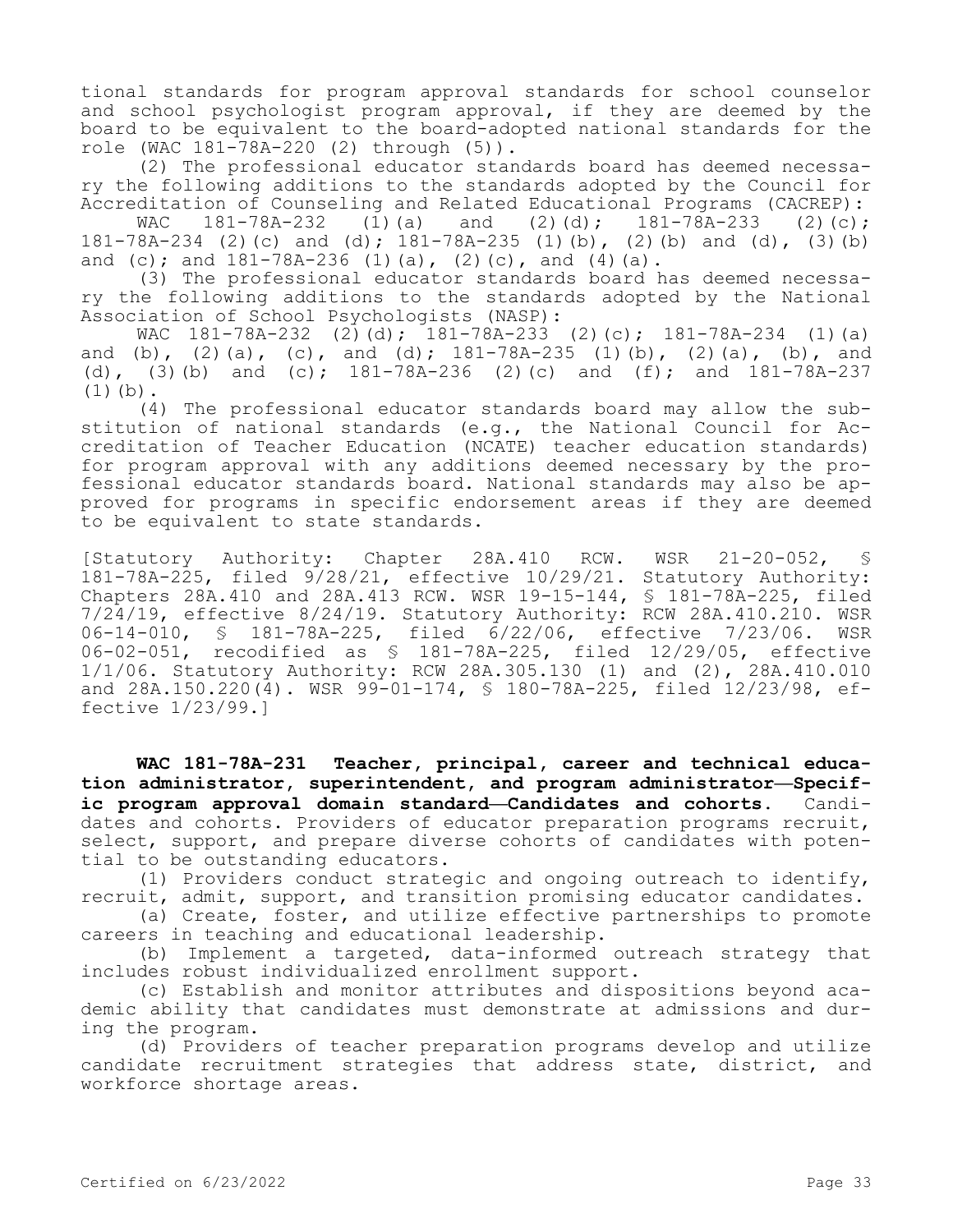tional standards for program approval standards for school counselor and school psychologist program approval, if they are deemed by the board to be equivalent to the board-adopted national standards for the role (WAC 181-78A-220 (2) through (5)).

(2) The professional educator standards board has deemed necessary the following additions to the standards adopted by the Council for

Accreditation of Counseling and Related Educational Programs (CACREP):<br>WAC 181-78A-232 (1)(a) and (2)(d); 181-78A-233 (2)(c); WAC  $181-78A-232$  (1)(a) and (2)(d);  $181-78A-233$  (2)(c); 181-78A-234 (2)(c) and (d); 181-78A-235 (1)(b), (2)(b) and (d), (3)(b) and (c); and  $181-78A-236$  (1)(a), (2)(c), and (4)(a).

(3) The professional educator standards board has deemed necessary the following additions to the standards adopted by the National Association of School Psychologists (NASP):

WAC 181-78A-232 (2)(d); 181-78A-233 (2)(c); 181-78A-234 (1)(a) and (b), (2)(a), (c), and (d);  $181-78A-235$  (1)(b), (2)(a), (b), and (d), (3)(b) and (c);  $181-78A-236$  (2)(c) and (f); and  $181-78A-237$  $(1)(b)$ .

(4) The professional educator standards board may allow the substitution of national standards (e.g., the National Council for Accreditation of Teacher Education (NCATE) teacher education standards) for program approval with any additions deemed necessary by the professional educator standards board. National standards may also be approved for programs in specific endorsement areas if they are deemed to be equivalent to state standards.

[Statutory Authority: Chapter 28A.410 RCW. WSR 21-20-052, § 181-78A-225, filed 9/28/21, effective 10/29/21. Statutory Authority: Chapters 28A.410 and 28A.413 RCW. WSR 19-15-144, § 181-78A-225, filed 7/24/19, effective 8/24/19. Statutory Authority: RCW 28A.410.210. WSR 06-14-010, § 181-78A-225, filed 6/22/06, effective 7/23/06. WSR 06-02-051, recodified as § 181-78A-225, filed 12/29/05, effective 1/1/06. Statutory Authority: RCW 28A.305.130 (1) and (2), 28A.410.010 and  $28A.150.220(\frac{4}{4})$ . WSR  $99-01-174$ , § 180-78A-225, filed  $12/23/98$ , effective 1/23/99.]

**WAC 181-78A-231 Teacher, principal, career and technical education administrator, superintendent, and program administrator—Specific program approval domain standard—Candidates and cohorts.** Candidates and cohorts. Providers of educator preparation programs recruit, select, support, and prepare diverse cohorts of candidates with potential to be outstanding educators.

(1) Providers conduct strategic and ongoing outreach to identify, recruit, admit, support, and transition promising educator candidates.

(a) Create, foster, and utilize effective partnerships to promote careers in teaching and educational leadership.

(b) Implement a targeted, data-informed outreach strategy that includes robust individualized enrollment support.

(c) Establish and monitor attributes and dispositions beyond academic ability that candidates must demonstrate at admissions and during the program.

(d) Providers of teacher preparation programs develop and utilize candidate recruitment strategies that address state, district, and workforce shortage areas.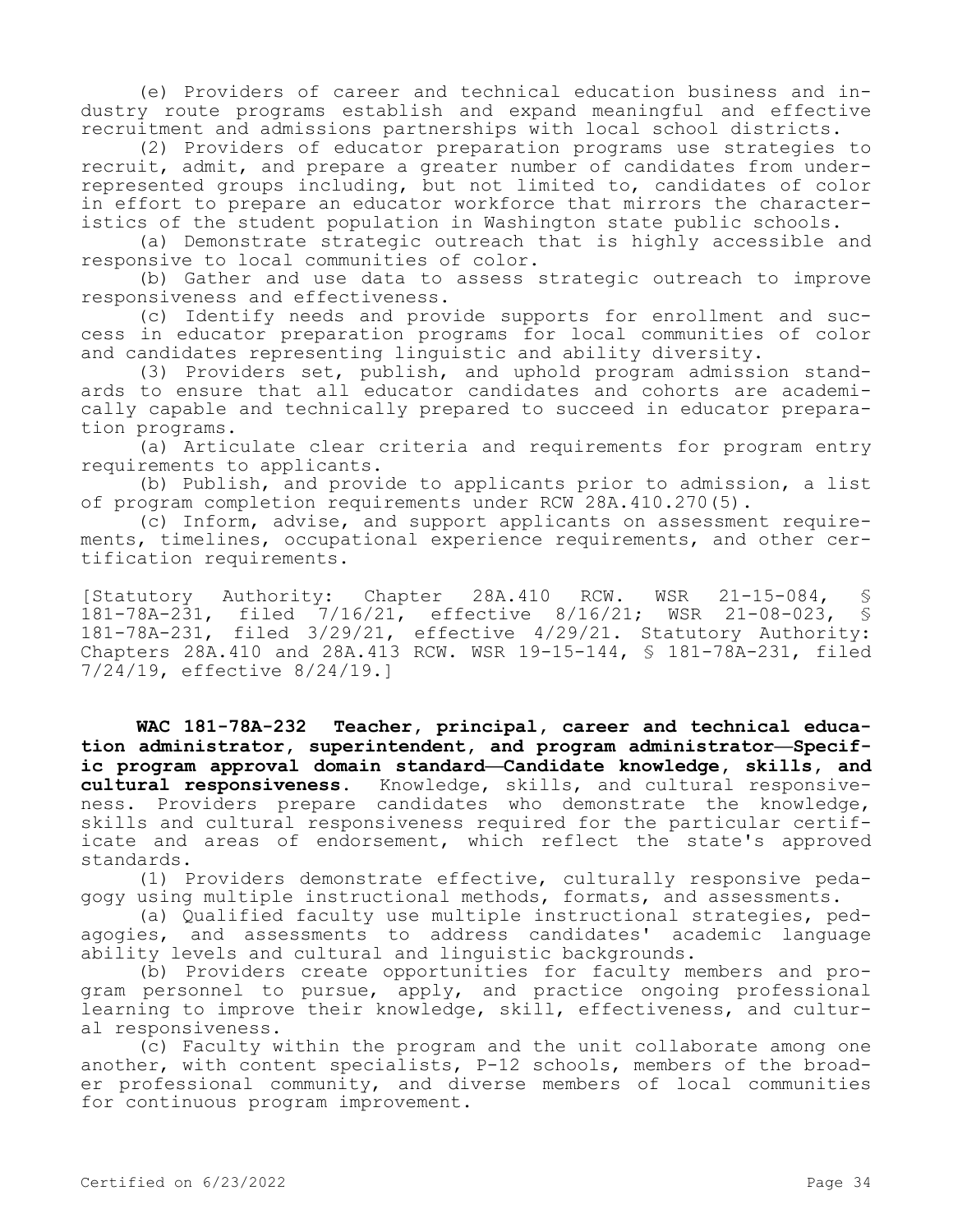(e) Providers of career and technical education business and industry route programs establish and expand meaningful and effective recruitment and admissions partnerships with local school districts.

(2) Providers of educator preparation programs use strategies to recruit, admit, and prepare a greater number of candidates from underrepresented groups including, but not limited to, candidates of color in effort to prepare an educator workforce that mirrors the characteristics of the student population in Washington state public schools.

(a) Demonstrate strategic outreach that is highly accessible and responsive to local communities of color.

(b) Gather and use data to assess strategic outreach to improve responsiveness and effectiveness.

(c) Identify needs and provide supports for enrollment and success in educator preparation programs for local communities of color and candidates representing linguistic and ability diversity.

(3) Providers set, publish, and uphold program admission standards to ensure that all educator candidates and cohorts are academically capable and technically prepared to succeed in educator preparation programs.

(a) Articulate clear criteria and requirements for program entry requirements to applicants.

(b) Publish, and provide to applicants prior to admission, a list of program completion requirements under RCW 28A.410.270(5).

(c) Inform, advise, and support applicants on assessment requirements, timelines, occupational experience requirements, and other certification requirements.

 $[Statutory$  Authority: Chapter 28A.410 RCW. WSR 21-15-084, 181-78A-231, filed 7/16/21, effective 8/16/21; WSR 21-08-023, § 181-78A-231, filed 3/29/21, effective 4/29/21. Statutory Authority: Chapters 28A.410 and 28A.413 RCW. WSR 19-15-144, § 181-78A-231, filed 7/24/19, effective 8/24/19.]

**WAC 181-78A-232 Teacher, principal, career and technical education administrator, superintendent, and program administrator—Specific program approval domain standard—Candidate knowledge, skills, and cultural responsiveness.** Knowledge, skills, and cultural responsiveness. Providers prepare candidates who demonstrate the knowledge, skills and cultural responsiveness required for the particular certificate and areas of endorsement, which reflect the state's approved standards.

(1) Providers demonstrate effective, culturally responsive pedagogy using multiple instructional methods, formats, and assessments.

(a) Qualified faculty use multiple instructional strategies, pedagogies, and assessments to address candidates' academic language ability levels and cultural and linguistic backgrounds.

(b) Providers create opportunities for faculty members and program personnel to pursue, apply, and practice ongoing professional learning to improve their knowledge, skill, effectiveness, and cultural responsiveness.

(c) Faculty within the program and the unit collaborate among one another, with content specialists, P-12 schools, members of the broader professional community, and diverse members of local communities for continuous program improvement.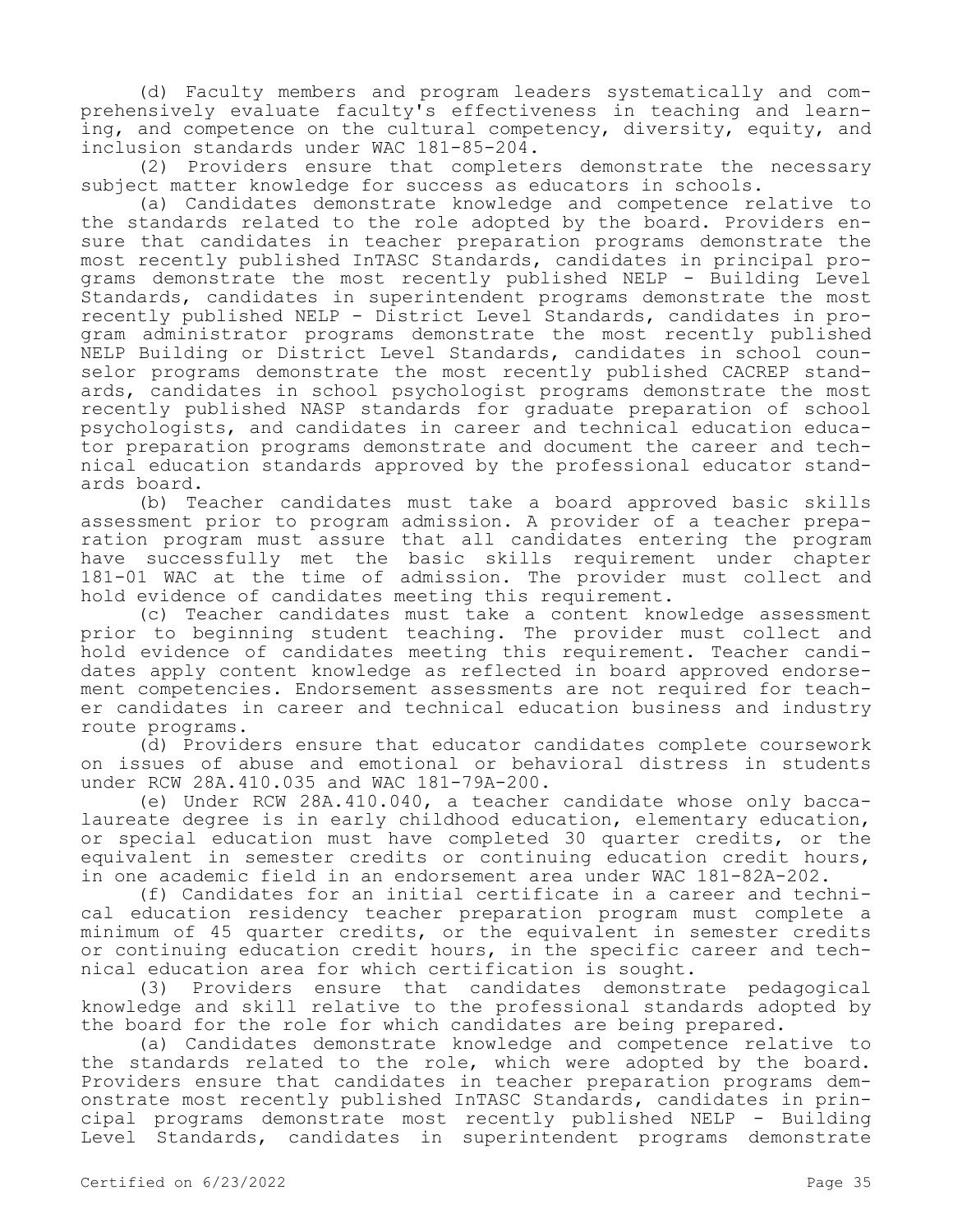(d) Faculty members and program leaders systematically and comprehensively evaluate faculty's effectiveness in teaching and learning, and competence on the cultural competency, diversity, equity, and inclusion standards under WAC 181-85-204.

(2) Providers ensure that completers demonstrate the necessary subject matter knowledge for success as educators in schools.

(a) Candidates demonstrate knowledge and competence relative to the standards related to the role adopted by the board. Providers ensure that candidates in teacher preparation programs demonstrate the most recently published InTASC Standards, candidates in principal programs demonstrate the most recently published NELP - Building Level Standards, candidates in superintendent programs demonstrate the most recently published NELP - District Level Standards, candidates in program administrator programs demonstrate the most recently published NELP Building or District Level Standards, candidates in school counselor programs demonstrate the most recently published CACREP standards, candidates in school psychologist programs demonstrate the most recently published NASP standards for graduate preparation of school psychologists, and candidates in career and technical education educator preparation programs demonstrate and document the career and technical education standards approved by the professional educator standards board.

(b) Teacher candidates must take a board approved basic skills assessment prior to program admission. A provider of a teacher preparation program must assure that all candidates entering the program have successfully met the basic skills requirement under chapter 181-01 WAC at the time of admission. The provider must collect and hold evidence of candidates meeting this requirement.

(c) Teacher candidates must take a content knowledge assessment prior to beginning student teaching. The provider must collect and hold evidence of candidates meeting this requirement. Teacher candidates apply content knowledge as reflected in board approved endorsement competencies. Endorsement assessments are not required for teacher candidates in career and technical education business and industry route programs.

(d) Providers ensure that educator candidates complete coursework on issues of abuse and emotional or behavioral distress in students under RCW 28A.410.035 and WAC 181-79A-200.

(e) Under RCW 28A.410.040, a teacher candidate whose only baccalaureate degree is in early childhood education, elementary education, or special education must have completed 30 quarter credits, or the equivalent in semester credits or continuing education credit hours, in one academic field in an endorsement area under WAC 181-82A-202.

(f) Candidates for an initial certificate in a career and technical education residency teacher preparation program must complete a minimum of 45 quarter credits, or the equivalent in semester credits or continuing education credit hours, in the specific career and technical education area for which certification is sought.

(3) Providers ensure that candidates demonstrate pedagogical knowledge and skill relative to the professional standards adopted by the board for the role for which candidates are being prepared.

(a) Candidates demonstrate knowledge and competence relative to the standards related to the role, which were adopted by the board. Providers ensure that candidates in teacher preparation programs demonstrate most recently published InTASC Standards, candidates in principal programs demonstrate most recently published NELP - Building Level Standards, candidates in superintendent programs demonstrate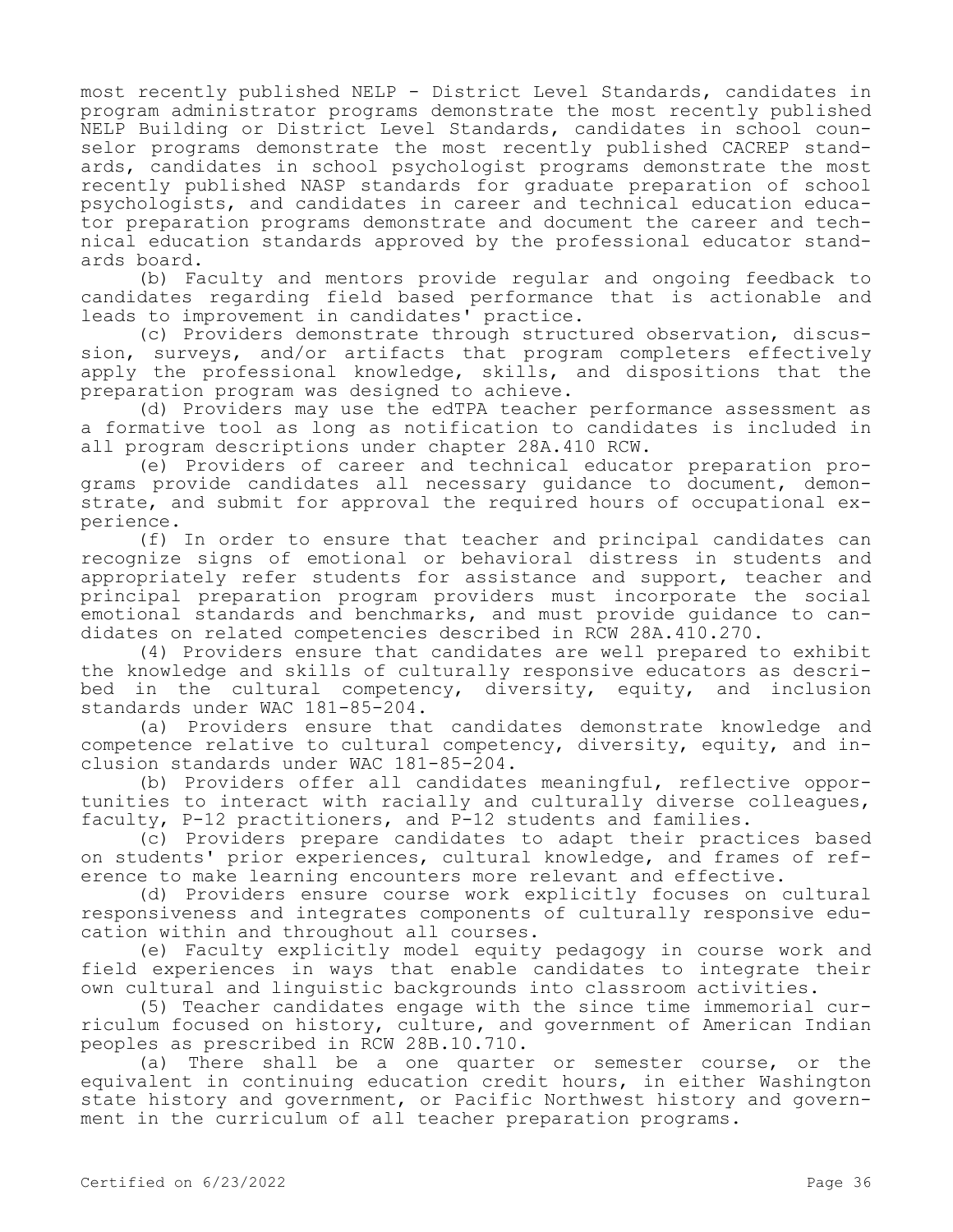most recently published NELP - District Level Standards, candidates in program administrator programs demonstrate the most recently published NELP Building or District Level Standards, candidates in school counselor programs demonstrate the most recently published CACREP standards, candidates in school psychologist programs demonstrate the most recently published NASP standards for graduate preparation of school psychologists, and candidates in career and technical education educator preparation programs demonstrate and document the career and technical education standards approved by the professional educator standards board.

(b) Faculty and mentors provide regular and ongoing feedback to candidates regarding field based performance that is actionable and leads to improvement in candidates' practice.

(c) Providers demonstrate through structured observation, discussion, surveys, and/or artifacts that program completers effectively apply the professional knowledge, skills, and dispositions that the preparation program was designed to achieve.

(d) Providers may use the edTPA teacher performance assessment as a formative tool as long as notification to candidates is included in all program descriptions under chapter 28A.410 RCW.

(e) Providers of career and technical educator preparation programs provide candidates all necessary guidance to document, demonstrate, and submit for approval the required hours of occupational experience.

(f) In order to ensure that teacher and principal candidates can recognize signs of emotional or behavioral distress in students and appropriately refer students for assistance and support, teacher and principal preparation program providers must incorporate the social emotional standards and benchmarks, and must provide guidance to candidates on related competencies described in RCW 28A.410.270.

(4) Providers ensure that candidates are well prepared to exhibit the knowledge and skills of culturally responsive educators as described in the cultural competency, diversity, equity, and inclusion standards under WAC 181-85-204.

(a) Providers ensure that candidates demonstrate knowledge and competence relative to cultural competency, diversity, equity, and inclusion standards under WAC 181-85-204.

(b) Providers offer all candidates meaningful, reflective opportunities to interact with racially and culturally diverse colleagues, faculty, P-12 practitioners, and P-12 students and families.

(c) Providers prepare candidates to adapt their practices based on students' prior experiences, cultural knowledge, and frames of reference to make learning encounters more relevant and effective.

(d) Providers ensure course work explicitly focuses on cultural responsiveness and integrates components of culturally responsive education within and throughout all courses.

(e) Faculty explicitly model equity pedagogy in course work and field experiences in ways that enable candidates to integrate their own cultural and linguistic backgrounds into classroom activities.

(5) Teacher candidates engage with the since time immemorial curriculum focused on history, culture, and government of American Indian peoples as prescribed in RCW 28B.10.710.

(a) There shall be a one quarter or semester course, or the equivalent in continuing education credit hours, in either Washington state history and government, or Pacific Northwest history and government in the curriculum of all teacher preparation programs.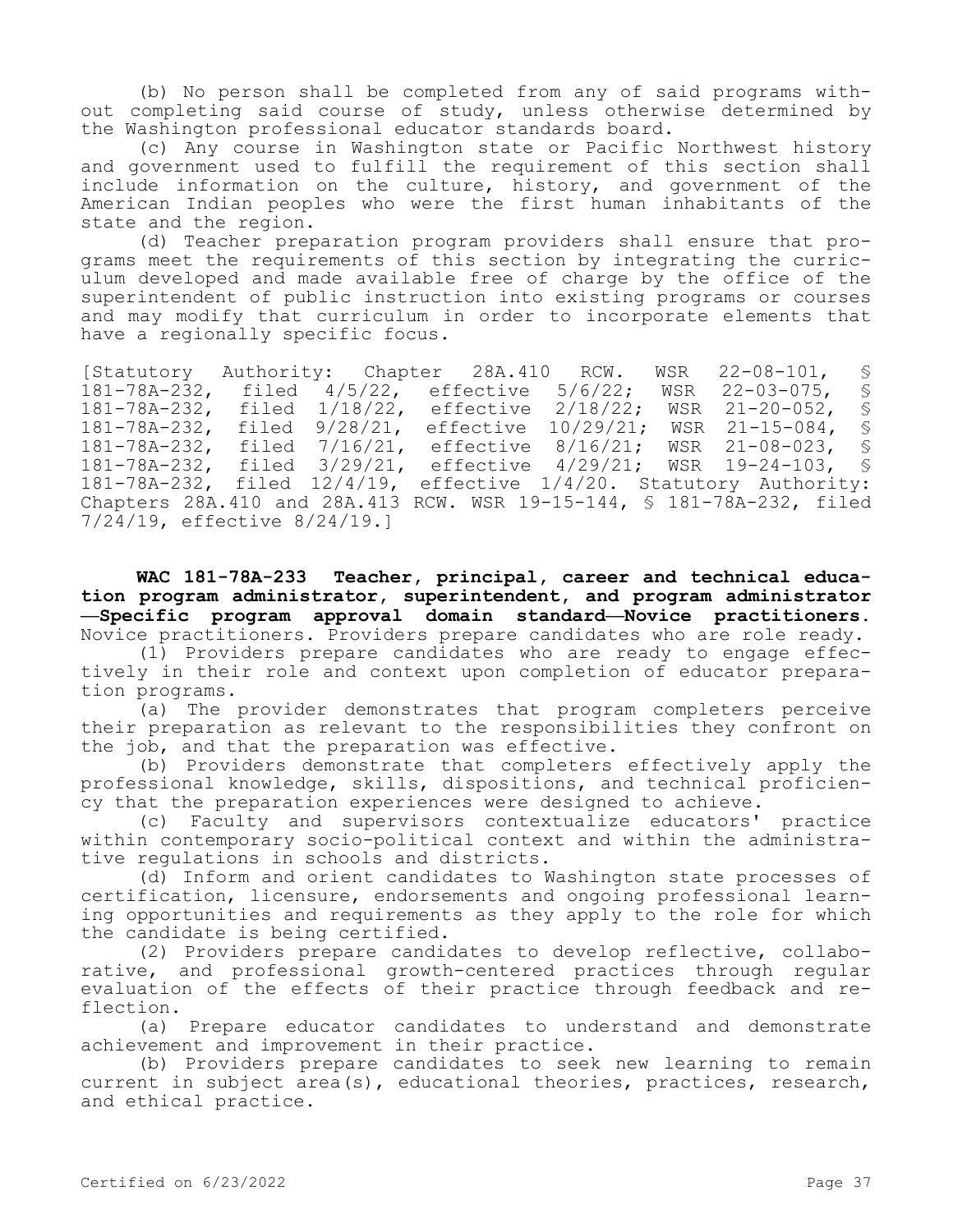(b) No person shall be completed from any of said programs without completing said course of study, unless otherwise determined by the Washington professional educator standards board.

(c) Any course in Washington state or Pacific Northwest history and government used to fulfill the requirement of this section shall include information on the culture, history, and government of the American Indian peoples who were the first human inhabitants of the state and the region.

(d) Teacher preparation program providers shall ensure that programs meet the requirements of this section by integrating the curriculum developed and made available free of charge by the office of the superintendent of public instruction into existing programs or courses and may modify that curriculum in order to incorporate elements that have a regionally specific focus.

[Statutory Authority: Chapter 28A.410 RCW. WSR 22-08-101, § 181-78A-232, filed 4/5/22, effective 5/6/22; WSR 22-03-075, §<br>181-78A-232, filed 1/18/22, effective 2/18/22; WSR 21-20-052, § 181-78A-232, filed 1/18/22, effective 2/18/22; WSR 21-20-052, §<br>181-78A-232, filed 9/28/21, effective 10/29/21: WSR 21-15-084, § 181-78A-232, filed 9/28/21, effective 10/29/21; WSR 21-15-084, § 181-78A-232, filed 7/16/21, effective 8/16/21; WSR 21-08-023, § 181-78A-232, filed 3/29/21, effective 4/29/21; WSR 19-24-103, § 181-78A-232, filed 12/4/19, effective 1/4/20. Statutory Authority: Chapters 28A.410 and 28A.413 RCW. WSR 19-15-144, § 181-78A-232, filed 7/24/19, effective 8/24/19.]

**WAC 181-78A-233 Teacher, principal, career and technical education program administrator, superintendent, and program administrator —Specific program approval domain standard—Novice practitioners.**  Novice practitioners. Providers prepare candidates who are role ready.

(1) Providers prepare candidates who are ready to engage effectively in their role and context upon completion of educator preparation programs.

(a) The provider demonstrates that program completers perceive their preparation as relevant to the responsibilities they confront on the job, and that the preparation was effective.

(b) Providers demonstrate that completers effectively apply the professional knowledge, skills, dispositions, and technical proficiency that the preparation experiences were designed to achieve.

(c) Faculty and supervisors contextualize educators' practice within contemporary socio-political context and within the administrative regulations in schools and districts.

(d) Inform and orient candidates to Washington state processes of certification, licensure, endorsements and ongoing professional learning opportunities and requirements as they apply to the role for which the candidate is being certified.

(2) Providers prepare candidates to develop reflective, collaborative, and professional growth-centered practices through regular evaluation of the effects of their practice through feedback and reflection.

(a) Prepare educator candidates to understand and demonstrate achievement and improvement in their practice.

(b) Providers prepare candidates to seek new learning to remain current in subject area(s), educational theories, practices, research, and ethical practice.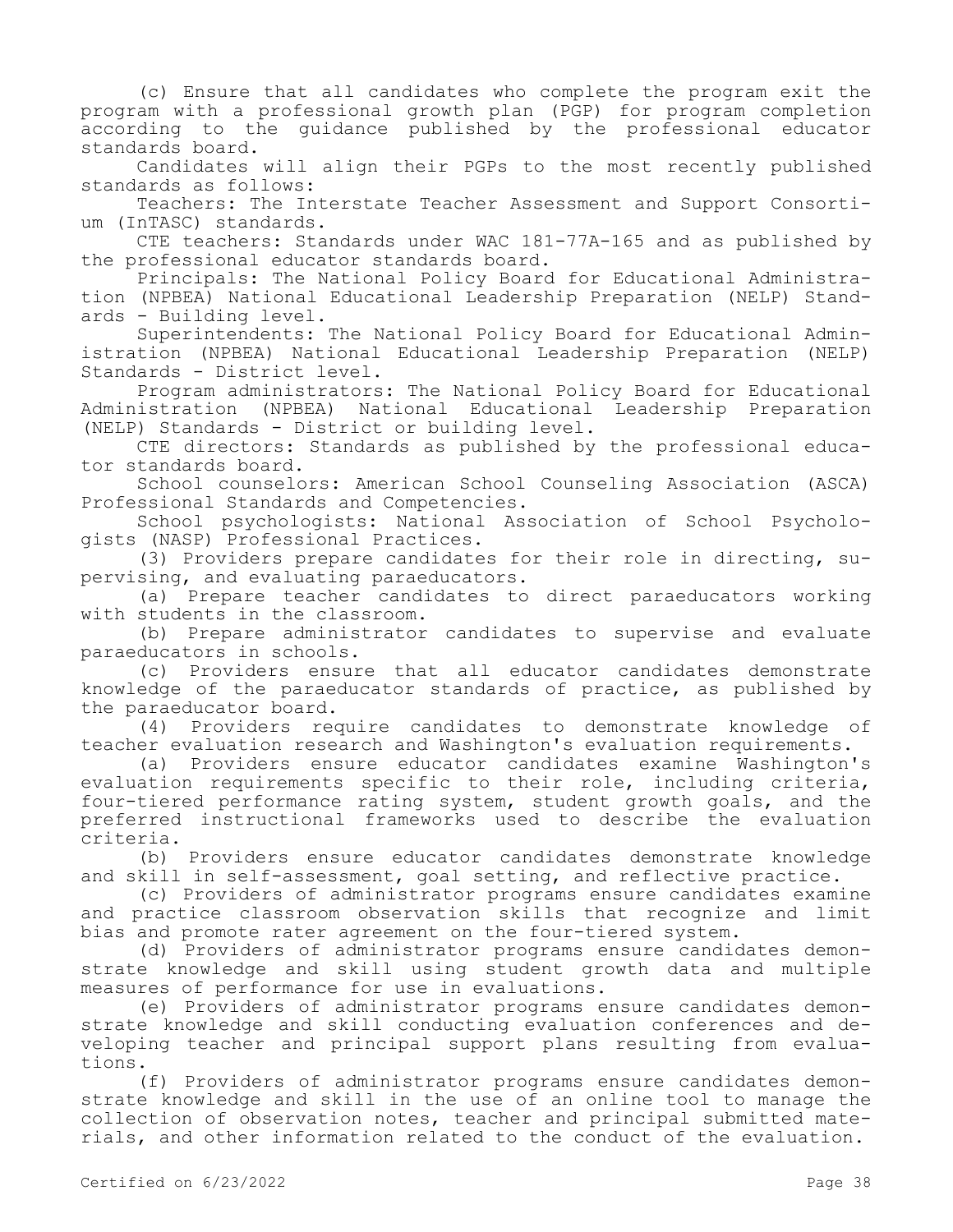(c) Ensure that all candidates who complete the program exit the program with a professional growth plan (PGP) for program completion according to the guidance published by the professional educator standards board.

Candidates will align their PGPs to the most recently published standards as follows:

Teachers: The Interstate Teacher Assessment and Support Consortium (InTASC) standards.

CTE teachers: Standards under WAC 181-77A-165 and as published by the professional educator standards board.

Principals: The National Policy Board for Educational Administration (NPBEA) National Educational Leadership Preparation (NELP) Standards - Building level.

Superintendents: The National Policy Board for Educational Administration (NPBEA) National Educational Leadership Preparation (NELP) Standards - District level.

Program administrators: The National Policy Board for Educational Administration (NPBEA) National Educational Leadership Preparation (NELP) Standards - District or building level.

CTE directors: Standards as published by the professional educator standards board.

School counselors: American School Counseling Association (ASCA) Professional Standards and Competencies.

School psychologists: National Association of School Psychologists (NASP) Professional Practices.

(3) Providers prepare candidates for their role in directing, supervising, and evaluating paraeducators.

(a) Prepare teacher candidates to direct paraeducators working with students in the classroom.

(b) Prepare administrator candidates to supervise and evaluate paraeducators in schools.

(c) Providers ensure that all educator candidates demonstrate knowledge of the paraeducator standards of practice, as published by the paraeducator board.

(4) Providers require candidates to demonstrate knowledge of teacher evaluation research and Washington's evaluation requirements.

(a) Providers ensure educator candidates examine Washington's evaluation requirements specific to their role, including criteria, four-tiered performance rating system, student growth goals, and the preferred instructional frameworks used to describe the evaluation criteria.

(b) Providers ensure educator candidates demonstrate knowledge and skill in self-assessment, goal setting, and reflective practice.

(c) Providers of administrator programs ensure candidates examine and practice classroom observation skills that recognize and limit bias and promote rater agreement on the four-tiered system.

(d) Providers of administrator programs ensure candidates demonstrate knowledge and skill using student growth data and multiple measures of performance for use in evaluations.

(e) Providers of administrator programs ensure candidates demonstrate knowledge and skill conducting evaluation conferences and developing teacher and principal support plans resulting from evaluations.

(f) Providers of administrator programs ensure candidates demonstrate knowledge and skill in the use of an online tool to manage the collection of observation notes, teacher and principal submitted materials, and other information related to the conduct of the evaluation.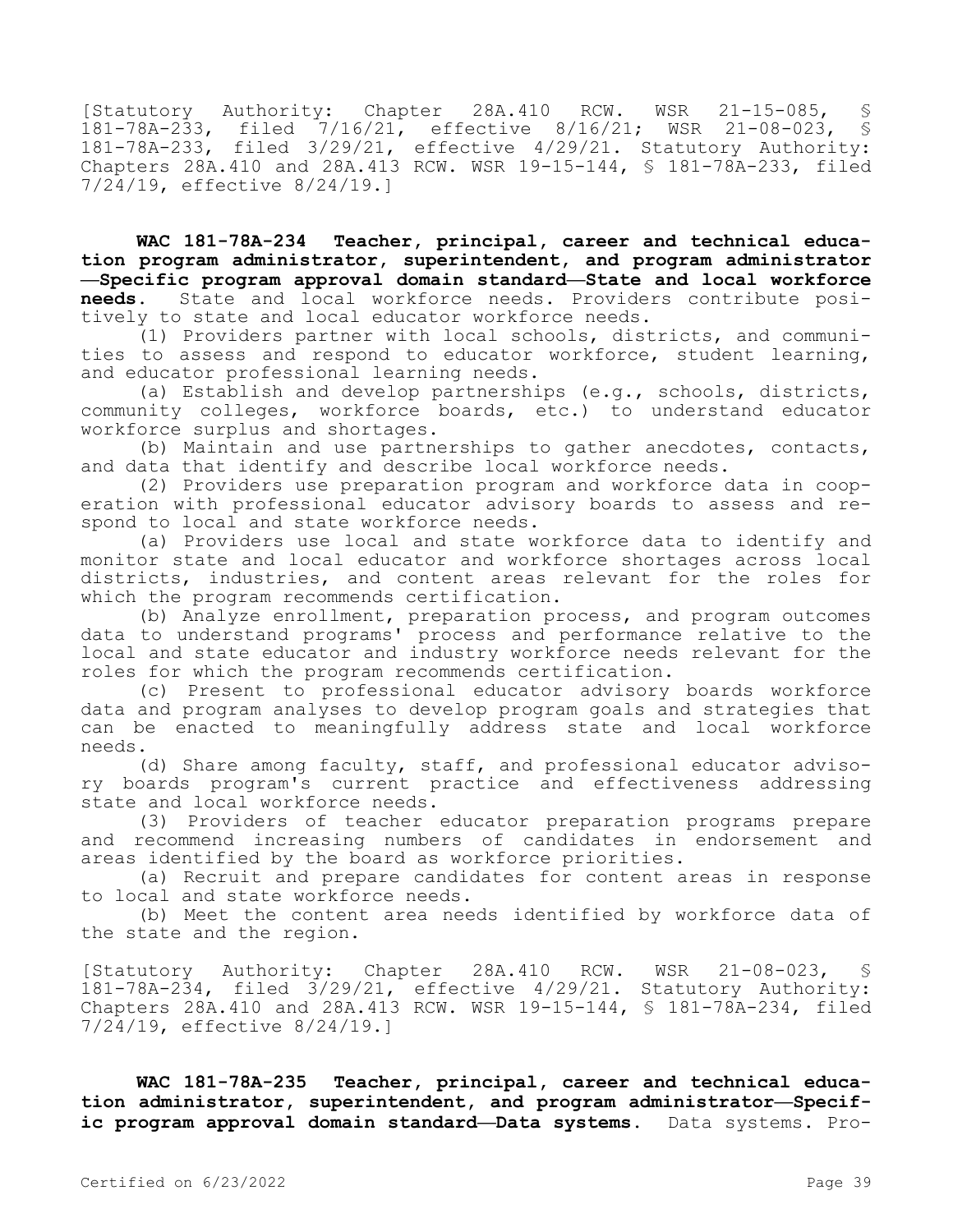[Statutory Authority: Chapter 28A.410 RCW. WSR 21-15-085, § 181-78A-233, filed 7/16/21, effective 8/16/21; WSR 21-08-023, § 181-78A-233, filed 3/29/21, effective 4/29/21. Statutory Authority: Chapters 28A.410 and 28A.413 RCW. WSR 19-15-144, § 181-78A-233, filed 7/24/19, effective 8/24/19.]

**WAC 181-78A-234 Teacher, principal, career and technical education program administrator, superintendent, and program administrator —Specific program approval domain standard—State and local workforce needs.** State and local workforce needs. Providers contribute positively to state and local educator workforce needs.

(1) Providers partner with local schools, districts, and communities to assess and respond to educator workforce, student learning, and educator professional learning needs.

(a) Establish and develop partnerships (e.g., schools, districts, community colleges, workforce boards, etc.) to understand educator workforce surplus and shortages.

(b) Maintain and use partnerships to gather anecdotes, contacts, and data that identify and describe local workforce needs.

(2) Providers use preparation program and workforce data in cooperation with professional educator advisory boards to assess and respond to local and state workforce needs.

(a) Providers use local and state workforce data to identify and monitor state and local educator and workforce shortages across local districts, industries, and content areas relevant for the roles for which the program recommends certification.

(b) Analyze enrollment, preparation process, and program outcomes data to understand programs' process and performance relative to the local and state educator and industry workforce needs relevant for the roles for which the program recommends certification.

(c) Present to professional educator advisory boards workforce data and program analyses to develop program goals and strategies that can be enacted to meaningfully address state and local workforce needs.

(d) Share among faculty, staff, and professional educator advisory boards program's current practice and effectiveness addressing state and local workforce needs.

(3) Providers of teacher educator preparation programs prepare and recommend increasing numbers of candidates in endorsement and areas identified by the board as workforce priorities.

(a) Recruit and prepare candidates for content areas in response to local and state workforce needs.

(b) Meet the content area needs identified by workforce data of the state and the region.

[Statutory Authority: Chapter 28A.410 RCW. WSR 21-08-023, § 181-78A-234, filed 3/29/21, effective 4/29/21. Statutory Authority: Chapters 28A.410 and 28A.413 RCW. WSR 19-15-144, § 181-78A-234, filed 7/24/19, effective 8/24/19.]

**WAC 181-78A-235 Teacher, principal, career and technical education administrator, superintendent, and program administrator—Specific program approval domain standard—Data systems.** Data systems. Pro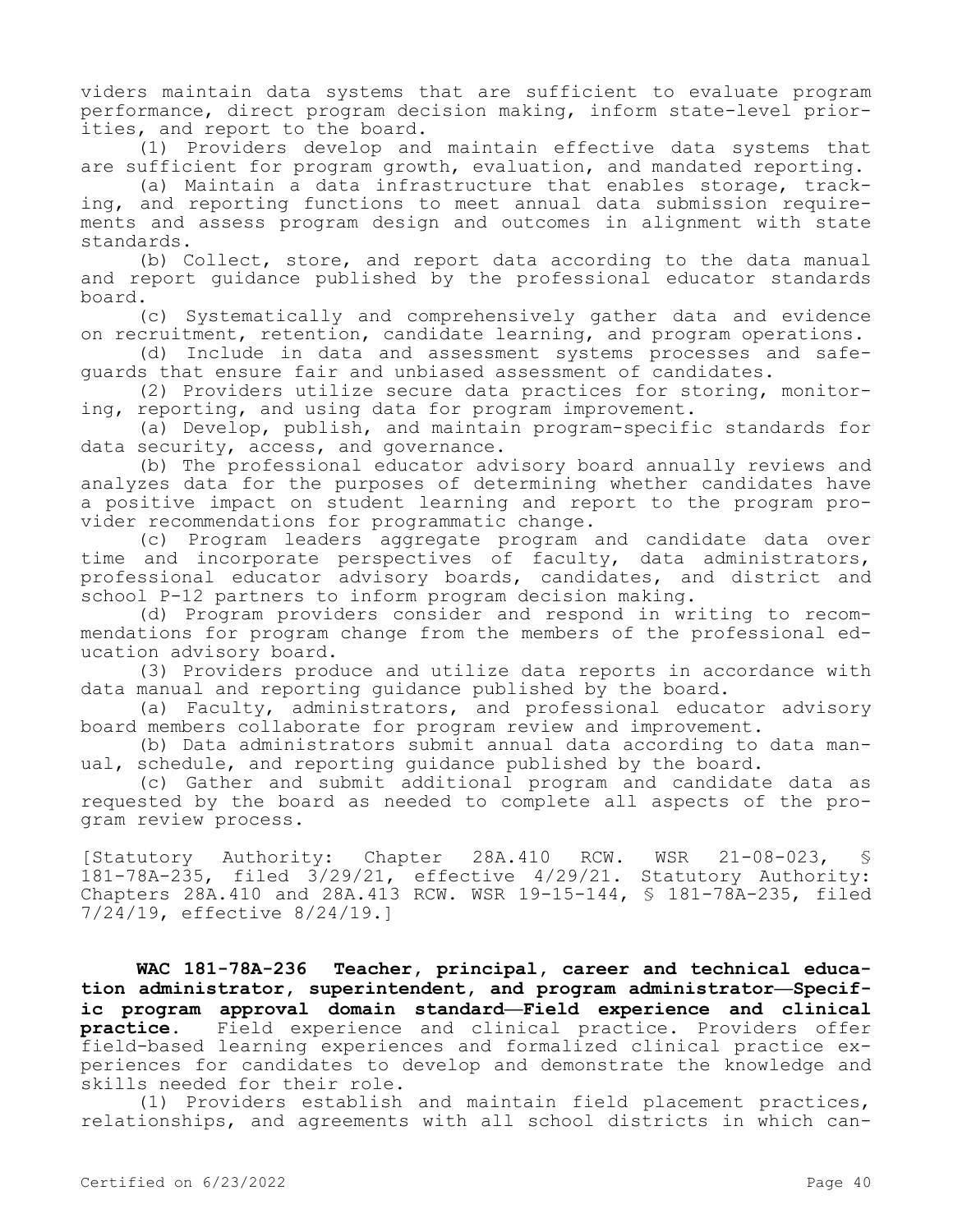viders maintain data systems that are sufficient to evaluate program performance, direct program decision making, inform state-level priorities, and report to the board.

(1) Providers develop and maintain effective data systems that are sufficient for program growth, evaluation, and mandated reporting.

(a) Maintain a data infrastructure that enables storage, tracking, and reporting functions to meet annual data submission requirements and assess program design and outcomes in alignment with state standards.

(b) Collect, store, and report data according to the data manual and report guidance published by the professional educator standards board.

(c) Systematically and comprehensively gather data and evidence on recruitment, retention, candidate learning, and program operations.

(d) Include in data and assessment systems processes and safeguards that ensure fair and unbiased assessment of candidates.

(2) Providers utilize secure data practices for storing, monitoring, reporting, and using data for program improvement.

(a) Develop, publish, and maintain program-specific standards for data security, access, and governance.

(b) The professional educator advisory board annually reviews and analyzes data for the purposes of determining whether candidates have a positive impact on student learning and report to the program provider recommendations for programmatic change.

(c) Program leaders aggregate program and candidate data over time and incorporate perspectives of faculty, data administrators, professional educator advisory boards, candidates, and district and school P-12 partners to inform program decision making.

(d) Program providers consider and respond in writing to recommendations for program change from the members of the professional education advisory board.

(3) Providers produce and utilize data reports in accordance with data manual and reporting guidance published by the board.

(a) Faculty, administrators, and professional educator advisory board members collaborate for program review and improvement.

(b) Data administrators submit annual data according to data manual, schedule, and reporting guidance published by the board.

(c) Gather and submit additional program and candidate data as requested by the board as needed to complete all aspects of the program review process.

[Statutory Authority: Chapter 28A.410 RCW. WSR 21-08-023, 181-78A-235, filed 3/29/21, effective 4/29/21. Statutory Authority: Chapters 28A.410 and 28A.413 RCW. WSR 19-15-144, § 181-78A-235, filed 7/24/19, effective 8/24/19.]

**WAC 181-78A-236 Teacher, principal, career and technical education administrator, superintendent, and program administrator—Specific program approval domain standard—Field experience and clinical practice.** Field experience and clinical practice. Providers offer field-based learning experiences and formalized clinical practice experiences for candidates to develop and demonstrate the knowledge and skills needed for their role.

(1) Providers establish and maintain field placement practices, relationships, and agreements with all school districts in which can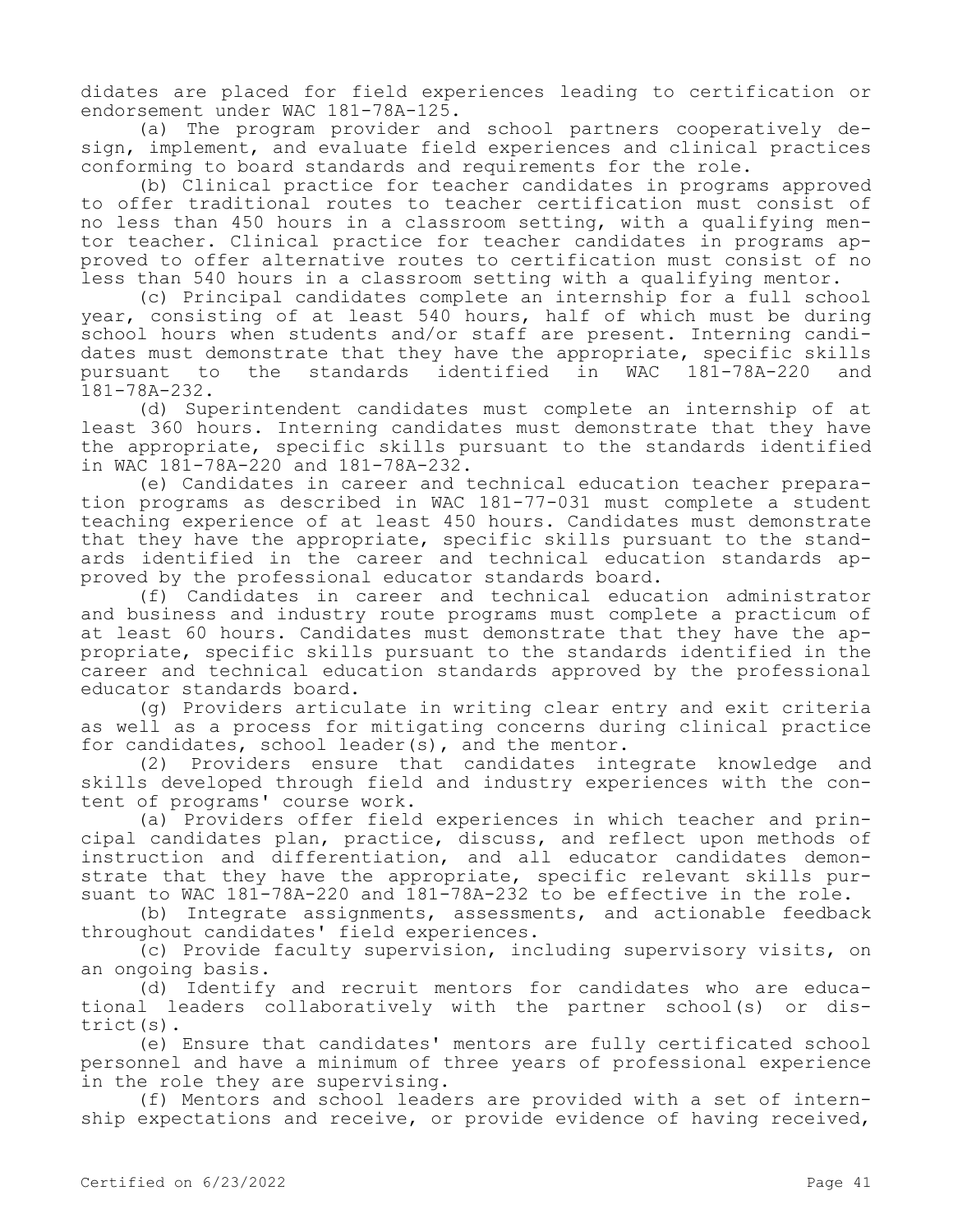didates are placed for field experiences leading to certification or endorsement under WAC 181-78A-125.

(a) The program provider and school partners cooperatively design, implement, and evaluate field experiences and clinical practices conforming to board standards and requirements for the role.

(b) Clinical practice for teacher candidates in programs approved to offer traditional routes to teacher certification must consist of no less than 450 hours in a classroom setting, with a qualifying mentor teacher. Clinical practice for teacher candidates in programs approved to offer alternative routes to certification must consist of no less than 540 hours in a classroom setting with a qualifying mentor.

(c) Principal candidates complete an internship for a full school year, consisting of at least 540 hours, half of which must be during school hours when students and/or staff are present. Interning candidates must demonstrate that they have the appropriate, specific skills<br>pursuant to the standards identified in WAC 181-78A-220 and pursuant to the standards identified in WAC 181-78A-232.

(d) Superintendent candidates must complete an internship of at least 360 hours. Interning candidates must demonstrate that they have the appropriate, specific skills pursuant to the standards identified in WAC 181-78A-220 and 181-78A-232.

(e) Candidates in career and technical education teacher preparation programs as described in WAC 181-77-031 must complete a student teaching experience of at least 450 hours. Candidates must demonstrate that they have the appropriate, specific skills pursuant to the standards identified in the career and technical education standards approved by the professional educator standards board.

(f) Candidates in career and technical education administrator and business and industry route programs must complete a practicum of at least 60 hours. Candidates must demonstrate that they have the appropriate, specific skills pursuant to the standards identified in the career and technical education standards approved by the professional educator standards board.

(g) Providers articulate in writing clear entry and exit criteria as well as a process for mitigating concerns during clinical practice for candidates, school leader(s), and the mentor.

(2) Providers ensure that candidates integrate knowledge and skills developed through field and industry experiences with the content of programs' course work.

(a) Providers offer field experiences in which teacher and principal candidates plan, practice, discuss, and reflect upon methods of instruction and differentiation, and all educator candidates demonstrate that they have the appropriate, specific relevant skills pursuant to WAC 181-78A-220 and 181-78A-232 to be effective in the role.

(b) Integrate assignments, assessments, and actionable feedback throughout candidates' field experiences.

(c) Provide faculty supervision, including supervisory visits, on an ongoing basis.

(d) Identify and recruit mentors for candidates who are educational leaders collaboratively with the partner school(s) or district(s).

(e) Ensure that candidates' mentors are fully certificated school personnel and have a minimum of three years of professional experience in the role they are supervising.

(f) Mentors and school leaders are provided with a set of internship expectations and receive, or provide evidence of having received,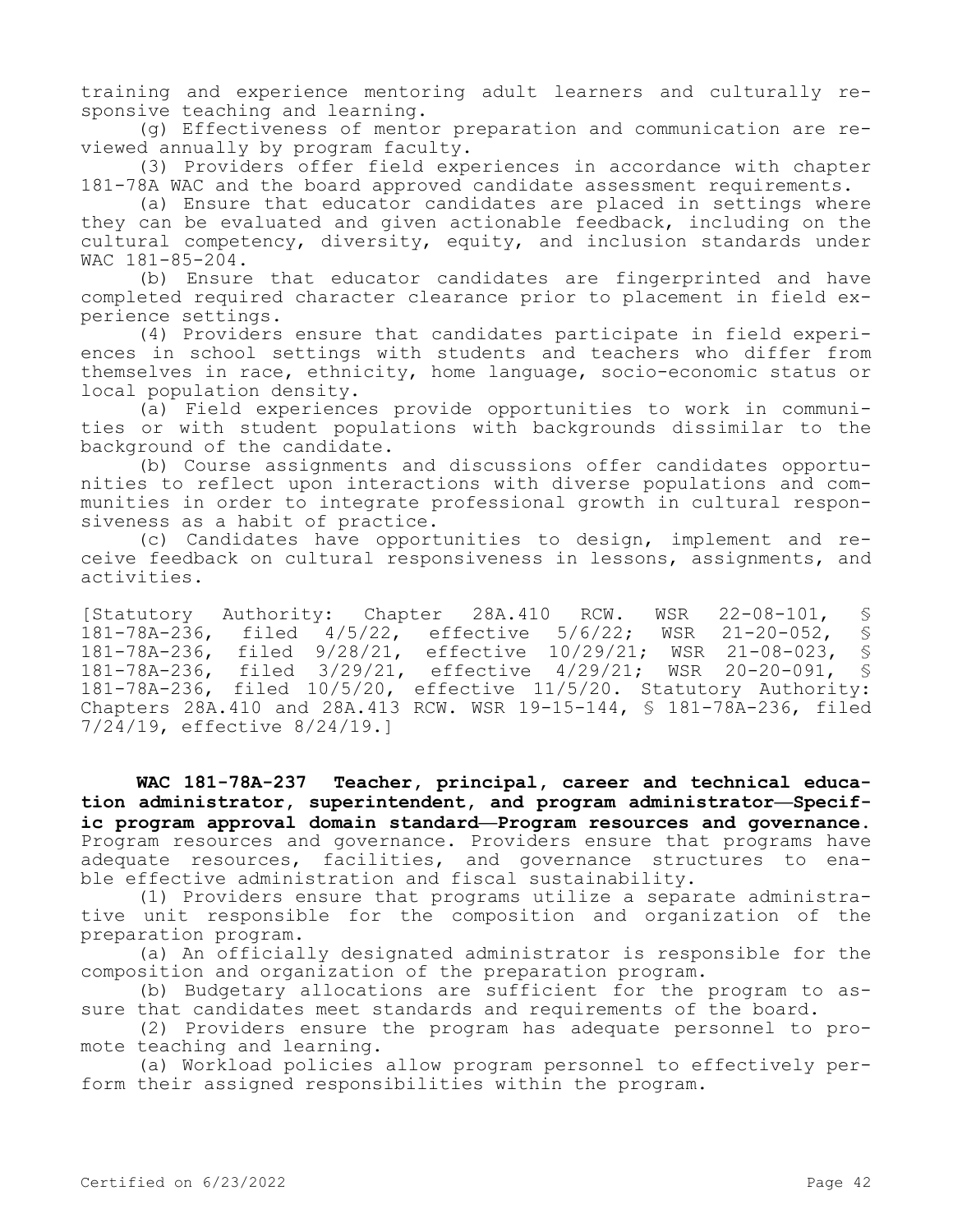training and experience mentoring adult learners and culturally responsive teaching and learning.

(g) Effectiveness of mentor preparation and communication are reviewed annually by program faculty.

(3) Providers offer field experiences in accordance with chapter 181-78A WAC and the board approved candidate assessment requirements.

(a) Ensure that educator candidates are placed in settings where they can be evaluated and given actionable feedback, including on the cultural competency, diversity, equity, and inclusion standards under WAC 181-85-204.

(b) Ensure that educator candidates are fingerprinted and have completed required character clearance prior to placement in field experience settings.

(4) Providers ensure that candidates participate in field experiences in school settings with students and teachers who differ from themselves in race, ethnicity, home language, socio-economic status or local population density.

(a) Field experiences provide opportunities to work in communities or with student populations with backgrounds dissimilar to the background of the candidate.

(b) Course assignments and discussions offer candidates opportunities to reflect upon interactions with diverse populations and communities in order to integrate professional growth in cultural responsiveness as a habit of practice.

(c) Candidates have opportunities to design, implement and receive feedback on cultural responsiveness in lessons, assignments, and activities.

[Statutory Authority: Chapter 28A.410 RCW. WSR 22-08-101, § 181-78A-236, filed 4/5/22, effective 5/6/22; WSR 21-20-052, §<br>181-78A-236, filed 9/28/21, effective 10/29/21: WSR 21-08-023, § 181-78A-236, filed 9/28/21, effective 10/29/21; WSR 21-08-023, § 181-78A-236, filed 3/29/21, effective 4/29/21; WSR 20-20-091, § 181-78A-236, filed 10/5/20, effective 11/5/20. Statutory Authority: Chapters 28A.410 and 28A.413 RCW. WSR 19-15-144, § 181-78A-236, filed 7/24/19, effective 8/24/19.]

**WAC 181-78A-237 Teacher, principal, career and technical education administrator, superintendent, and program administrator—Specific program approval domain standard—Program resources and governance.**  Program resources and governance. Providers ensure that programs have adequate resources, facilities, and governance structures to enable effective administration and fiscal sustainability.

(1) Providers ensure that programs utilize a separate administrative unit responsible for the composition and organization of the preparation program.

(a) An officially designated administrator is responsible for the composition and organization of the preparation program.

(b) Budgetary allocations are sufficient for the program to assure that candidates meet standards and requirements of the board.

(2) Providers ensure the program has adequate personnel to promote teaching and learning.

(a) Workload policies allow program personnel to effectively perform their assigned responsibilities within the program.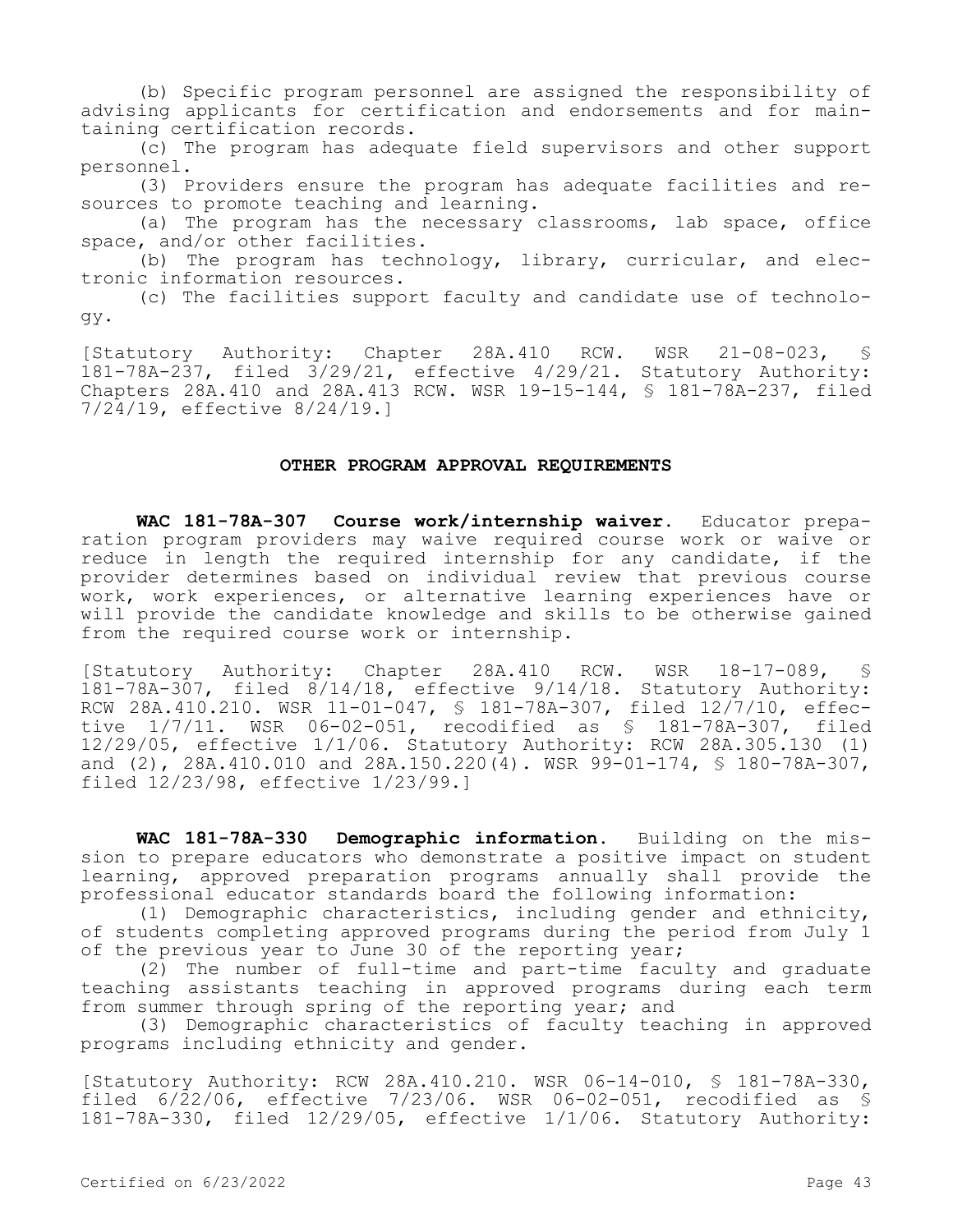(b) Specific program personnel are assigned the responsibility of advising applicants for certification and endorsements and for maintaining certification records.

(c) The program has adequate field supervisors and other support personnel.

(3) Providers ensure the program has adequate facilities and resources to promote teaching and learning.

(a) The program has the necessary classrooms, lab space, office space, and/or other facilities.

(b) The program has technology, library, curricular, and electronic information resources.

(c) The facilities support faculty and candidate use of technology.

[Statutory Authority: Chapter 28A.410 RCW. WSR 21-08-023, § 181-78A-237, filed 3/29/21, effective 4/29/21. Statutory Authority: Chapters 28A.410 and 28A.413 RCW. WSR 19-15-144, § 181-78A-237, filed 7/24/19, effective 8/24/19.]

### **OTHER PROGRAM APPROVAL REQUIREMENTS**

**WAC 181-78A-307 Course work/internship waiver.** Educator preparation program providers may waive required course work or waive or reduce in length the required internship for any candidate, if the provider determines based on individual review that previous course work, work experiences, or alternative learning experiences have or will provide the candidate knowledge and skills to be otherwise gained from the required course work or internship.

[Statutory Authority: Chapter 28A.410 RCW. WSR 18-17-089, § 181-78A-307, filed 8/14/18, effective 9/14/18. Statutory Authority: RCW 28A.410.210. WSR 11-01-047, § 181-78A-307, filed 12/7/10, effective 1/7/11. WSR 06-02-051, recodified as § 181-78A-307, filed 12/29/05, effective 1/1/06. Statutory Authority: RCW 28A.305.130 (1) and (2), 28A.410.010 and 28A.150.220(4). WSR 99-01-174, § 180-78A-307, filed 12/23/98, effective 1/23/99.]

**WAC 181-78A-330 Demographic information.** Building on the mission to prepare educators who demonstrate a positive impact on student learning, approved preparation programs annually shall provide the professional educator standards board the following information:

(1) Demographic characteristics, including gender and ethnicity, of students completing approved programs during the period from July 1 of the previous year to June 30 of the reporting year;

(2) The number of full-time and part-time faculty and graduate teaching assistants teaching in approved programs during each term from summer through spring of the reporting year; and

(3) Demographic characteristics of faculty teaching in approved programs including ethnicity and gender.

[Statutory Authority: RCW 28A.410.210. WSR 06-14-010, § 181-78A-330, filed  $6/\overline{22}/06$ , effective  $7/23/06$ . WSR 06-02-051, recodified as § 181-78A-330, filed 12/29/05, effective 1/1/06. Statutory Authority: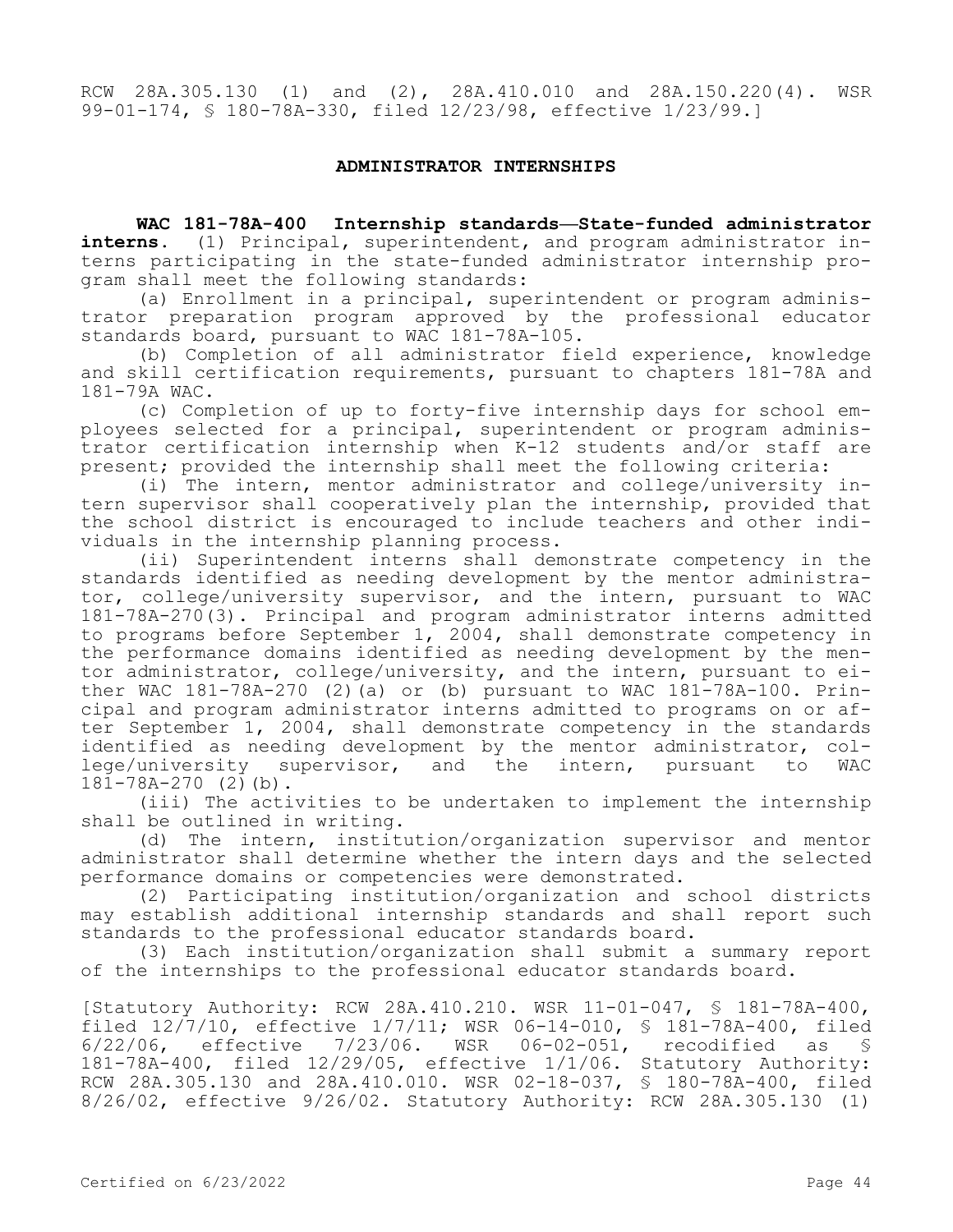RCW 28A.305.130 (1) and (2), 28A.410.010 and 28A.150.220(4). WSR 99-01-174, § 180-78A-330, filed 12/23/98, effective 1/23/99.]

## **ADMINISTRATOR INTERNSHIPS**

**WAC 181-78A-400 Internship standards—State-funded administrator interns.** (1) Principal, superintendent, and program administrator interns participating in the state-funded administrator internship program shall meet the following standards:

(a) Enrollment in a principal, superintendent or program administrator preparation program approved by the professional educator standards board, pursuant to WAC 181-78A-105.

(b) Completion of all administrator field experience, knowledge and skill certification requirements, pursuant to chapters 181-78A and 181-79A WAC.

(c) Completion of up to forty-five internship days for school employees selected for a principal, superintendent or program administrator certification internship when K-12 students and/or staff are present; provided the internship shall meet the following criteria:

(i) The intern, mentor administrator and college/university intern supervisor shall cooperatively plan the internship, provided that the school district is encouraged to include teachers and other individuals in the internship planning process.

(ii) Superintendent interns shall demonstrate competency in the standards identified as needing development by the mentor administrator, college/university supervisor, and the intern, pursuant to WAC 181-78A-270(3). Principal and program administrator interns admitted to programs before September 1, 2004, shall demonstrate competency in the performance domains identified as needing development by the mentor administrator, college/university, and the intern, pursuant to either WAC 181-78A-270 (2)(a) or (b) pursuant to WAC 181-78A-100. Principal and program administrator interns admitted to programs on or after September 1, 2004, shall demonstrate competency in the standards identified as needing development by the mentor administrator, college/university supervisor, and the intern, pursuant to WAC 181-78A-270 (2)(b).

(iii) The activities to be undertaken to implement the internship shall be outlined in writing.

(d) The intern, institution/organization supervisor and mentor administrator shall determine whether the intern days and the selected performance domains or competencies were demonstrated.

(2) Participating institution/organization and school districts may establish additional internship standards and shall report such standards to the professional educator standards board.

(3) Each institution/organization shall submit a summary report of the internships to the professional educator standards board.

[Statutory Authority: RCW 28A.410.210. WSR 11-01-047, § 181-78A-400, filed 12/7/10, effective 1/7/11; WSR 06-14-010, \$ 181-78A-400, filed<br>6/22/06, effective 7/23/06. WSR 06-02-051, recodified as \$ effective  $7/23/06$ . WSR 06-02-051, recodified as § 181-78A-400, filed 12/29/05, effective 1/1/06. Statutory Authority: RCW 28A.305.130 and 28A.410.010. WSR 02-18-037, § 180-78A-400, filed 8/26/02, effective 9/26/02. Statutory Authority: RCW 28A.305.130 (1)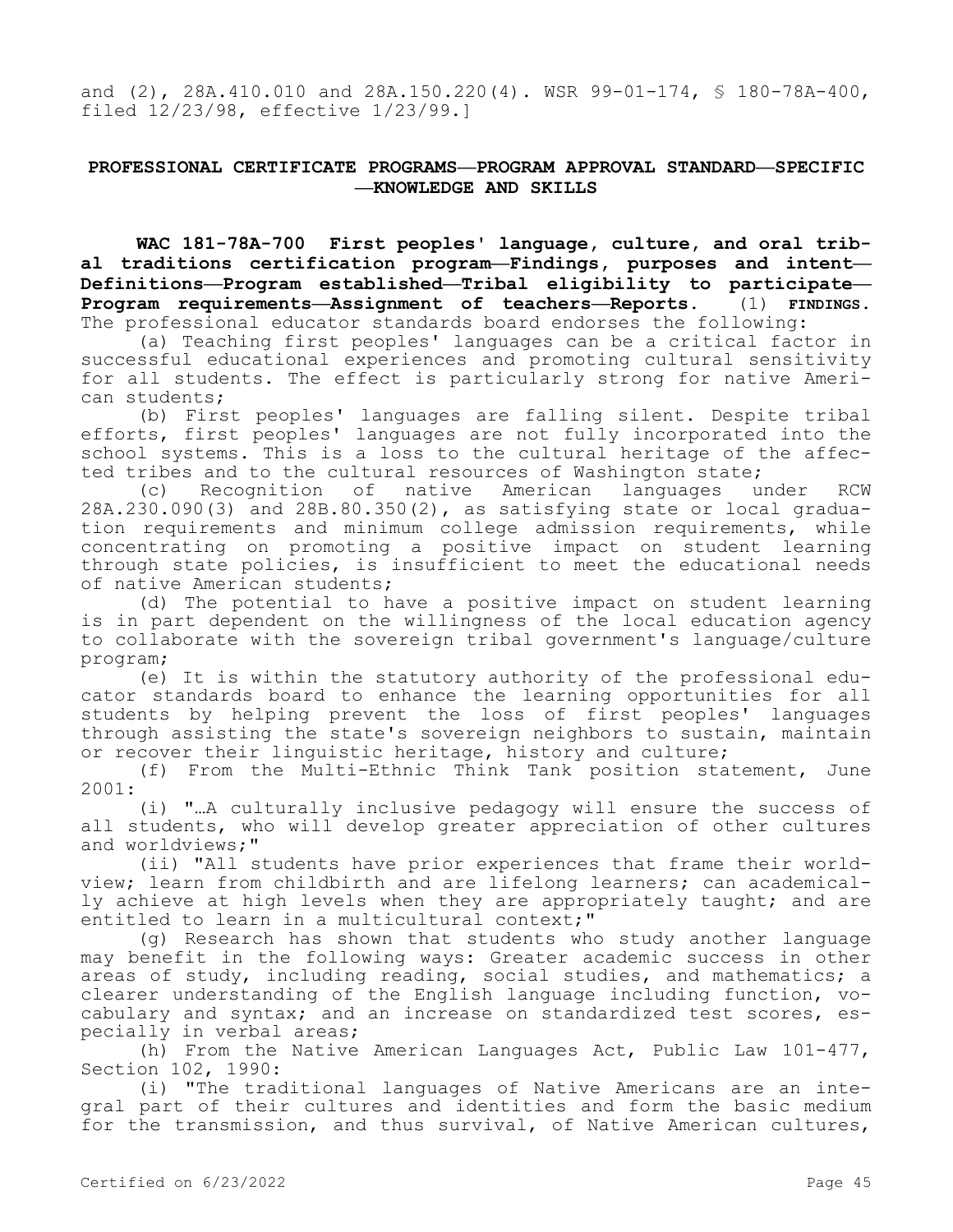and (2), 28A.410.010 and 28A.150.220(4). WSR 99-01-174, § 180-78A-400, filed 12/23/98, effective 1/23/99.]

## **PROFESSIONAL CERTIFICATE PROGRAMS—PROGRAM APPROVAL STANDARD—SPECIFIC —KNOWLEDGE AND SKILLS**

**WAC 181-78A-700 First peoples' language, culture, and oral tribal traditions certification program—Findings, purposes and intent— Definitions—Program established—Tribal eligibility to participate— Program requirements—Assignment of teachers—Reports.** (1) **FINDINGS.**  The professional educator standards board endorses the following:

(a) Teaching first peoples' languages can be a critical factor in successful educational experiences and promoting cultural sensitivity for all students. The effect is particularly strong for native American students;

(b) First peoples' languages are falling silent. Despite tribal efforts, first peoples' languages are not fully incorporated into the school systems. This is a loss to the cultural heritage of the affected tribes and to the cultural resources of Washington state;

(c) Recognition of native American languages under RCW 28A.230.090(3) and 28B.80.350(2), as satisfying state or local graduation requirements and minimum college admission requirements, while concentrating on promoting a positive impact on student learning through state policies, is insufficient to meet the educational needs of native American students;

(d) The potential to have a positive impact on student learning is in part dependent on the willingness of the local education agency to collaborate with the sovereign tribal government's language/culture program;

(e) It is within the statutory authority of the professional educator standards board to enhance the learning opportunities for all students by helping prevent the loss of first peoples' languages through assisting the state's sovereign neighbors to sustain, maintain or recover their linguistic heritage, history and culture;

(f) From the Multi-Ethnic Think Tank position statement, June 2001:

(i) "…A culturally inclusive pedagogy will ensure the success of all students, who will develop greater appreciation of other cultures and worldviews;"

(ii) "All students have prior experiences that frame their worldview; learn from childbirth and are lifelong learners; can academically achieve at high levels when they are appropriately taught; and are entitled to learn in a multicultural context;"

(g) Research has shown that students who study another language may benefit in the following ways: Greater academic success in other areas of study, including reading, social studies, and mathematics; a clearer understanding of the English language including function, vocabulary and syntax; and an increase on standardized test scores, especially in verbal areas;

(h) From the Native American Languages Act, Public Law 101-477, Section 102, 1990:

(i) "The traditional languages of Native Americans are an integral part of their cultures and identities and form the basic medium for the transmission, and thus survival, of Native American cultures,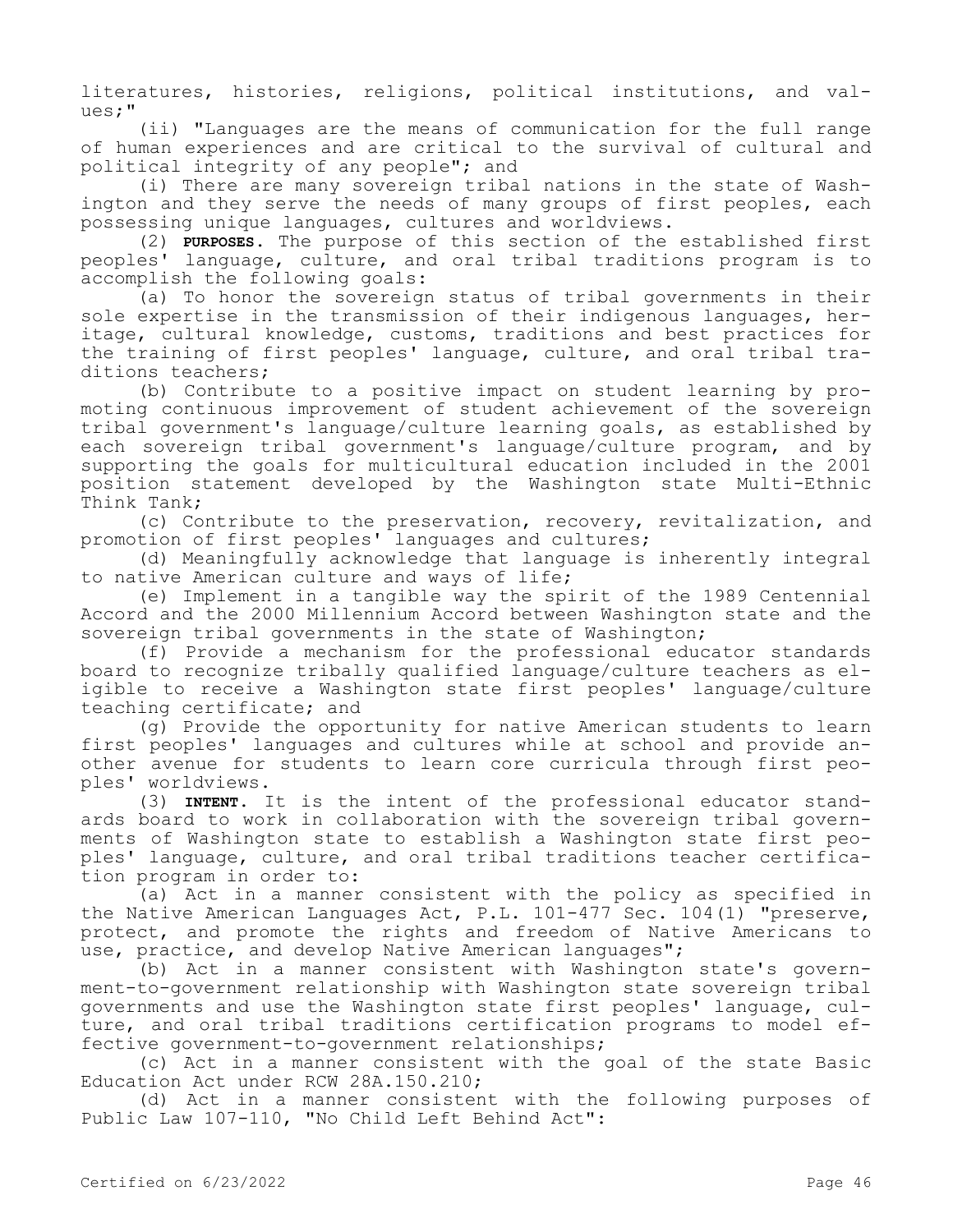literatures, histories, religions, political institutions, and values;"

(ii) "Languages are the means of communication for the full range of human experiences and are critical to the survival of cultural and political integrity of any people"; and

(i) There are many sovereign tribal nations in the state of Washington and they serve the needs of many groups of first peoples, each possessing unique languages, cultures and worldviews.

(2) **PURPOSES.** The purpose of this section of the established first peoples' language, culture, and oral tribal traditions program is to accomplish the following goals:

(a) To honor the sovereign status of tribal governments in their sole expertise in the transmission of their indigenous languages, heritage, cultural knowledge, customs, traditions and best practices for the training of first peoples' language, culture, and oral tribal traditions teachers;

(b) Contribute to a positive impact on student learning by promoting continuous improvement of student achievement of the sovereign tribal government's language/culture learning goals, as established by each sovereign tribal government's language/culture program, and by supporting the goals for multicultural education included in the 2001 position statement developed by the Washington state Multi-Ethnic Think Tank;

(c) Contribute to the preservation, recovery, revitalization, and promotion of first peoples' languages and cultures;

(d) Meaningfully acknowledge that language is inherently integral to native American culture and ways of life;

(e) Implement in a tangible way the spirit of the 1989 Centennial Accord and the 2000 Millennium Accord between Washington state and the sovereign tribal governments in the state of Washington;

(f) Provide a mechanism for the professional educator standards board to recognize tribally qualified language/culture teachers as eligible to receive a Washington state first peoples' language/culture teaching certificate; and

(g) Provide the opportunity for native American students to learn first peoples' languages and cultures while at school and provide another avenue for students to learn core curricula through first peoples' worldviews.

(3) **INTENT.** It is the intent of the professional educator standards board to work in collaboration with the sovereign tribal governments of Washington state to establish a Washington state first peoples' language, culture, and oral tribal traditions teacher certification program in order to:

(a) Act in a manner consistent with the policy as specified in the Native American Languages Act, P.L. 101-477 Sec. 104(1) "preserve, protect, and promote the rights and freedom of Native Americans to use, practice, and develop Native American languages";

(b) Act in a manner consistent with Washington state's government-to-government relationship with Washington state sovereign tribal governments and use the Washington state first peoples' language, culture, and oral tribal traditions certification programs to model effective government-to-government relationships;

(c) Act in a manner consistent with the goal of the state Basic Education Act under RCW 28A.150.210;

(d) Act in a manner consistent with the following purposes of Public Law 107-110, "No Child Left Behind Act":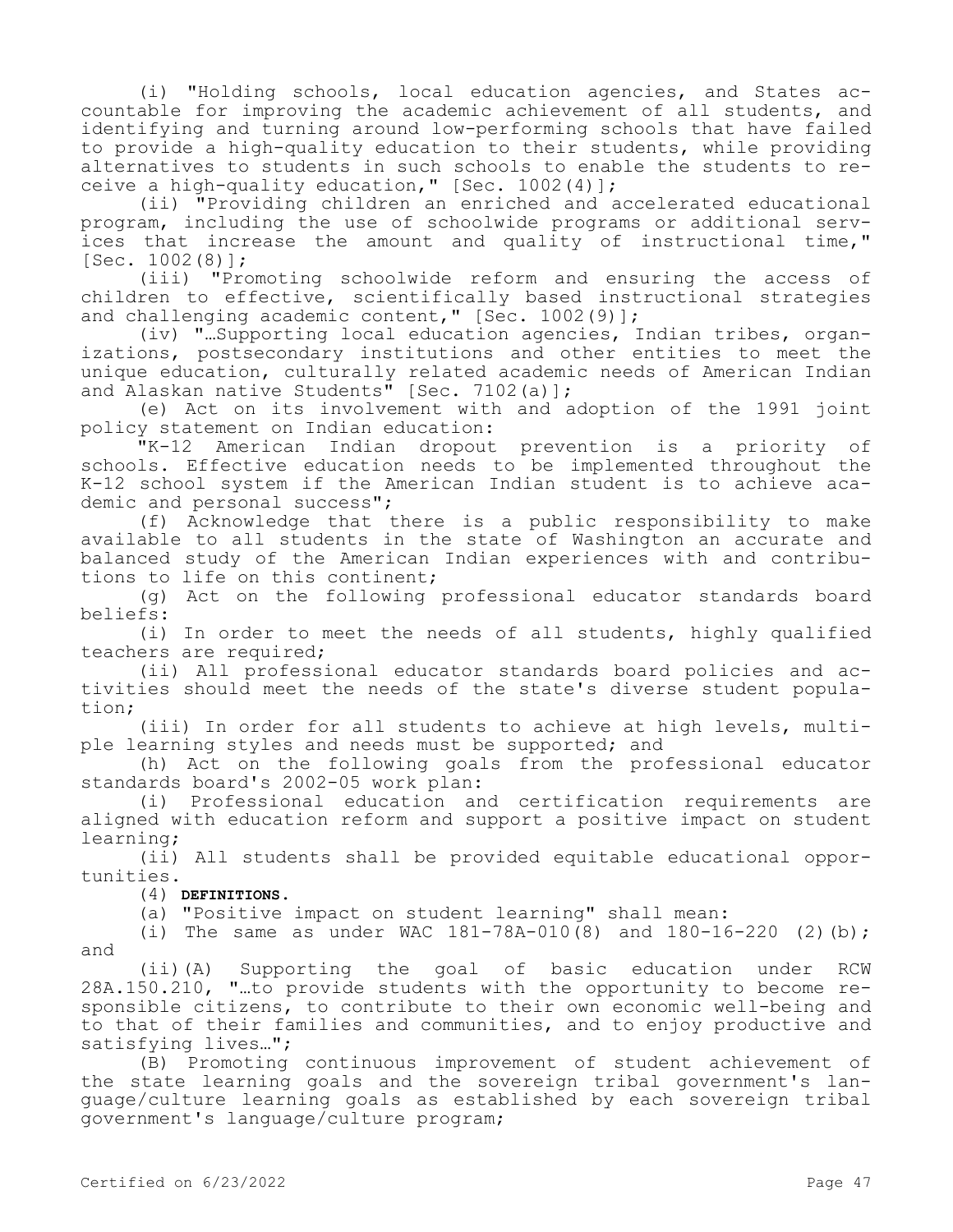(i) "Holding schools, local education agencies, and States accountable for improving the academic achievement of all students, and identifying and turning around low-performing schools that have failed to provide a high-quality education to their students, while providing alternatives to students in such schools to enable the students to receive a high-quality education," [Sec. 1002(4)];

(ii) "Providing children an enriched and accelerated educational program, including the use of schoolwide programs or additional services that increase the amount and quality of instructional time,"  $[Sec. 1002(8)]$ ;

(iii) "Promoting schoolwide reform and ensuring the access of children to effective, scientifically based instructional strategies and challenging academic content," [Sec. 1002(9)];

(iv) "…Supporting local education agencies, Indian tribes, organizations, postsecondary institutions and other entities to meet the unique education, culturally related academic needs of American Indian and Alaskan native Students" [Sec. 7102(a)];

(e) Act on its involvement with and adoption of the 1991 joint policy statement on Indian education:<br>"K-12 American Indian dropout

American Indian dropout prevention is a priority of schools. Effective education needs to be implemented throughout the K-12 school system if the American Indian student is to achieve academic and personal success";

(f) Acknowledge that there is a public responsibility to make available to all students in the state of Washington an accurate and balanced study of the American Indian experiences with and contributions to life on this continent;

(g) Act on the following professional educator standards board beliefs:

(i) In order to meet the needs of all students, highly qualified teachers are required;

(ii) All professional educator standards board policies and activities should meet the needs of the state's diverse student population;

(iii) In order for all students to achieve at high levels, multiple learning styles and needs must be supported; and

(h) Act on the following goals from the professional educator standards board's 2002-05 work plan:

(i) Professional education and certification requirements are aligned with education reform and support a positive impact on student learning;

(ii) All students shall be provided equitable educational opportunities.

(4) **DEFINITIONS.**

(a) "Positive impact on student learning" shall mean:

(i) The same as under WAC  $181-78A-010(8)$  and  $180-16-220$  (2)(b); and

(ii)(A) Supporting the goal of basic education under RCW 28A.150.210, "…to provide students with the opportunity to become responsible citizens, to contribute to their own economic well-being and to that of their families and communities, and to enjoy productive and satisfying lives...";

(B) Promoting continuous improvement of student achievement of the state learning goals and the sovereign tribal government's language/culture learning goals as established by each sovereign tribal government's language/culture program;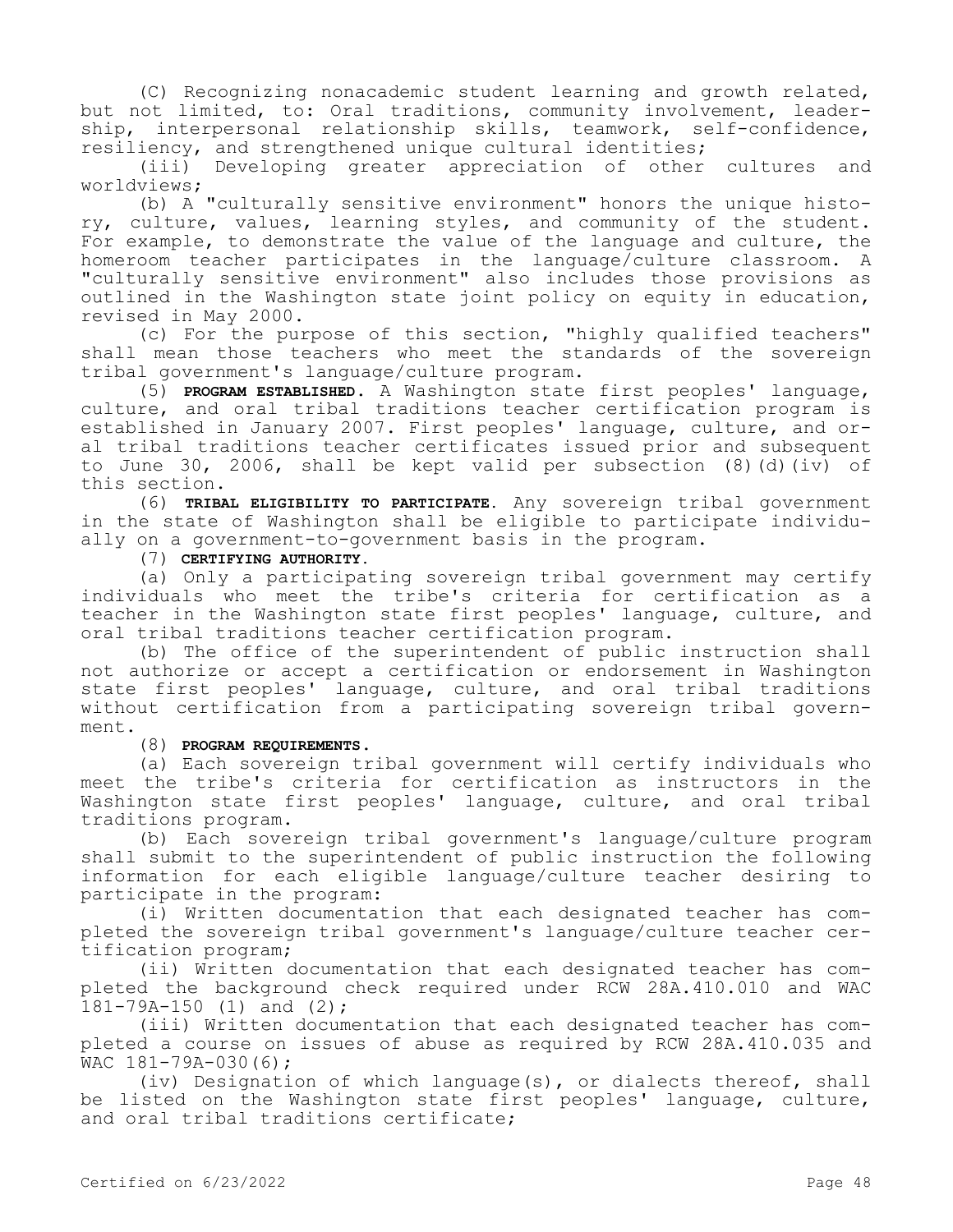(C) Recognizing nonacademic student learning and growth related, but not limited, to: Oral traditions, community involvement, leadership, interpersonal relationship skills, teamwork, self-confidence, resiliency, and strengthened unique cultural identities;

(iii) Developing greater appreciation of other cultures and worldviews;

(b) A "culturally sensitive environment" honors the unique history, culture, values, learning styles, and community of the student. For example, to demonstrate the value of the language and culture, the homeroom teacher participates in the language/culture classroom. A "culturally sensitive environment" also includes those provisions as outlined in the Washington state joint policy on equity in education, revised in May 2000.

(c) For the purpose of this section, "highly qualified teachers" shall mean those teachers who meet the standards of the sovereign tribal government's language/culture program.

(5) **PROGRAM ESTABLISHED.** A Washington state first peoples' language, culture, and oral tribal traditions teacher certification program is established in January 2007. First peoples' language, culture, and oral tribal traditions teacher certificates issued prior and subsequent to June 30, 2006, shall be kept valid per subsection (8)(d)(iv) of this section.

(6) **TRIBAL ELIGIBILITY TO PARTICIPATE.** Any sovereign tribal government in the state of Washington shall be eligible to participate individually on a government-to-government basis in the program.

(7) **CERTIFYING AUTHORITY.**

(a) Only a participating sovereign tribal government may certify individuals who meet the tribe's criteria for certification as a teacher in the Washington state first peoples' language, culture, and oral tribal traditions teacher certification program.

(b) The office of the superintendent of public instruction shall not authorize or accept a certification or endorsement in Washington state first peoples' language, culture, and oral tribal traditions without certification from a participating sovereign tribal government.

(8) **PROGRAM REQUIREMENTS.**

(a) Each sovereign tribal government will certify individuals who meet the tribe's criteria for certification as instructors in the Washington state first peoples' language, culture, and oral tribal traditions program.

(b) Each sovereign tribal government's language/culture program shall submit to the superintendent of public instruction the following information for each eligible language/culture teacher desiring to participate in the program:

(i) Written documentation that each designated teacher has completed the sovereign tribal government's language/culture teacher certification program;

(ii) Written documentation that each designated teacher has completed the background check required under RCW 28A.410.010 and WAC 181-79A-150 (1) and (2);

(iii) Written documentation that each designated teacher has completed a course on issues of abuse as required by RCW 28A.410.035 and WAC 181-79A-030(6);

(iv) Designation of which language(s), or dialects thereof, shall be listed on the Washington state first peoples' language, culture, and oral tribal traditions certificate;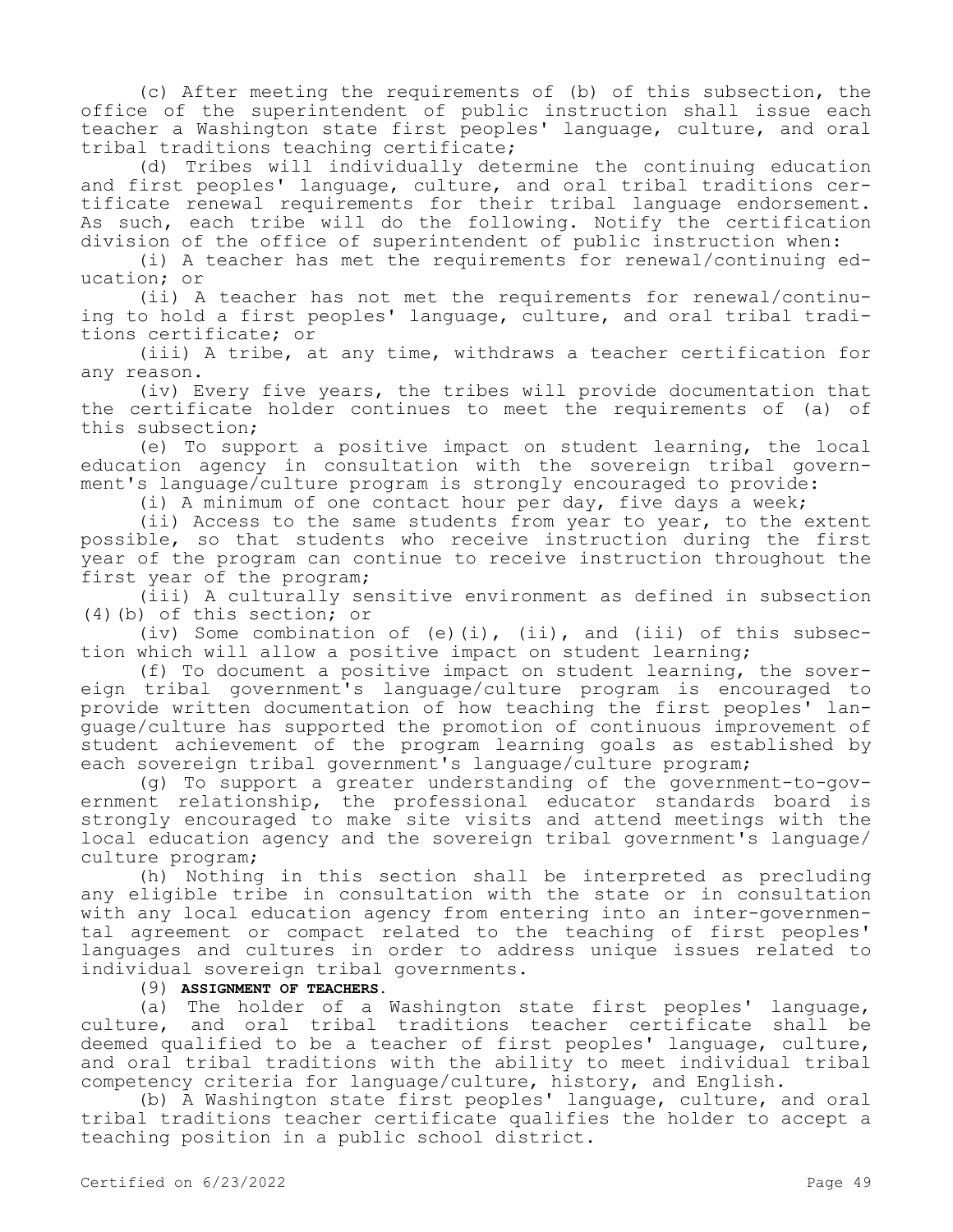(c) After meeting the requirements of (b) of this subsection, the office of the superintendent of public instruction shall issue each teacher a Washington state first peoples' language, culture, and oral tribal traditions teaching certificate;

(d) Tribes will individually determine the continuing education and first peoples' language, culture, and oral tribal traditions certificate renewal requirements for their tribal language endorsement. As such, each tribe will do the following. Notify the certification division of the office of superintendent of public instruction when:

(i) A teacher has met the requirements for renewal/continuing education; or

(ii) A teacher has not met the requirements for renewal/continuing to hold a first peoples' language, culture, and oral tribal traditions certificate; or

(iii) A tribe, at any time, withdraws a teacher certification for any reason.

(iv) Every five years, the tribes will provide documentation that the certificate holder continues to meet the requirements of (a) of this subsection;

(e) To support a positive impact on student learning, the local education agency in consultation with the sovereign tribal government's language/culture program is strongly encouraged to provide:

(i) A minimum of one contact hour per day, five days a week;

(ii) Access to the same students from year to year, to the extent possible, so that students who receive instruction during the first year of the program can continue to receive instruction throughout the first year of the program;

(iii) A culturally sensitive environment as defined in subsection (4)(b) of this section; or

(iv) Some combination of (e)(i), (ii), and (iii) of this subsection which will allow a positive impact on student learning;

(f) To document a positive impact on student learning, the sovereign tribal government's language/culture program is encouraged to provide written documentation of how teaching the first peoples' language/culture has supported the promotion of continuous improvement of student achievement of the program learning goals as established by each sovereign tribal government's language/culture program;

(g) To support a greater understanding of the government-to-government relationship, the professional educator standards board is strongly encouraged to make site visits and attend meetings with the local education agency and the sovereign tribal government's language/ culture program;

(h) Nothing in this section shall be interpreted as precluding any eligible tribe in consultation with the state or in consultation with any local education agency from entering into an inter-governmental agreement or compact related to the teaching of first peoples' languages and cultures in order to address unique issues related to individual sovereign tribal governments.

(9) **ASSIGNMENT OF TEACHERS.**

(a) The holder of a Washington state first peoples' language, culture, and oral tribal traditions teacher certificate shall be deemed qualified to be a teacher of first peoples' language, culture, and oral tribal traditions with the ability to meet individual tribal competency criteria for language/culture, history, and English.

(b) A Washington state first peoples' language, culture, and oral tribal traditions teacher certificate qualifies the holder to accept a teaching position in a public school district.